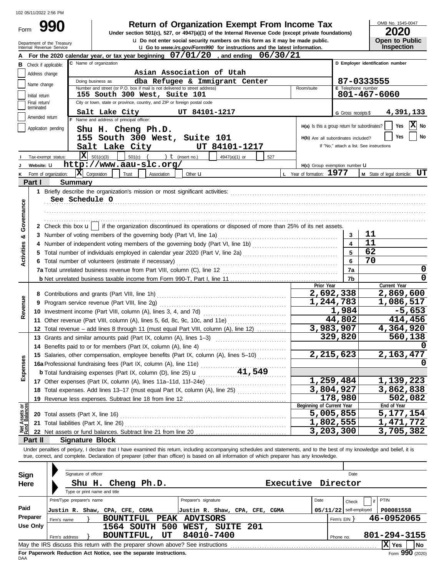|                            |                               | 102 05/11/2022 2:56 PM                                                                                                                                                     |                                                 |                          |                                          |
|----------------------------|-------------------------------|----------------------------------------------------------------------------------------------------------------------------------------------------------------------------|-------------------------------------------------|--------------------------|------------------------------------------|
|                            |                               | Return of Organization Exempt From Income Tax                                                                                                                              |                                                 |                          | OMB No. 1545-0047                        |
| Form                       |                               | 990<br>Under section 501(c), 527, or 4947(a)(1) of the Internal Revenue Code (except private foundations)                                                                  |                                                 |                          | 2020                                     |
|                            |                               | La Do not enter social security numbers on this form as it may be made public.<br>Department of the Treasury                                                               |                                                 |                          | Open to Public                           |
|                            |                               | <b>u</b> Go to www.irs.gov/Form990 for instructions and the latest information.<br>Internal Revenue Service                                                                |                                                 |                          | Inspection                               |
|                            |                               | For the 2020 calendar year, or tax year beginning $07/01/20$ , and ending<br>06/30/21                                                                                      |                                                 |                          |                                          |
|                            | <b>B</b> Check if applicable: | C Name of organization                                                                                                                                                     |                                                 |                          | D Employer identification number         |
|                            | Address change                | Asian Association of Utah                                                                                                                                                  |                                                 |                          |                                          |
|                            | Name change                   | dba Refugee & Immigrant Center<br>Doing business as                                                                                                                        |                                                 |                          | 87-0333555                               |
|                            | Initial return                | Number and street (or P.O. box if mail is not delivered to street address)<br>155 South 300 West, Suite 101                                                                | Room/suite                                      | E Telephone number       | 801-467-6060                             |
|                            | Final return/                 | City or town, state or province, country, and ZIP or foreign postal code                                                                                                   |                                                 |                          |                                          |
|                            | terminated                    | Salt Lake City<br>UT 84101-1217                                                                                                                                            |                                                 | G Gross receipts \$      | 4,391,133                                |
|                            | Amended return                | F Name and address of principal officer:                                                                                                                                   |                                                 |                          |                                          |
|                            |                               | Application pending<br>Shu H. Cheng Ph.D.                                                                                                                                  | $H(a)$ Is this a group return for subordinates? |                          | X No<br>Yes                              |
|                            |                               | 155 South 300 West, Suite 101                                                                                                                                              | H(b) Are all subordinates included?             |                          | Yes<br>No                                |
|                            |                               | Salt Lake City<br>UT 84101-1217                                                                                                                                            |                                                 |                          | If "No," attach a list. See instructions |
|                            |                               | $\overline{\mathbf{X}}$ 501(c)(3)<br>501(c)<br>$($ ) $t$ (insert no.)<br>4947(a)(1) or<br>527<br>Tax-exempt status:                                                        |                                                 |                          |                                          |
|                            | Website: U                    | http://www.aau-slc.org/                                                                                                                                                    | H(c) Group exemption number U                   |                          |                                          |
| Κ                          |                               | $\bar{\mathbf{X}}$ Corporation<br>Trust<br>Association<br>Form of organization:<br>Other $\mathbf u$                                                                       | L Year of formation: 1977                       |                          | M State of legal domicile: UT            |
|                            | Part I                        | <b>Summary</b>                                                                                                                                                             |                                                 |                          |                                          |
|                            |                               |                                                                                                                                                                            |                                                 |                          |                                          |
|                            |                               | See Schedule O                                                                                                                                                             |                                                 |                          |                                          |
|                            |                               |                                                                                                                                                                            |                                                 |                          |                                          |
|                            |                               |                                                                                                                                                                            |                                                 |                          |                                          |
| Governance                 |                               | 2 Check this box $\mathbf{u}$   if the organization discontinued its operations or disposed of more than 25% of its net assets.                                            |                                                 |                          |                                          |
|                            |                               |                                                                                                                                                                            |                                                 | 3                        | 11                                       |
| ಳ                          |                               |                                                                                                                                                                            |                                                 |                          | 11                                       |
|                            |                               | 5 Total number of individuals employed in calendar year 2020 (Part V, line 2a) [[[[[[[[[[[[[[[[[[[[[[[[[[[[[[[                                                             |                                                 |                          | 62                                       |
| <b>Activities</b>          |                               | 6 Total number of volunteers (estimate if necessary)                                                                                                                       |                                                 | 6                        | 70                                       |
|                            |                               |                                                                                                                                                                            |                                                 | 7a                       | 0                                        |
|                            |                               |                                                                                                                                                                            |                                                 | 7b                       | $\Omega$                                 |
|                            |                               |                                                                                                                                                                            | Prior Year                                      |                          | Current Year                             |
|                            |                               |                                                                                                                                                                            |                                                 | 2,692,338                | 2,869,600                                |
| Revenue                    |                               | 9 Program service revenue (Part VIII, line 2g)                                                                                                                             |                                                 | 1,244,783                | 1,086,517                                |
|                            |                               |                                                                                                                                                                            |                                                 | 1,984                    | $-5,653$                                 |
|                            |                               | 11 Other revenue (Part VIII, column (A), lines 5, 6d, 8c, 9c, 10c, and 11e)                                                                                                |                                                 | 44,802                   | 414,456                                  |
|                            |                               | 12 Total revenue - add lines 8 through 11 (must equal Part VIII, column (A), line 12)                                                                                      |                                                 | 3,983,907                | 4,364,920                                |
|                            |                               | 13 Grants and similar amounts paid (Part IX, column (A), lines 1-3)                                                                                                        |                                                 | 329,820                  | $\overline{560,}138$                     |
|                            |                               | 14 Benefits paid to or for members (Part IX, column (A), line 4)                                                                                                           |                                                 |                          |                                          |
|                            |                               | 15 Salaries, other compensation, employee benefits (Part IX, column (A), lines 5-10)                                                                                       |                                                 | $\overline{2,215,623}$   | 2, 163, 477                              |
| Expenses                   |                               |                                                                                                                                                                            |                                                 |                          | 0                                        |
|                            |                               |                                                                                                                                                                            |                                                 |                          |                                          |
|                            |                               | 17 Other expenses (Part IX, column (A), lines 11a-11d, 11f-24e)                                                                                                            |                                                 | 1,259,484                | 1,139,223                                |
|                            |                               | 18 Total expenses. Add lines 13-17 (must equal Part IX, column (A), line 25)                                                                                               |                                                 | 3,804,927                | 3,862,838                                |
|                            |                               | 19 Revenue less expenses. Subtract line 18 from line 12                                                                                                                    |                                                 | 178,980                  | 502,082                                  |
|                            |                               |                                                                                                                                                                            | Beginning of Current Year                       |                          | End of Year                              |
| Assets or<br>d<br>Balances |                               |                                                                                                                                                                            |                                                 | 5,005,855                | 5, 177, 154                              |
|                            |                               | 21 Total liabilities (Part X, line 26)                                                                                                                                     |                                                 | 1,802,555                | 1,471,772                                |
| 활                          |                               |                                                                                                                                                                            |                                                 | 3,203,300                | 3,705,382                                |
|                            | Part II                       | <b>Signature Block</b>                                                                                                                                                     |                                                 |                          |                                          |
|                            |                               | Under penalties of perjury, I declare that I have examined this return, including accompanying schedules and statements, and to the best of my knowledge and belief, it is |                                                 |                          |                                          |
|                            |                               | true, correct, and complete. Declaration of preparer (other than officer) is based on all information of which preparer has any knowledge.                                 |                                                 |                          |                                          |
|                            |                               |                                                                                                                                                                            |                                                 |                          |                                          |
| <b>Sign</b>                |                               | Signature of officer                                                                                                                                                       |                                                 | Date                     |                                          |
| Here                       |                               | Shu H.<br>Cheng Ph.D.                                                                                                                                                      | Executive Director                              |                          |                                          |
|                            |                               | Type or print name and title                                                                                                                                               |                                                 |                          |                                          |
|                            |                               | Print/Type preparer's name<br>Preparer's signature                                                                                                                         | Date                                            | Check                    | PTIN                                     |
| Paid                       |                               | Justin R. Shaw, CPA, CFE, CGMA<br>Justin R. Shaw, CPA, CFE, CGMA                                                                                                           |                                                 | $05/11/22$ self-employed | P00081558                                |
|                            | Preparer                      | <b>BOUNTIFUL PEAK</b><br><b>ADVISORS</b><br>Firm's name                                                                                                                    |                                                 | Firm's $EIN$ }           | 46-0952065                               |
|                            | <b>Use Only</b>               | 1564 SOUTH 500<br>WEST, SUITE 201                                                                                                                                          |                                                 |                          |                                          |
|                            |                               | 84010-7400<br>BOUNTIFUL,<br>UT<br>Firm's address                                                                                                                           |                                                 | Phone no.                | 801-294-3155                             |
|                            |                               |                                                                                                                                                                            |                                                 |                          | $ \mathbf{X} $ Yes<br>  No               |

|              |                            | Signature of officer         |                                |                                                                     |                                                                                 |           |           | Date                     |                     |
|--------------|----------------------------|------------------------------|--------------------------------|---------------------------------------------------------------------|---------------------------------------------------------------------------------|-----------|-----------|--------------------------|---------------------|
| Sign<br>Here |                            | Type or print name and title | Shu H. Cheng Ph.D.             |                                                                     |                                                                                 | Executive | Director  |                          |                     |
|              | Print/Type preparer's name |                              |                                |                                                                     | Preparer's signature                                                            |           | Date      | Check                    | PTIN                |
| Paid         |                            |                              | Justin R. Shaw, CPA, CFE, CGMA |                                                                     | Justin R. Shaw, CPA, CFE, CGMA                                                  |           |           | $05/11/22$ self-employed | P00081558           |
| Preparer     | Firm's name                |                              | <b>BOUNTIFUL</b>               | PEAK                                                                | <b>ADVISORS</b>                                                                 |           |           | Firm's $EIN$             | 46-0952065          |
| Use Only     |                            |                              |                                | <b>1564 SOUTH 500</b>                                               | WEST, SUITE 201                                                                 |           |           |                          |                     |
|              | Firm's address             |                              | <b>BOUNTIFUL,</b>              | UT                                                                  | 84010-7400                                                                      |           | Phone no. |                          | 801-294-3155        |
|              |                            |                              |                                |                                                                     | May the IRS discuss this return with the preparer shown above? See instructions |           |           |                          | X  Yes<br><b>No</b> |
|              |                            |                              |                                | For Bonanceal, Badrietton, Ant Notton, and the accounts instrumings |                                                                                 |           |           |                          | nnn.                |

**For Paperwork Reduction Act Notice, see the separate instructions.**<br>DAA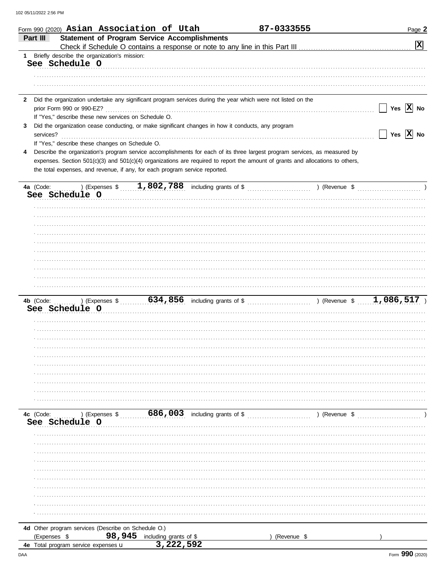|              | Form 990 (2020) Asian Association of Utah                                                                                      |                                     | 87-0333555 |               | Page 2                      |
|--------------|--------------------------------------------------------------------------------------------------------------------------------|-------------------------------------|------------|---------------|-----------------------------|
|              | <b>Statement of Program Service Accomplishments</b><br>Part III                                                                |                                     |            |               |                             |
|              |                                                                                                                                |                                     |            |               | $\boxed{\mathbf{x}}$        |
| 1.           | Briefly describe the organization's mission:                                                                                   |                                     |            |               |                             |
|              | See Schedule O                                                                                                                 |                                     |            |               |                             |
|              |                                                                                                                                |                                     |            |               |                             |
|              |                                                                                                                                |                                     |            |               |                             |
|              |                                                                                                                                |                                     |            |               |                             |
| $\mathbf{2}$ | Did the organization undertake any significant program services during the year which were not listed on the                   |                                     |            |               |                             |
|              | prior Form 990 or 990-EZ?                                                                                                      |                                     |            |               | Yes $ \mathbf{X} $ No       |
|              | If "Yes," describe these new services on Schedule O.                                                                           |                                     |            |               |                             |
| 3            | Did the organization cease conducting, or make significant changes in how it conducts, any program                             |                                     |            |               |                             |
|              | services?                                                                                                                      |                                     |            |               | Yes $\boxed{\mathbf{X}}$ No |
|              | If "Yes," describe these changes on Schedule O.                                                                                |                                     |            |               |                             |
| 4            | Describe the organization's program service accomplishments for each of its three largest program services, as measured by     |                                     |            |               |                             |
|              | expenses. Section 501(c)(3) and 501(c)(4) organizations are required to report the amount of grants and allocations to others, |                                     |            |               |                             |
|              | the total expenses, and revenue, if any, for each program service reported.                                                    |                                     |            |               |                             |
|              |                                                                                                                                |                                     |            |               |                             |
|              | 4a (Code:                                                                                                                      |                                     |            |               |                             |
|              | See Schedule O                                                                                                                 |                                     |            |               |                             |
|              |                                                                                                                                |                                     |            |               |                             |
|              |                                                                                                                                |                                     |            |               |                             |
|              |                                                                                                                                |                                     |            |               |                             |
|              |                                                                                                                                |                                     |            |               |                             |
|              |                                                                                                                                |                                     |            |               |                             |
|              |                                                                                                                                |                                     |            |               |                             |
|              |                                                                                                                                |                                     |            |               |                             |
|              |                                                                                                                                |                                     |            |               |                             |
|              |                                                                                                                                |                                     |            |               |                             |
|              |                                                                                                                                |                                     |            |               |                             |
|              |                                                                                                                                |                                     |            |               |                             |
|              | 4b (Code:                                                                                                                      |                                     |            |               |                             |
|              |                                                                                                                                |                                     |            |               |                             |
|              |                                                                                                                                |                                     |            |               |                             |
|              | See Schedule O                                                                                                                 |                                     |            |               |                             |
|              |                                                                                                                                |                                     |            |               |                             |
|              |                                                                                                                                |                                     |            |               |                             |
|              |                                                                                                                                |                                     |            |               |                             |
|              |                                                                                                                                |                                     |            |               |                             |
|              |                                                                                                                                |                                     |            |               |                             |
|              |                                                                                                                                |                                     |            |               |                             |
|              |                                                                                                                                |                                     |            |               |                             |
|              |                                                                                                                                |                                     |            |               |                             |
|              |                                                                                                                                |                                     |            |               |                             |
|              |                                                                                                                                |                                     |            |               |                             |
|              |                                                                                                                                |                                     |            |               |                             |
|              | 4c (Code:<br>) (Expenses \$                                                                                                    | 686,003 including grants of \$      |            | ) (Revenue \$ |                             |
|              | See Schedule O                                                                                                                 |                                     |            |               |                             |
|              |                                                                                                                                |                                     |            |               |                             |
|              |                                                                                                                                |                                     |            |               |                             |
|              |                                                                                                                                |                                     |            |               |                             |
|              |                                                                                                                                |                                     |            |               |                             |
|              |                                                                                                                                |                                     |            |               |                             |
|              |                                                                                                                                |                                     |            |               |                             |
|              |                                                                                                                                |                                     |            |               |                             |
|              |                                                                                                                                |                                     |            |               |                             |
|              |                                                                                                                                |                                     |            |               |                             |
|              |                                                                                                                                |                                     |            |               |                             |
|              |                                                                                                                                |                                     |            |               |                             |
|              | 4d Other program services (Describe on Schedule O.)                                                                            |                                     |            |               |                             |
|              | 98,945<br>(Expenses \$<br>4e Total program service expenses u                                                                  | including grants of \$<br>3,222,592 |            | (Revenue \$   |                             |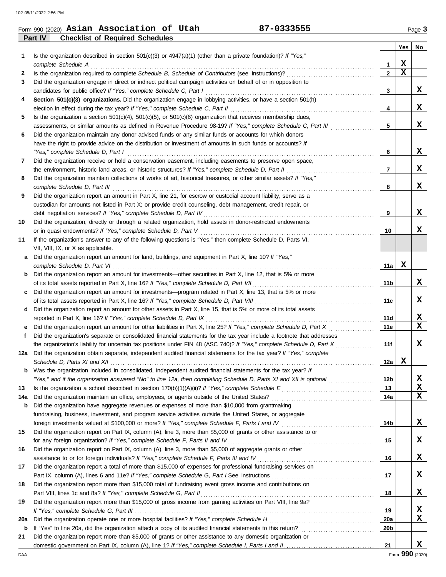|                | Form 990 (2020) Asian Association of Utah |  | 87-0333555 | Page $3$ |
|----------------|-------------------------------------------|--|------------|----------|
| <b>Part IV</b> | <b>Checklist of Required Schedules</b>    |  |            |          |

|     |                                                                                                                                                                                                                        |                 | Yes         | No          |
|-----|------------------------------------------------------------------------------------------------------------------------------------------------------------------------------------------------------------------------|-----------------|-------------|-------------|
| 1   | Is the organization described in section $501(c)(3)$ or $4947(a)(1)$ (other than a private foundation)? If "Yes,"                                                                                                      |                 |             |             |
|     | complete Schedule A                                                                                                                                                                                                    | 1               | X           |             |
| 2   |                                                                                                                                                                                                                        | $\mathbf{2}$    | $\mathbf x$ |             |
| 3   | Did the organization engage in direct or indirect political campaign activities on behalf of or in opposition to                                                                                                       |                 |             |             |
|     | candidates for public office? If "Yes," complete Schedule C, Part I                                                                                                                                                    | 3               |             | X           |
| 4   | Section 501(c)(3) organizations. Did the organization engage in lobbying activities, or have a section 501(h)                                                                                                          |                 |             |             |
|     | election in effect during the tax year? If "Yes," complete Schedule C, Part II                                                                                                                                         | 4               |             | x           |
| 5   | Is the organization a section $501(c)(4)$ , $501(c)(5)$ , or $501(c)(6)$ organization that receives membership dues,                                                                                                   |                 |             | x           |
|     | assessments, or similar amounts as defined in Revenue Procedure 98-19? If "Yes," complete Schedule C, Part III                                                                                                         | 5               |             |             |
| 6   | Did the organization maintain any donor advised funds or any similar funds or accounts for which donors<br>have the right to provide advice on the distribution or investment of amounts in such funds or accounts? If |                 |             |             |
|     | "Yes," complete Schedule D, Part I                                                                                                                                                                                     | 6               |             | X           |
| 7   | Did the organization receive or hold a conservation easement, including easements to preserve open space,                                                                                                              |                 |             |             |
|     | the environment, historic land areas, or historic structures? If "Yes," complete Schedule D, Part II                                                                                                                   | $\overline{7}$  |             | x           |
| 8   | Did the organization maintain collections of works of art, historical treasures, or other similar assets? If "Yes,"                                                                                                    |                 |             |             |
|     | complete Schedule D, Part III                                                                                                                                                                                          | 8               |             | x           |
| 9   | Did the organization report an amount in Part X, line 21, for escrow or custodial account liability, serve as a                                                                                                        |                 |             |             |
|     | custodian for amounts not listed in Part X; or provide credit counseling, debt management, credit repair, or                                                                                                           |                 |             |             |
|     |                                                                                                                                                                                                                        | 9               |             | X           |
| 10  | Did the organization, directly or through a related organization, hold assets in donor-restricted endowments                                                                                                           |                 |             |             |
|     |                                                                                                                                                                                                                        | 10              |             | x           |
| 11  | If the organization's answer to any of the following questions is "Yes," then complete Schedule D, Parts VI,                                                                                                           |                 |             |             |
|     | VII, VIII, IX, or X as applicable.                                                                                                                                                                                     |                 |             |             |
|     | a Did the organization report an amount for land, buildings, and equipment in Part X, line 10? If "Yes,"                                                                                                               |                 |             |             |
|     | complete Schedule D, Part VI                                                                                                                                                                                           | 11a l           | х           |             |
|     | <b>b</b> Did the organization report an amount for investments—other securities in Part X, line 12, that is 5% or more                                                                                                 |                 |             |             |
|     | of its total assets reported in Part X, line 16? If "Yes," complete Schedule D, Part VII                                                                                                                               | 11b             |             | X           |
| c.  | Did the organization report an amount for investments—program related in Part X, line 13, that is 5% or more                                                                                                           |                 |             |             |
|     |                                                                                                                                                                                                                        | 11c             |             | x           |
| d   | Did the organization report an amount for other assets in Part X, line 15, that is 5% or more of its total assets                                                                                                      |                 |             |             |
|     | reported in Part X, line 16? If "Yes," complete Schedule D, Part IX                                                                                                                                                    | 11d             |             | X           |
|     | Did the organization report an amount for other liabilities in Part X, line 25? If "Yes," complete Schedule D, Part X                                                                                                  | 11e             |             | $\mathbf x$ |
| f   | Did the organization's separate or consolidated financial statements for the tax year include a footnote that addresses                                                                                                |                 |             |             |
|     | the organization's liability for uncertain tax positions under FIN 48 (ASC 740)? If "Yes," complete Schedule D, Part X                                                                                                 | 11f             |             | x           |
| 12a | Did the organization obtain separate, independent audited financial statements for the tax year? If "Yes," complete                                                                                                    |                 |             |             |
|     |                                                                                                                                                                                                                        | 12a             | х           |             |
|     | Was the organization included in consolidated, independent audited financial statements for the tax year? If                                                                                                           |                 |             |             |
|     | "Yes," and if the organization answered "No" to line 12a, then completing Schedule D, Parts XI and XII is optional                                                                                                     | 12b             |             | X<br>X      |
| 13  |                                                                                                                                                                                                                        | 13              |             | $\mathbf x$ |
| 14a |                                                                                                                                                                                                                        | 14a             |             |             |
| b   | Did the organization have aggregate revenues or expenses of more than \$10,000 from grantmaking,<br>fundraising, business, investment, and program service activities outside the United States, or aggregate          |                 |             |             |
|     |                                                                                                                                                                                                                        | 14b             |             | X           |
| 15  | Did the organization report on Part IX, column (A), line 3, more than \$5,000 of grants or other assistance to or                                                                                                      |                 |             |             |
|     | for any foreign organization? If "Yes," complete Schedule F, Parts II and IV                                                                                                                                           | 15              |             | X           |
| 16  | Did the organization report on Part IX, column (A), line 3, more than \$5,000 of aggregate grants or other                                                                                                             |                 |             |             |
|     |                                                                                                                                                                                                                        | 16              |             | X           |
| 17  | Did the organization report a total of more than \$15,000 of expenses for professional fundraising services on                                                                                                         |                 |             |             |
|     |                                                                                                                                                                                                                        | 17              |             | X           |
| 18  | Did the organization report more than \$15,000 total of fundraising event gross income and contributions on                                                                                                            |                 |             |             |
|     |                                                                                                                                                                                                                        | 18              |             | X           |
| 19  | Did the organization report more than \$15,000 of gross income from gaming activities on Part VIII, line 9a?                                                                                                           |                 |             |             |
|     |                                                                                                                                                                                                                        | 19              |             | X           |
| 20a |                                                                                                                                                                                                                        | <b>20a</b>      |             | X           |
| b   |                                                                                                                                                                                                                        | 20 <sub>b</sub> |             |             |
| 21  | Did the organization report more than \$5,000 of grants or other assistance to any domestic organization or                                                                                                            |                 |             |             |
|     |                                                                                                                                                                                                                        | 21              |             | X           |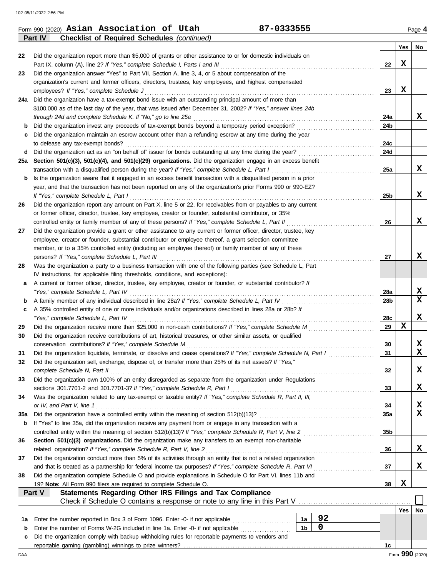|     | <b>Checklist of Required Schedules (continued)</b><br>Part IV                                                      |                |             |                 |             |                 |  |  |  |
|-----|--------------------------------------------------------------------------------------------------------------------|----------------|-------------|-----------------|-------------|-----------------|--|--|--|
|     |                                                                                                                    |                |             |                 | Yes         | No              |  |  |  |
| 22  | Did the organization report more than \$5,000 of grants or other assistance to or for domestic individuals on      |                |             |                 |             |                 |  |  |  |
|     | Part IX, column (A), line 2? If "Yes," complete Schedule I, Parts I and III                                        |                |             | 22              | х           |                 |  |  |  |
| 23  | Did the organization answer "Yes" to Part VII, Section A, line 3, 4, or 5 about compensation of the                |                |             |                 |             |                 |  |  |  |
|     | organization's current and former officers, directors, trustees, key employees, and highest compensated            |                |             |                 |             |                 |  |  |  |
|     | employees? If "Yes," complete Schedule J                                                                           |                |             | 23              | X           |                 |  |  |  |
|     | 24a Did the organization have a tax-exempt bond issue with an outstanding principal amount of more than            |                |             |                 |             |                 |  |  |  |
|     | \$100,000 as of the last day of the year, that was issued after December 31, 2002? If "Yes," answer lines 24b      |                |             |                 |             |                 |  |  |  |
|     | through 24d and complete Schedule K. If "No," go to line 25a                                                       |                |             | 24a             |             | x               |  |  |  |
|     | Did the organization invest any proceeds of tax-exempt bonds beyond a temporary period exception?                  |                |             | 24b             |             |                 |  |  |  |
|     |                                                                                                                    |                |             |                 |             |                 |  |  |  |
|     | Did the organization maintain an escrow account other than a refunding escrow at any time during the year          |                |             |                 |             |                 |  |  |  |
|     | to defease any tax-exempt bonds?                                                                                   |                |             | 24c             |             |                 |  |  |  |
| d   |                                                                                                                    |                |             | 24d             |             |                 |  |  |  |
|     | 25a Section 501(c)(3), 501(c)(4), and 501(c)(29) organizations. Did the organization engage in an excess benefit   |                |             |                 |             |                 |  |  |  |
|     | transaction with a disqualified person during the year? If "Yes," complete Schedule L, Part I                      |                |             | 25a             |             | x               |  |  |  |
| b   | Is the organization aware that it engaged in an excess benefit transaction with a disqualified person in a prior   |                |             |                 |             |                 |  |  |  |
|     | year, and that the transaction has not been reported on any of the organization's prior Forms 990 or 990-EZ?       |                |             |                 |             |                 |  |  |  |
|     | If "Yes," complete Schedule L, Part I                                                                              |                |             | 25 <sub>b</sub> |             | x               |  |  |  |
| 26  | Did the organization report any amount on Part X, line 5 or 22, for receivables from or payables to any current    |                |             |                 |             |                 |  |  |  |
|     | or former officer, director, trustee, key employee, creator or founder, substantial contributor, or 35%            |                |             |                 |             |                 |  |  |  |
|     | controlled entity or family member of any of these persons? If "Yes," complete Schedule L, Part II                 |                |             | 26              |             | x               |  |  |  |
| 27  | Did the organization provide a grant or other assistance to any current or former officer, director, trustee, key  |                |             |                 |             |                 |  |  |  |
|     | employee, creator or founder, substantial contributor or employee thereof, a grant selection committee             |                |             |                 |             |                 |  |  |  |
|     | member, or to a 35% controlled entity (including an employee thereof) or family member of any of these             |                |             |                 |             |                 |  |  |  |
|     | persons? If "Yes," complete Schedule L, Part III                                                                   |                |             |                 |             |                 |  |  |  |
| 28  | Was the organization a party to a business transaction with one of the following parties (see Schedule L, Part     |                |             |                 |             |                 |  |  |  |
|     | IV instructions, for applicable filing thresholds, conditions, and exceptions):                                    |                |             |                 |             |                 |  |  |  |
| а   | A current or former officer, director, trustee, key employee, creator or founder, or substantial contributor? If   |                |             |                 |             |                 |  |  |  |
|     | "Yes," complete Schedule L, Part IV                                                                                |                |             | 28a             |             | X               |  |  |  |
| b   | A family member of any individual described in line 28a? If "Yes," complete Schedule L, Part IV                    |                |             | 28b             |             | X               |  |  |  |
| c   | A 35% controlled entity of one or more individuals and/or organizations described in lines 28a or 28b? If          |                |             |                 |             |                 |  |  |  |
|     | "Yes," complete Schedule L, Part IV                                                                                |                |             | 28c             |             | x               |  |  |  |
| 29  | Did the organization receive more than \$25,000 in non-cash contributions? If "Yes," complete Schedule M           |                |             | 29              | $\mathbf x$ |                 |  |  |  |
| 30  | Did the organization receive contributions of art, historical treasures, or other similar assets, or qualified     |                |             |                 |             |                 |  |  |  |
|     | conservation contributions? If "Yes," complete Schedule M                                                          |                |             | 30              |             | X               |  |  |  |
| 31  | Did the organization liquidate, terminate, or dissolve and cease operations? If "Yes," complete Schedule N, Part I |                |             | 31              |             | $\mathbf x$     |  |  |  |
|     | Did the organization sell, exchange, dispose of, or transfer more than 25% of its net assets? If "Yes,"            |                |             |                 |             |                 |  |  |  |
| 32  |                                                                                                                    |                |             |                 |             | x               |  |  |  |
|     | complete Schedule N, Part II                                                                                       |                |             | 32              |             |                 |  |  |  |
| 33  | Did the organization own 100% of an entity disregarded as separate from the organization under Regulations         |                |             |                 |             |                 |  |  |  |
|     | sections 301.7701-2 and 301.7701-3? If "Yes," complete Schedule R, Part I                                          |                |             | 33              |             | x               |  |  |  |
| 34  | Was the organization related to any tax-exempt or taxable entity? If "Yes," complete Schedule R, Part II, III,     |                |             |                 |             |                 |  |  |  |
|     | or IV, and Part V, line 1                                                                                          |                |             | 34              |             | X               |  |  |  |
| 35a | Did the organization have a controlled entity within the meaning of section 512(b)(13)?                            |                |             | 35a             |             | $\mathbf x$     |  |  |  |
| b   | If "Yes" to line 35a, did the organization receive any payment from or engage in any transaction with a            |                |             |                 |             |                 |  |  |  |
|     | controlled entity within the meaning of section 512(b)(13)? If "Yes," complete Schedule R, Part V, line 2          |                |             | 35 <sub>b</sub> |             |                 |  |  |  |
| 36  | Section 501(c)(3) organizations. Did the organization make any transfers to an exempt non-charitable               |                |             |                 |             |                 |  |  |  |
|     | related organization? If "Yes," complete Schedule R, Part V, line 2                                                |                |             | 36              |             | x               |  |  |  |
| 37  | Did the organization conduct more than 5% of its activities through an entity that is not a related organization   |                |             |                 |             |                 |  |  |  |
|     | and that is treated as a partnership for federal income tax purposes? If "Yes," complete Schedule R, Part VI       |                |             | 37              |             | x               |  |  |  |
| 38  | Did the organization complete Schedule O and provide explanations in Schedule O for Part VI, lines 11b and         |                |             |                 |             |                 |  |  |  |
|     | 19? Note: All Form 990 filers are required to complete Schedule O.                                                 |                |             | 38              | х           |                 |  |  |  |
|     | Statements Regarding Other IRS Filings and Tax Compliance<br>Part V                                                |                |             |                 |             |                 |  |  |  |
|     | Check if Schedule O contains a response or note to any line in this Part V                                         |                |             |                 |             |                 |  |  |  |
|     |                                                                                                                    |                |             |                 | Yes         | No              |  |  |  |
| 1а  | Enter the number reported in Box 3 of Form 1096. Enter -0- if not applicable                                       | 1a             | 92          |                 |             |                 |  |  |  |
| b   | Enter the number of Forms W-2G included in line 1a. Enter -0- if not applicable                                    | 1 <sub>b</sub> | $\mathbf 0$ |                 |             |                 |  |  |  |
| с   | Did the organization comply with backup withholding rules for reportable payments to vendors and                   |                |             |                 |             |                 |  |  |  |
|     |                                                                                                                    |                |             | 1c              |             |                 |  |  |  |
| DAA |                                                                                                                    |                |             |                 |             | Form 990 (2020) |  |  |  |

Form 990 (2020) Page **4 Asian Association of Utah 87-0333555**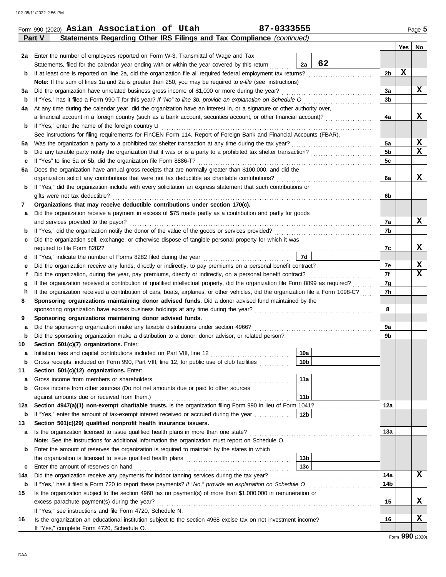| 87-0333555<br>Form 990 (2020) Asian Association of Utah<br>Page 5 |                                                                                                                                                                                                        |                 |    |                |            |                  |  |  |  |  |  |
|-------------------------------------------------------------------|--------------------------------------------------------------------------------------------------------------------------------------------------------------------------------------------------------|-----------------|----|----------------|------------|------------------|--|--|--|--|--|
|                                                                   | Statements Regarding Other IRS Filings and Tax Compliance (continued)<br>Part V                                                                                                                        |                 |    |                |            |                  |  |  |  |  |  |
|                                                                   |                                                                                                                                                                                                        |                 |    |                | <b>Yes</b> | No               |  |  |  |  |  |
|                                                                   | 2a Enter the number of employees reported on Form W-3, Transmittal of Wage and Tax                                                                                                                     |                 |    |                |            |                  |  |  |  |  |  |
|                                                                   | Statements, filed for the calendar year ending with or within the year covered by this return                                                                                                          | 2a              | 62 |                |            |                  |  |  |  |  |  |
| b                                                                 | If at least one is reported on line 2a, did the organization file all required federal employment tax returns?                                                                                         |                 |    | 2b             | X          |                  |  |  |  |  |  |
|                                                                   | Note: If the sum of lines 1a and 2a is greater than 250, you may be required to e-file (see instructions)                                                                                              |                 |    |                |            |                  |  |  |  |  |  |
| За                                                                | Did the organization have unrelated business gross income of \$1,000 or more during the year?                                                                                                          |                 |    | 3a             |            | X                |  |  |  |  |  |
| b                                                                 | If "Yes," has it filed a Form 990-T for this year? If "No" to line 3b, provide an explanation on Schedule O                                                                                            |                 |    | 3b             |            |                  |  |  |  |  |  |
| 4a                                                                | At any time during the calendar year, did the organization have an interest in, or a signature or other authority over,                                                                                |                 |    |                |            |                  |  |  |  |  |  |
|                                                                   | a financial account in a foreign country (such as a bank account, securities account, or other financial account)?                                                                                     |                 |    | 4a             |            | x                |  |  |  |  |  |
| b                                                                 | If "Yes," enter the name of the foreign country <b>u</b>                                                                                                                                               |                 |    |                |            |                  |  |  |  |  |  |
|                                                                   | See instructions for filing requirements for FinCEN Form 114, Report of Foreign Bank and Financial Accounts (FBAR).                                                                                    |                 |    |                |            |                  |  |  |  |  |  |
| 5a                                                                | Was the organization a party to a prohibited tax shelter transaction at any time during the tax year?                                                                                                  |                 |    | 5a             |            | X                |  |  |  |  |  |
| b                                                                 | Did any taxable party notify the organization that it was or is a party to a prohibited tax shelter transaction?                                                                                       |                 |    | 5 <sub>b</sub> |            | $\mathbf x$      |  |  |  |  |  |
| c                                                                 | If "Yes" to line 5a or 5b, did the organization file Form 8886-T?                                                                                                                                      |                 |    | 5c             |            |                  |  |  |  |  |  |
| 6а                                                                | Does the organization have annual gross receipts that are normally greater than \$100,000, and did the                                                                                                 |                 |    |                |            |                  |  |  |  |  |  |
|                                                                   | organization solicit any contributions that were not tax deductible as charitable contributions?                                                                                                       |                 |    | 6a             |            | x                |  |  |  |  |  |
| b                                                                 | If "Yes," did the organization include with every solicitation an express statement that such contributions or                                                                                         |                 |    |                |            |                  |  |  |  |  |  |
|                                                                   | gifts were not tax deductible?                                                                                                                                                                         |                 |    | 6b             |            |                  |  |  |  |  |  |
| 7                                                                 | Organizations that may receive deductible contributions under section 170(c).                                                                                                                          |                 |    |                |            |                  |  |  |  |  |  |
| а                                                                 | Did the organization receive a payment in excess of \$75 made partly as a contribution and partly for goods                                                                                            |                 |    |                |            |                  |  |  |  |  |  |
|                                                                   | and services provided to the payor?                                                                                                                                                                    |                 |    | 7а             |            | X                |  |  |  |  |  |
| $\mathbf b$                                                       | If "Yes," did the organization notify the donor of the value of the goods or services provided?<br>If "Yes," did the organization notify the donor of the value of the goods or services provided?<br> |                 |    | 7b             |            |                  |  |  |  |  |  |
| c                                                                 | Did the organization sell, exchange, or otherwise dispose of tangible personal property for which it was                                                                                               |                 |    |                |            |                  |  |  |  |  |  |
|                                                                   |                                                                                                                                                                                                        |                 |    | 7c             |            | x                |  |  |  |  |  |
| d                                                                 |                                                                                                                                                                                                        | <b>7d</b>       |    |                |            |                  |  |  |  |  |  |
| е                                                                 | Did the organization receive any funds, directly or indirectly, to pay premiums on a personal benefit contract?                                                                                        |                 |    |                |            |                  |  |  |  |  |  |
|                                                                   | Did the organization, during the year, pay premiums, directly or indirectly, on a personal benefit contract?                                                                                           |                 |    | 7e<br>7f       |            | X<br>$\mathbf x$ |  |  |  |  |  |
| g                                                                 | If the organization received a contribution of qualified intellectual property, did the organization file Form 8899 as required?                                                                       |                 |    |                |            |                  |  |  |  |  |  |
| h                                                                 | If the organization received a contribution of cars, boats, airplanes, or other vehicles, did the organization file a Form 1098-C?                                                                     |                 |    | 7g<br>7h       |            |                  |  |  |  |  |  |
| 8                                                                 | Sponsoring organizations maintaining donor advised funds. Did a donor advised fund maintained by the                                                                                                   |                 |    |                |            |                  |  |  |  |  |  |
|                                                                   |                                                                                                                                                                                                        |                 |    | 8              |            |                  |  |  |  |  |  |
| 9                                                                 | Sponsoring organizations maintaining donor advised funds.                                                                                                                                              |                 |    |                |            |                  |  |  |  |  |  |
| а                                                                 | Did the sponsoring organization make any taxable distributions under section 4966?                                                                                                                     |                 |    | 9а             |            |                  |  |  |  |  |  |
| b                                                                 |                                                                                                                                                                                                        |                 |    | 9b             |            |                  |  |  |  |  |  |
| 10                                                                | Section 501(c)(7) organizations. Enter:                                                                                                                                                                |                 |    |                |            |                  |  |  |  |  |  |
|                                                                   |                                                                                                                                                                                                        | 10a             |    |                |            |                  |  |  |  |  |  |
| b                                                                 | Gross receipts, included on Form 990, Part VIII, line 12, for public use of club facilities                                                                                                            | 10 <sub>b</sub> |    |                |            |                  |  |  |  |  |  |
| 11                                                                | Section 501(c)(12) organizations. Enter:                                                                                                                                                               |                 |    |                |            |                  |  |  |  |  |  |
| а                                                                 | Gross income from members or shareholders                                                                                                                                                              | 11a             |    |                |            |                  |  |  |  |  |  |
| b                                                                 | Gross income from other sources (Do not net amounts due or paid to other sources                                                                                                                       |                 |    |                |            |                  |  |  |  |  |  |
|                                                                   | against amounts due or received from them.)                                                                                                                                                            | 11 <sub>b</sub> |    |                |            |                  |  |  |  |  |  |
| 12a                                                               | Section 4947(a)(1) non-exempt charitable trusts. Is the organization filing Form 990 in lieu of Form 1041?                                                                                             |                 |    | 12a            |            |                  |  |  |  |  |  |
| b                                                                 | If "Yes," enter the amount of tax-exempt interest received or accrued during the year                                                                                                                  | 12 <sub>b</sub> |    |                |            |                  |  |  |  |  |  |
| 13                                                                | Section 501(c)(29) qualified nonprofit health insurance issuers.                                                                                                                                       |                 |    |                |            |                  |  |  |  |  |  |
| a                                                                 | Is the organization licensed to issue qualified health plans in more than one state?                                                                                                                   |                 |    | 13а            |            |                  |  |  |  |  |  |
|                                                                   | Note: See the instructions for additional information the organization must report on Schedule O.                                                                                                      |                 |    |                |            |                  |  |  |  |  |  |
| b                                                                 | Enter the amount of reserves the organization is required to maintain by the states in which                                                                                                           |                 |    |                |            |                  |  |  |  |  |  |
|                                                                   |                                                                                                                                                                                                        | 13 <sub>b</sub> |    |                |            |                  |  |  |  |  |  |
|                                                                   |                                                                                                                                                                                                        | 13c             |    |                |            |                  |  |  |  |  |  |
| c                                                                 | Enter the amount of reserves on hand<br>Did the organization receive any payments for indoor tanning services during the tax year?                                                                     |                 |    | 14a            |            | X                |  |  |  |  |  |
| 14a                                                               |                                                                                                                                                                                                        |                 |    | 14b            |            |                  |  |  |  |  |  |
| b                                                                 | If "Yes," has it filed a Form 720 to report these payments? If "No," provide an explanation on Schedule O                                                                                              |                 |    |                |            |                  |  |  |  |  |  |
| 15                                                                | Is the organization subject to the section 4960 tax on payment(s) of more than \$1,000,000 in remuneration or                                                                                          |                 |    |                |            | x                |  |  |  |  |  |
|                                                                   | excess parachute payment(s) during the year?                                                                                                                                                           |                 |    | 15             |            |                  |  |  |  |  |  |
|                                                                   | If "Yes," see instructions and file Form 4720, Schedule N.                                                                                                                                             |                 |    |                |            | X                |  |  |  |  |  |
| 16                                                                | Is the organization an educational institution subject to the section 4968 excise tax on net investment income?                                                                                        |                 |    | 16             |            |                  |  |  |  |  |  |
|                                                                   | If "Yes," complete Form 4720, Schedule O.                                                                                                                                                              |                 |    |                |            |                  |  |  |  |  |  |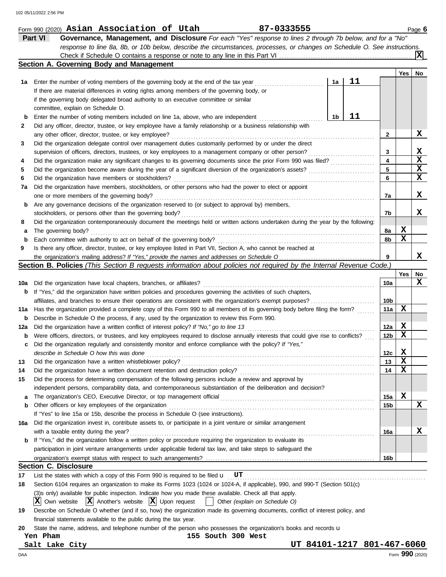|                                                                                                                                       | Part VI<br>Governance, Management, and Disclosure For each "Yes" response to lines 2 through 7b below, and for a "No"               |    |    |                         |                 |                  |  |  |  |
|---------------------------------------------------------------------------------------------------------------------------------------|-------------------------------------------------------------------------------------------------------------------------------------|----|----|-------------------------|-----------------|------------------|--|--|--|
|                                                                                                                                       | response to line 8a, 8b, or 10b below, describe the circumstances, processes, or changes on Schedule O. See instructions.           |    |    |                         |                 |                  |  |  |  |
|                                                                                                                                       |                                                                                                                                     |    |    |                         |                 | X                |  |  |  |
|                                                                                                                                       | Section A. Governing Body and Management                                                                                            |    |    |                         |                 |                  |  |  |  |
|                                                                                                                                       |                                                                                                                                     |    |    |                         | Yes             | No               |  |  |  |
| 1а                                                                                                                                    | Enter the number of voting members of the governing body at the end of the tax year                                                 | 1a | 11 |                         |                 |                  |  |  |  |
|                                                                                                                                       | If there are material differences in voting rights among members of the governing body, or                                          |    |    |                         |                 |                  |  |  |  |
|                                                                                                                                       | if the governing body delegated broad authority to an executive committee or similar                                                |    |    |                         |                 |                  |  |  |  |
|                                                                                                                                       | committee, explain on Schedule O.                                                                                                   |    |    |                         |                 |                  |  |  |  |
| b                                                                                                                                     | Enter the number of voting members included on line 1a, above, who are independent                                                  | 1b | 11 |                         |                 |                  |  |  |  |
| 2                                                                                                                                     | Did any officer, director, trustee, or key employee have a family relationship or a business relationship with                      |    |    |                         |                 |                  |  |  |  |
|                                                                                                                                       |                                                                                                                                     |    |    | 2                       |                 | X                |  |  |  |
| 3                                                                                                                                     | Did the organization delegate control over management duties customarily performed by or under the direct                           |    |    |                         |                 |                  |  |  |  |
| 3<br>supervision of officers, directors, trustees, or key employees to a management company or other person?                          |                                                                                                                                     |    |    |                         |                 |                  |  |  |  |
| 4                                                                                                                                     | Did the organization make any significant changes to its governing documents since the prior Form 990 was filed?                    |    |    | $\overline{\mathbf{4}}$ |                 | X<br>$\mathbf x$ |  |  |  |
| 5                                                                                                                                     |                                                                                                                                     |    |    | 5                       |                 | $\mathbf x$      |  |  |  |
| 6                                                                                                                                     |                                                                                                                                     |    |    | 6                       |                 | X                |  |  |  |
| 7a                                                                                                                                    | Did the organization have members, stockholders, or other persons who had the power to elect or appoint                             |    |    |                         |                 |                  |  |  |  |
|                                                                                                                                       | one or more members of the governing body?                                                                                          |    |    | 7a                      |                 | X                |  |  |  |
| b                                                                                                                                     | Are any governance decisions of the organization reserved to (or subject to approval by) members,                                   |    |    |                         |                 |                  |  |  |  |
|                                                                                                                                       | stockholders, or persons other than the governing body?                                                                             |    |    | 7b                      |                 | X                |  |  |  |
|                                                                                                                                       | Did the organization contemporaneously document the meetings held or written actions undertaken during the year by the following:   |    |    |                         |                 |                  |  |  |  |
| 8                                                                                                                                     | The governing body?                                                                                                                 |    |    |                         | X               |                  |  |  |  |
| a                                                                                                                                     |                                                                                                                                     |    |    | 8a<br>8b                | X               |                  |  |  |  |
| $\mathbf b$                                                                                                                           | Each committee with authority to act on behalf of the governing body?                                                               |    |    |                         |                 |                  |  |  |  |
| 9                                                                                                                                     | Is there any officer, director, trustee, or key employee listed in Part VII, Section A, who cannot be reached at                    |    |    |                         |                 | X                |  |  |  |
|                                                                                                                                       |                                                                                                                                     |    |    | 9                       |                 |                  |  |  |  |
|                                                                                                                                       | Section B. Policies (This Section B requests information about policies not required by the Internal Revenue Code.)                 |    |    |                         |                 |                  |  |  |  |
|                                                                                                                                       |                                                                                                                                     |    |    |                         | Yes             | No<br>x          |  |  |  |
| 10a                                                                                                                                   | Did the organization have local chapters, branches, or affiliates?                                                                  |    |    | 10a                     |                 |                  |  |  |  |
| b                                                                                                                                     | If "Yes," did the organization have written policies and procedures governing the activities of such chapters,                      |    |    |                         |                 |                  |  |  |  |
|                                                                                                                                       | affiliates, and branches to ensure their operations are consistent with the organization's exempt purposes?                         |    |    | 10b                     |                 |                  |  |  |  |
|                                                                                                                                       | 11a Has the organization provided a complete copy of this Form 990 to all members of its governing body before filing the form?     |    |    | 11a                     | х               |                  |  |  |  |
| b                                                                                                                                     | Describe in Schedule O the process, if any, used by the organization to review this Form 990.                                       |    |    |                         |                 |                  |  |  |  |
| 12a                                                                                                                                   | Did the organization have a written conflict of interest policy? If "No," go to line 13                                             |    |    | 12a                     | X               |                  |  |  |  |
| b                                                                                                                                     | Were officers, directors, or trustees, and key employees required to disclose annually interests that could give rise to conflicts? |    |    | 12 <sub>b</sub>         | $\mathbf x$     |                  |  |  |  |
| c                                                                                                                                     | Did the organization regularly and consistently monitor and enforce compliance with the policy? If "Yes,"                           |    |    |                         |                 |                  |  |  |  |
|                                                                                                                                       | describe in Schedule O how this was done                                                                                            |    |    | 12c                     | X               |                  |  |  |  |
| 13                                                                                                                                    | Did the organization have a written whistleblower policy?                                                                           |    |    | 13                      | x               |                  |  |  |  |
| 14                                                                                                                                    |                                                                                                                                     |    |    | 14                      | X               |                  |  |  |  |
| 15                                                                                                                                    | Did the process for determining compensation of the following persons include a review and approval by                              |    |    |                         |                 |                  |  |  |  |
|                                                                                                                                       | independent persons, comparability data, and contemporaneous substantiation of the deliberation and decision?                       |    |    |                         |                 |                  |  |  |  |
| a                                                                                                                                     |                                                                                                                                     |    |    | 15a                     | X               |                  |  |  |  |
| b                                                                                                                                     | Other officers or key employees of the organization                                                                                 |    |    | 15b                     |                 | x                |  |  |  |
|                                                                                                                                       | If "Yes" to line 15a or 15b, describe the process in Schedule O (see instructions).                                                 |    |    |                         |                 |                  |  |  |  |
| 16a                                                                                                                                   | Did the organization invest in, contribute assets to, or participate in a joint venture or similar arrangement                      |    |    |                         |                 |                  |  |  |  |
|                                                                                                                                       | with a taxable entity during the year?                                                                                              |    |    | 16a                     |                 | X                |  |  |  |
| b                                                                                                                                     | If "Yes," did the organization follow a written policy or procedure requiring the organization to evaluate its                      |    |    |                         |                 |                  |  |  |  |
|                                                                                                                                       | participation in joint venture arrangements under applicable federal tax law, and take steps to safeguard the                       |    |    |                         |                 |                  |  |  |  |
|                                                                                                                                       |                                                                                                                                     |    |    | 16b                     |                 |                  |  |  |  |
|                                                                                                                                       | <b>Section C. Disclosure</b>                                                                                                        |    |    |                         |                 |                  |  |  |  |
| 17                                                                                                                                    | List the states with which a copy of this Form 990 is required to be filed $\mathbf{u}$ UT                                          |    |    |                         |                 |                  |  |  |  |
| 18                                                                                                                                    | Section 6104 requires an organization to make its Forms 1023 (1024 or 1024-A, if applicable), 990, and 990-T (Section 501(c)        |    |    |                         |                 |                  |  |  |  |
|                                                                                                                                       | (3)s only) available for public inspection. Indicate how you made these available. Check all that apply.                            |    |    |                         |                 |                  |  |  |  |
|                                                                                                                                       | $ \mathbf{X} $ Another's website $ \mathbf{X} $ Upon request<br> X <br>Own website<br>Other (explain on Schedule O)                 |    |    |                         |                 |                  |  |  |  |
| Describe on Schedule O whether (and if so, how) the organization made its governing documents, conflict of interest policy, and<br>19 |                                                                                                                                     |    |    |                         |                 |                  |  |  |  |
|                                                                                                                                       | financial statements available to the public during the tax year.                                                                   |    |    |                         |                 |                  |  |  |  |
| 20                                                                                                                                    | State the name, address, and telephone number of the person who possesses the organization's books and records <b>u</b>             |    |    |                         |                 |                  |  |  |  |
|                                                                                                                                       | Yen Pham<br>155 South 300 West                                                                                                      |    |    |                         |                 |                  |  |  |  |
|                                                                                                                                       | UT 84101-1217 801-467-6060<br>Salt Lake City                                                                                        |    |    |                         |                 |                  |  |  |  |
| DAA                                                                                                                                   |                                                                                                                                     |    |    |                         | Form 990 (2020) |                  |  |  |  |

Form 990 (2020) Page **6 Asian Association of Utah 87-0333555**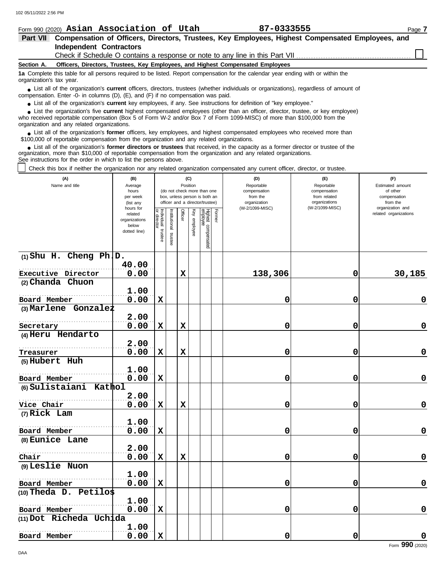**(1) Shu H. Cheng Ph.D.**

**(3) Marlene Gonzalez**

. . . . . . . . . . . . . . . . . . . . . . . . . . . . . . . . . . . . . . . . . . . . . . . . . . . . . . .

. . . . . . . . . . . . . . . . . . . . . . . . . . . . . . . . . . . . . . . . . . . . . . . . . . . . . . . **Board Member**

**Executive Director 10.00** 

**40.00**

**1.00**

**2.00**

**(2) Chanda Chuon**

**(4) Heru Hendarto**

**Secretary**

| Form 990 (2020) Asian Association of Utah                                                                                                                                                                                                                                                                                   |                                                                            |                                                                                                                                                                                    |                                                                                  | 87-0333555                                                                                       |                                                                                                              | Page 7 |  |  |  |  |
|-----------------------------------------------------------------------------------------------------------------------------------------------------------------------------------------------------------------------------------------------------------------------------------------------------------------------------|----------------------------------------------------------------------------|------------------------------------------------------------------------------------------------------------------------------------------------------------------------------------|----------------------------------------------------------------------------------|--------------------------------------------------------------------------------------------------|--------------------------------------------------------------------------------------------------------------|--------|--|--|--|--|
| <b>Part VII</b>                                                                                                                                                                                                                                                                                                             |                                                                            |                                                                                                                                                                                    |                                                                                  | Compensation of Officers, Directors, Trustees, Key Employees, Highest Compensated Employees, and |                                                                                                              |        |  |  |  |  |
| <b>Independent Contractors</b>                                                                                                                                                                                                                                                                                              |                                                                            |                                                                                                                                                                                    |                                                                                  |                                                                                                  |                                                                                                              |        |  |  |  |  |
|                                                                                                                                                                                                                                                                                                                             |                                                                            |                                                                                                                                                                                    |                                                                                  | Check if Schedule O contains a response or note to any line in this Part VII                     |                                                                                                              |        |  |  |  |  |
| Section A.                                                                                                                                                                                                                                                                                                                  |                                                                            |                                                                                                                                                                                    |                                                                                  | Officers, Directors, Trustees, Key Employees, and Highest Compensated Employees                  |                                                                                                              |        |  |  |  |  |
| 1a Complete this table for all persons required to be listed. Report compensation for the calendar year ending with or within the<br>organization's tax year.                                                                                                                                                               |                                                                            |                                                                                                                                                                                    |                                                                                  |                                                                                                  |                                                                                                              |        |  |  |  |  |
| • List all of the organization's <b>current</b> officers, directors, trustees (whether individuals or organizations), regardless of amount of<br>compensation. Enter -0- in columns (D), (E), and (F) if no compensation was paid.                                                                                          |                                                                            |                                                                                                                                                                                    |                                                                                  |                                                                                                  |                                                                                                              |        |  |  |  |  |
| • List all of the organization's current key employees, if any. See instructions for definition of "key employee."                                                                                                                                                                                                          |                                                                            |                                                                                                                                                                                    |                                                                                  |                                                                                                  |                                                                                                              |        |  |  |  |  |
| • List the organization's five current highest compensated employees (other than an officer, director, trustee, or key employee)<br>who received reportable compensation (Box 5 of Form W-2 and/or Box 7 of Form 1099-MISC) of more than \$100,000 from the<br>organization and any related organizations.                  |                                                                            |                                                                                                                                                                                    |                                                                                  |                                                                                                  |                                                                                                              |        |  |  |  |  |
| • List all of the organization's former officers, key employees, and highest compensated employees who received more than<br>\$100,000 of reportable compensation from the organization and any related organizations.                                                                                                      |                                                                            |                                                                                                                                                                                    |                                                                                  |                                                                                                  |                                                                                                              |        |  |  |  |  |
| List all of the organization's former directors or trustees that received, in the capacity as a former director or trustee of the<br>organization, more than \$10,000 of reportable compensation from the organization and any related organizations.<br>See instructions for the order in which to list the persons above. |                                                                            |                                                                                                                                                                                    |                                                                                  |                                                                                                  |                                                                                                              |        |  |  |  |  |
| Check this box if neither the organization nor any related organization compensated any current officer, director, or trustee.                                                                                                                                                                                              |                                                                            |                                                                                                                                                                                    |                                                                                  |                                                                                                  |                                                                                                              |        |  |  |  |  |
| (A)<br>Name and title                                                                                                                                                                                                                                                                                                       | Individual<br>or director<br>Institutional<br>Office<br>trustee<br>trustee | (C)<br>Position<br>(do not check more than one<br>box, unless person is both an<br>officer and a director/trustee)<br>Highest compensated<br>employee<br>Κey<br>Former<br>employee | (D)<br>Reportable<br>compensation<br>from the<br>organization<br>(W-2/1099-MISC) | (E)<br>Reportable<br>compensation<br>from related<br>organizations<br>(W-2/1099-MISC)            | (F)<br>Estimated amount<br>of other<br>compensation<br>from the<br>organization and<br>related organizations |        |  |  |  |  |

**0.00 X 138,306 0 30,185**

**0.00 X 0 0 0**

**0.00 X X 0 0 0**

|                         | 2.00 |             |             |  |   |              |                 |
|-------------------------|------|-------------|-------------|--|---|--------------|-----------------|
| Treasurer               | 0.00 | x           | $\mathbf x$ |  | 0 | $\mathbf{0}$ | $\mathbf 0$     |
| (5) Hubert Huh          |      |             |             |  |   |              |                 |
|                         | 1.00 |             |             |  |   |              |                 |
| Board Member            | 0.00 | X           |             |  | 0 | 0            | $\mathbf 0$     |
| (6) Sulistaiani Kathol  |      |             |             |  |   |              |                 |
|                         | 2.00 |             |             |  |   |              |                 |
| Vice Chair              | 0.00 | X           | $\mathbf x$ |  | 0 | 0            | $\mathbf 0$     |
| (7) Rick Lam            |      |             |             |  |   |              |                 |
|                         | 1.00 |             |             |  |   |              |                 |
| Board Member            | 0.00 | $\mathbf x$ |             |  | 0 | 0            | $\mathbf 0$     |
| (8) Eunice Lane         |      |             |             |  |   |              |                 |
|                         | 2.00 |             |             |  |   |              |                 |
| Chair                   | 0.00 | x           | $\mathbf x$ |  | 0 | 0            | $\mathbf 0$     |
| (9) Leslie Nuon         |      |             |             |  |   |              |                 |
|                         | 1.00 |             |             |  |   |              |                 |
| Board Member            | 0.00 | x           |             |  | 0 | O            | $\mathbf 0$     |
| (10) Theda D. Petilos   |      |             |             |  |   |              |                 |
|                         | 1.00 |             |             |  |   |              |                 |
| Board Member            | 0.00 | X           |             |  | 0 | O            | $\mathbf 0$     |
| (11) Dot Richeda Uchida |      |             |             |  |   |              |                 |
|                         | 1.00 |             |             |  |   |              |                 |
| Board Member            | 0.00 | X           |             |  | 0 | 0            | 0               |
|                         |      |             |             |  |   |              | Form 990 (2020) |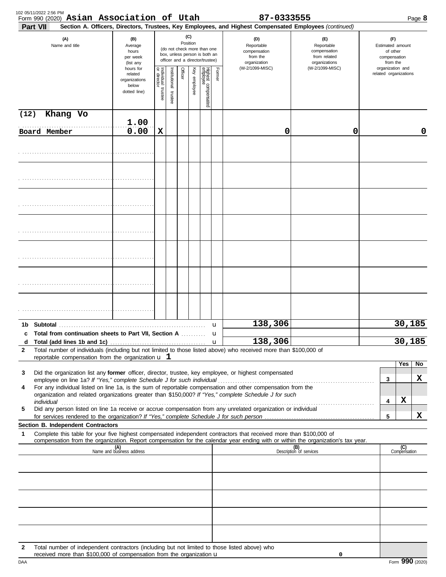| 102 05/11/2022 2:56 PM<br>Form 990 (2020) Asian Association of Utah<br>Part VII                                                                                                                                                                                                                                                                           |                                                                |                                                                                                                    |                       |         |              |                                 |        | 87-0333555<br>Section A. Officers, Directors, Trustees, Key Employees, and Highest Compensated Employees (continued) |                                                                    |   | Page 8                                                          |
|-----------------------------------------------------------------------------------------------------------------------------------------------------------------------------------------------------------------------------------------------------------------------------------------------------------------------------------------------------------|----------------------------------------------------------------|--------------------------------------------------------------------------------------------------------------------|-----------------------|---------|--------------|---------------------------------|--------|----------------------------------------------------------------------------------------------------------------------|--------------------------------------------------------------------|---|-----------------------------------------------------------------|
| (A)<br>Name and title                                                                                                                                                                                                                                                                                                                                     | (B)<br>Average<br>hours<br>per week<br>(list any               | (C)<br>Position<br>(do not check more than one<br>box, unless person is both an<br>officer and a director/trustee) |                       |         |              |                                 |        | (D)<br>Reportable<br>compensation<br>from the<br>organization                                                        | (E)<br>Reportable<br>compensation<br>from related<br>organizations |   | (F)<br>Estimated amount<br>of other<br>compensation<br>from the |
|                                                                                                                                                                                                                                                                                                                                                           | hours for<br>related<br>organizations<br>below<br>dotted line) | Individual 1<br>trustee                                                                                            | Institutional trustee | Officer | Key employee | Highest compensated<br>employee | Former | (W-2/1099-MISC)                                                                                                      | (W-2/1099-MISC)                                                    |   | organization and<br>related organizations                       |
| Khang Vo<br>(12)                                                                                                                                                                                                                                                                                                                                          |                                                                |                                                                                                                    |                       |         |              |                                 |        |                                                                                                                      |                                                                    |   |                                                                 |
| Board Member                                                                                                                                                                                                                                                                                                                                              | 1.00<br>0.00                                                   | X                                                                                                                  |                       |         |              |                                 |        | 0                                                                                                                    | 0                                                                  |   | 0                                                               |
|                                                                                                                                                                                                                                                                                                                                                           |                                                                |                                                                                                                    |                       |         |              |                                 |        |                                                                                                                      |                                                                    |   |                                                                 |
|                                                                                                                                                                                                                                                                                                                                                           |                                                                |                                                                                                                    |                       |         |              |                                 |        |                                                                                                                      |                                                                    |   |                                                                 |
|                                                                                                                                                                                                                                                                                                                                                           |                                                                |                                                                                                                    |                       |         |              |                                 |        |                                                                                                                      |                                                                    |   |                                                                 |
|                                                                                                                                                                                                                                                                                                                                                           |                                                                |                                                                                                                    |                       |         |              |                                 |        |                                                                                                                      |                                                                    |   |                                                                 |
|                                                                                                                                                                                                                                                                                                                                                           |                                                                |                                                                                                                    |                       |         |              |                                 |        |                                                                                                                      |                                                                    |   |                                                                 |
|                                                                                                                                                                                                                                                                                                                                                           |                                                                |                                                                                                                    |                       |         |              |                                 |        |                                                                                                                      |                                                                    |   |                                                                 |
|                                                                                                                                                                                                                                                                                                                                                           |                                                                |                                                                                                                    |                       |         |              |                                 |        |                                                                                                                      |                                                                    |   |                                                                 |
|                                                                                                                                                                                                                                                                                                                                                           |                                                                |                                                                                                                    |                       |         |              |                                 |        |                                                                                                                      |                                                                    |   |                                                                 |
| c Total from continuation sheets to Part VII, Section A                                                                                                                                                                                                                                                                                                   |                                                                |                                                                                                                    |                       |         |              |                                 | u<br>u | 138,306                                                                                                              |                                                                    |   | 30,185                                                          |
| d                                                                                                                                                                                                                                                                                                                                                         |                                                                |                                                                                                                    |                       |         |              |                                 | u      | 138,306                                                                                                              |                                                                    |   | 30,185                                                          |
| Total number of individuals (including but not limited to those listed above) who received more than \$100,000 of<br>$\mathbf{2}$<br>reportable compensation from the organization $\mathbf u$ 1                                                                                                                                                          |                                                                |                                                                                                                    |                       |         |              |                                 |        |                                                                                                                      |                                                                    |   |                                                                 |
| Did the organization list any former officer, director, trustee, key employee, or highest compensated<br>3                                                                                                                                                                                                                                                |                                                                |                                                                                                                    |                       |         |              |                                 |        |                                                                                                                      |                                                                    |   | Yes<br>No                                                       |
|                                                                                                                                                                                                                                                                                                                                                           |                                                                |                                                                                                                    |                       |         |              |                                 |        |                                                                                                                      |                                                                    | 3 | x                                                               |
| For any individual listed on line 1a, is the sum of reportable compensation and other compensation from the<br>4<br>organization and related organizations greater than \$150,000? If "Yes," complete Schedule J for such                                                                                                                                 |                                                                |                                                                                                                    |                       |         |              |                                 |        |                                                                                                                      |                                                                    |   |                                                                 |
| individual <b>construe and the construction of the construction of the construction</b> of the construction of the construction of the construction of the construction of the construction of the construction of the construction<br>Did any person listed on line 1a receive or accrue compensation from any unrelated organization or individual<br>5 |                                                                |                                                                                                                    |                       |         |              |                                 |        |                                                                                                                      |                                                                    | 4 | X                                                               |
|                                                                                                                                                                                                                                                                                                                                                           |                                                                |                                                                                                                    |                       |         |              |                                 |        |                                                                                                                      |                                                                    | 5 | x                                                               |
| Section B. Independent Contractors<br>Complete this table for your five highest compensated independent contractors that received more than \$100,000 of<br>1                                                                                                                                                                                             |                                                                |                                                                                                                    |                       |         |              |                                 |        |                                                                                                                      |                                                                    |   |                                                                 |
| compensation from the organization. Report compensation for the calendar year ending with or within the organization's tax year.                                                                                                                                                                                                                          | (A)<br>Name and business address                               |                                                                                                                    |                       |         |              |                                 |        |                                                                                                                      | (B)<br>Description of services                                     |   | (C)<br>Compensation                                             |
|                                                                                                                                                                                                                                                                                                                                                           |                                                                |                                                                                                                    |                       |         |              |                                 |        |                                                                                                                      |                                                                    |   |                                                                 |
|                                                                                                                                                                                                                                                                                                                                                           |                                                                |                                                                                                                    |                       |         |              |                                 |        |                                                                                                                      |                                                                    |   |                                                                 |
|                                                                                                                                                                                                                                                                                                                                                           |                                                                |                                                                                                                    |                       |         |              |                                 |        |                                                                                                                      |                                                                    |   |                                                                 |
|                                                                                                                                                                                                                                                                                                                                                           |                                                                |                                                                                                                    |                       |         |              |                                 |        |                                                                                                                      |                                                                    |   |                                                                 |
| Total number of independent contractors (including but not limited to those listed above) who<br>2<br>received more than \$100,000 of compensation from the organization u                                                                                                                                                                                |                                                                |                                                                                                                    |                       |         |              |                                 |        |                                                                                                                      | 0                                                                  |   |                                                                 |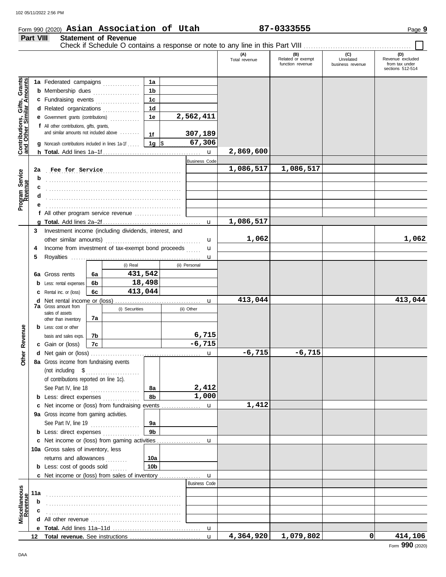**Part VIII Statement of Revenue**

### Form 990 (2020) Page **9 Asian Association of Utah 87-0333555**

#### Check if Schedule O contains a response or note to any line in this Part VIII ........ **(A) (B) (C) (D)** Total revenue Related or exempt Unrelated Revenue excluded function revenue business revenue from tax under sections 512-514 <u>ិទី</u> **Contributions, Gifts, Grants and Other Similar Amounts 1a 1a** Federated campaigns **. . . . . . . . . . . .** Grant<br>mount **1b b** Membership dues . . . . . . . . . . . . . . . . Gifts, diffs, directions, controller and a large distribution of the controller and distribution of the controller and distribution of the controller and distribution of the controller and controller and distribution of th **1c c** Fundraising events **. . . . . . . . . . . . . .** . . **1d d** Related organizations . . . . . . . . . . . . . **2,562,411** Contributions,<br>and Other Sim **1e e** Government grants (contributions) . . . . . . . . . . . . **f** All other contributions, gifts, grants, and similar amounts not included above ........ **307,189 1f 1g** \$ . . . . . . . . . . . . . . . . . . . . . **67,306 g** Noncash contributions included in lines 1a-1f . . . . . **2,869,600** u **h Total.** Add lines 1a–1f . . . . . . . . . . . . . . . . . . . . . . . . . . . . . . . . . . . . . . . . Business Code . . . . . . . . . . . . . . . . . . . . . . . . . . . . . . . . . . . . . . . . . . . . . . . . . . . . . . . **2a Fee for Service 1,086,517 1,086,517** Program Service<br>Revenue **Program Service b** . . . . . . . . . . . . . . . . . . . . . . . . . . . . . . . . . . . . . . . . . . . . . . . . . . . . . . . **c** . . . . . . . . . . . . . . . . . . . . . . . . . . . . . . . . . . . . . . . . . . . . . . . . . . . . . . . **d** . . . . . . . . . . . . . . . . . . . . . . . . . . . . . . . . . . . . . . . . . . . . . . . . . . . . . . . **e** . . . . . . . . . . . . . . . . . . . . . . . . . . . . . . . . . . . . . . . . . . . . . . . . . . . . . . . **f** All other program service revenue . . . . . . . . . . . . . . . . . . . **1,086,517 g Total.** Add lines 2a–2f . . . . . . . . . . . . . . . . . . . . . . . . . . . . . . . . . . . . . . . . u **3** Investment income (including dividends, interest, and **1,062 1,062** other similar amounts) . . . . . . . . . . . . . . . . . . . . . . . . . . . . . . . . . . . . . . . u u **4** Income from investment of tax-exempt bond proceeds ...... **5** Royalties . . . . . . . . . . . . . . . . . . . . . . . . . . . . . . . . . . . . . . . . . . . . . . . . . . . . . u (i) Real (ii) Personal **431,542 6a 6a** Gross rents **6b 18,498 b** Less: rental expenses **413,044 6c c** Rental inc. or (loss) **413,044 413,044 d** Net rental income or (loss) . . . . . . . . . . . . . . . . . . . . . . . . . . . . . . . . . . . u **7a** Gross amount from (i) Securities (ii) Other sales of assets **7a** other than inventory Revenue **b** Less: cost or other **Other Revenue 6,715** basis and sales exps. **7b -6,715 7c c** Gain or (loss) Other I **-6,715 -6,715 d** u Net gain or (loss) . . . . . . . . . . . . . . . . . . . . . . . . . . . . . . . . . . . . . . . . . . . . . **8a** Gross income from fundraising events (not including \$ . . . . . . . . . . . . . . . . . . . . . . of contributions reported on line 1c). **2,412** See Part IV, line 18 . . . . . . . . . . . . . . . . . . . . **8a 8b 1,000 b** Less: direct expenses . . . . . . . . . . . . . **1,412** u **c** Net income or (loss) from fundraising events ............... **9a** Gross income from gaming activities. See Part IV, line 19 . . . . . . . . . . . . . . . . . . . . **9a 9b b** Less: direct expenses ............... u Net income or (loss) from gaming activities . . . . . . . . . . . . . . . . . . **c** 10a Gross sales of inventory, less returns and allowances .......... **10a 10b b** Less: cost of goods sold  $\ldots$ Net income or (loss) from sales of inventory . . . . . . . . . . . . . . . . . **c** u Business Code **Revenue Miscellaneous 11a** . . . . . . . . . . . . . . . . . . . . . . . . . . . . . . . . . . . . . . . . . . . . . . . . . . . . . . . **b** . . . . . . . . . . . . . . . . . . . . . . . . . . . . . . . . . . . . . . . . . . . . . . . . . . . . . . . **c d** All other revenue . . . . . . . . . . . . . . . . . . . . . . . . . . . . . . . . . . . . . **e Total.** Add lines 11a–11d . . . . . . . . . . . . . . . . . . . . . . . . . . . . . . . . . . . . u **4,364,920 1,079,802 0 414,106 Total revenue.** See instructions **12** u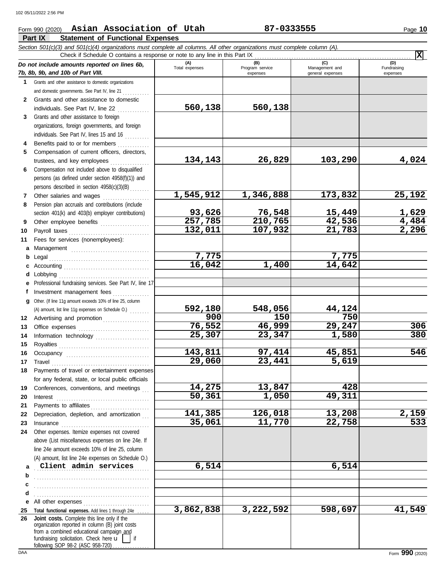## **Part IX Statement of Functional Expenses** Form 990 (2020) Page **10 Asian Association of Utah 87-0333555**

|              | Section 501(c)(3) and 501(c)(4) organizations must complete all columns. All other organizations must complete column (A).<br>Check if Schedule O contains a response or note to any line in this Part IX                                                                                                                                                                                                                                           |                   |                        |                  | ΙxΙ                   |
|--------------|-----------------------------------------------------------------------------------------------------------------------------------------------------------------------------------------------------------------------------------------------------------------------------------------------------------------------------------------------------------------------------------------------------------------------------------------------------|-------------------|------------------------|------------------|-----------------------|
|              |                                                                                                                                                                                                                                                                                                                                                                                                                                                     | (A)               | (B)                    | (C)              | (D)                   |
|              | Do not include amounts reported on lines 6b,<br>7b, 8b, 9b, and 10b of Part VIII.                                                                                                                                                                                                                                                                                                                                                                   | Total expenses    | Program service        | Management and   | Fundraising           |
| 1            |                                                                                                                                                                                                                                                                                                                                                                                                                                                     |                   | expenses               | general expenses | expenses              |
|              | Grants and other assistance to domestic organizations<br>and domestic governments. See Part IV, line 21                                                                                                                                                                                                                                                                                                                                             |                   |                        |                  |                       |
| $\mathbf{2}$ | Grants and other assistance to domestic                                                                                                                                                                                                                                                                                                                                                                                                             |                   |                        |                  |                       |
|              | individuals. See Part IV, line 22                                                                                                                                                                                                                                                                                                                                                                                                                   | 560,138           | 560,138                |                  |                       |
| 3            | Grants and other assistance to foreign                                                                                                                                                                                                                                                                                                                                                                                                              |                   |                        |                  |                       |
|              | organizations, foreign governments, and foreign                                                                                                                                                                                                                                                                                                                                                                                                     |                   |                        |                  |                       |
|              | individuals. See Part IV, lines 15 and 16                                                                                                                                                                                                                                                                                                                                                                                                           |                   |                        |                  |                       |
| 4            | Benefits paid to or for members                                                                                                                                                                                                                                                                                                                                                                                                                     |                   |                        |                  |                       |
| 5            | Compensation of current officers, directors,                                                                                                                                                                                                                                                                                                                                                                                                        |                   |                        |                  |                       |
|              |                                                                                                                                                                                                                                                                                                                                                                                                                                                     | 134, 143          | 26,829                 | 103,290          | 4,024                 |
|              | trustees, and key employees                                                                                                                                                                                                                                                                                                                                                                                                                         |                   |                        |                  |                       |
| 6            | Compensation not included above to disqualified                                                                                                                                                                                                                                                                                                                                                                                                     |                   |                        |                  |                       |
|              | persons (as defined under section 4958(f)(1)) and                                                                                                                                                                                                                                                                                                                                                                                                   |                   |                        |                  |                       |
|              | persons described in section 4958(c)(3)(B)                                                                                                                                                                                                                                                                                                                                                                                                          |                   | $\overline{1,346,888}$ |                  |                       |
| 7            | Other salaries and wages                                                                                                                                                                                                                                                                                                                                                                                                                            | 1,545,912         |                        | 173,832          | 25,192                |
| 8            | Pension plan accruals and contributions (include                                                                                                                                                                                                                                                                                                                                                                                                    |                   |                        |                  |                       |
|              | section 401(k) and 403(b) employer contributions)                                                                                                                                                                                                                                                                                                                                                                                                   | 93,626<br>257,785 | 76,548<br>210, 765     | 15,449<br>42,536 | $\frac{1,629}{4,484}$ |
| 9            | Other employee benefits                                                                                                                                                                                                                                                                                                                                                                                                                             |                   | 107,932                | 21,783           | 2,296                 |
| 10           | Payroll taxes                                                                                                                                                                                                                                                                                                                                                                                                                                       | 132,011           |                        |                  |                       |
| 11           | Fees for services (nonemployees):                                                                                                                                                                                                                                                                                                                                                                                                                   |                   |                        |                  |                       |
| a            |                                                                                                                                                                                                                                                                                                                                                                                                                                                     |                   |                        |                  |                       |
| b            | Legal                                                                                                                                                                                                                                                                                                                                                                                                                                               | 7,775             |                        | 7,775            |                       |
| c            |                                                                                                                                                                                                                                                                                                                                                                                                                                                     | 16,042            | 1,400                  | 14,642           |                       |
| d            | Lobbying                                                                                                                                                                                                                                                                                                                                                                                                                                            |                   |                        |                  |                       |
| е            | Professional fundraising services. See Part IV, line 17                                                                                                                                                                                                                                                                                                                                                                                             |                   |                        |                  |                       |
| f            | Investment management fees                                                                                                                                                                                                                                                                                                                                                                                                                          |                   |                        |                  |                       |
| g            | Other. (If line 11g amount exceeds 10% of line 25, column                                                                                                                                                                                                                                                                                                                                                                                           |                   |                        |                  |                       |
|              | (A) amount, list line 11g expenses on Schedule O.)                                                                                                                                                                                                                                                                                                                                                                                                  | 592,180           | 548,056                | 44,124           |                       |
| 12           | Advertising and promotion                                                                                                                                                                                                                                                                                                                                                                                                                           | 900               | 150                    | 750              |                       |
| 13           |                                                                                                                                                                                                                                                                                                                                                                                                                                                     | 76,552            | 46,999                 | 29,247           | 306                   |
| 14           | Information technology                                                                                                                                                                                                                                                                                                                                                                                                                              | 25,307            | 23,347                 | 1,580            | 380                   |
| 15           |                                                                                                                                                                                                                                                                                                                                                                                                                                                     |                   |                        |                  |                       |
| 16           |                                                                                                                                                                                                                                                                                                                                                                                                                                                     | 143,811           | 97,414                 | 45,851           | 546                   |
| 17           | Travel                                                                                                                                                                                                                                                                                                                                                                                                                                              | 29,060            | 23,441                 | 5,619            |                       |
| 18           | Payments of travel or entertainment expenses                                                                                                                                                                                                                                                                                                                                                                                                        |                   |                        |                  |                       |
|              | for any federal, state, or local public officials                                                                                                                                                                                                                                                                                                                                                                                                   |                   |                        |                  |                       |
| 19           | Conferences, conventions, and meetings                                                                                                                                                                                                                                                                                                                                                                                                              | 14,275            | 13,847                 | 428              |                       |
| 20           | Interest                                                                                                                                                                                                                                                                                                                                                                                                                                            | 50,361            | 1,050                  | 49,311           |                       |
| 21           | Payments to affiliates [11] contains a set of the set of the set of the set of the set of the set of the set of the set of the set of the set of the set of the set of the set of the set of the set of the set of the set of                                                                                                                                                                                                                       |                   |                        |                  |                       |
| 22           | Depreciation, depletion, and amortization                                                                                                                                                                                                                                                                                                                                                                                                           | 141,385           | 126,018                | 13,208           | 2,159                 |
| 23           | $In \textbf{surance} \begin{tabular}{@{}l@{}} \hline \textbf{m} & \textbf{m} & \textbf{m} & \textbf{m} \\ \hline \textbf{m} & \textbf{m} & \textbf{m} & \textbf{m} \\ \hline \textbf{m} & \textbf{m} & \textbf{m} & \textbf{m} \\ \hline \textbf{m} & \textbf{m} & \textbf{m} & \textbf{m} \\ \hline \textbf{m} & \textbf{m} & \textbf{m} & \textbf{m} \\ \hline \textbf{m} & \textbf{m} & \textbf{m} & \textbf{m} \\ \hline \textbf{m} & \textbf{$ | 35,061            | 11,770                 | 22,758           | 533                   |
| 24           | Other expenses. Itemize expenses not covered                                                                                                                                                                                                                                                                                                                                                                                                        |                   |                        |                  |                       |
|              | above (List miscellaneous expenses on line 24e. If                                                                                                                                                                                                                                                                                                                                                                                                  |                   |                        |                  |                       |
|              | line 24e amount exceeds 10% of line 25, column                                                                                                                                                                                                                                                                                                                                                                                                      |                   |                        |                  |                       |
|              | (A) amount, list line 24e expenses on Schedule O.)                                                                                                                                                                                                                                                                                                                                                                                                  |                   |                        |                  |                       |
| a            | Client admin services                                                                                                                                                                                                                                                                                                                                                                                                                               | 6,514             |                        | 6,514            |                       |
| b            |                                                                                                                                                                                                                                                                                                                                                                                                                                                     |                   |                        |                  |                       |
| c            |                                                                                                                                                                                                                                                                                                                                                                                                                                                     |                   |                        |                  |                       |
| d            |                                                                                                                                                                                                                                                                                                                                                                                                                                                     |                   |                        |                  |                       |
| е            | All other expenses<br><u> 1966 - Johann Stoff, martin a</u>                                                                                                                                                                                                                                                                                                                                                                                         |                   |                        |                  |                       |
| 25           | Total functional expenses. Add lines 1 through 24e                                                                                                                                                                                                                                                                                                                                                                                                  | 3,862,838         | 3,222,592              | 598,697          | 41,549                |
| 26           | Joint costs. Complete this line only if the                                                                                                                                                                                                                                                                                                                                                                                                         |                   |                        |                  |                       |
|              | organization reported in column (B) joint costs<br>from a combined educational campaign and                                                                                                                                                                                                                                                                                                                                                         |                   |                        |                  |                       |
|              | fundraising solicitation. Check here u<br>if                                                                                                                                                                                                                                                                                                                                                                                                        |                   |                        |                  |                       |
|              | following SOP 98-2 (ASC 958-720)                                                                                                                                                                                                                                                                                                                                                                                                                    |                   |                        |                  |                       |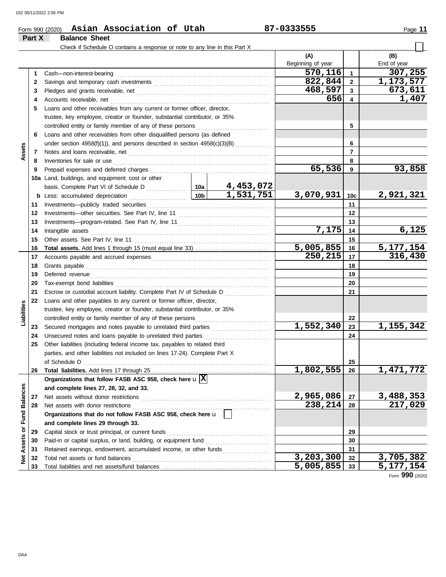|                             | Part X | Asian Association of Utah<br>Form 990 (2020)<br><b>Balance Sheet</b>                                                                                                                                                                |                 |                        | 87-0333555        |                         | Page 11     |
|-----------------------------|--------|-------------------------------------------------------------------------------------------------------------------------------------------------------------------------------------------------------------------------------------|-----------------|------------------------|-------------------|-------------------------|-------------|
|                             |        |                                                                                                                                                                                                                                     |                 |                        |                   |                         |             |
|                             |        |                                                                                                                                                                                                                                     |                 |                        | (A)               |                         | (B)         |
|                             |        |                                                                                                                                                                                                                                     |                 |                        | Beginning of year |                         | End of year |
|                             | 1      | Cash-non-interest-bearing                                                                                                                                                                                                           |                 |                        | 570,116           | $\mathbf{1}$            | 307,255     |
|                             | 2      |                                                                                                                                                                                                                                     |                 |                        | 822,844           | $\overline{2}$          | 1,173,577   |
|                             | 3      |                                                                                                                                                                                                                                     |                 |                        | 468,597           | $\mathbf{3}$            | 673,611     |
|                             | 4      | Accounts receivable, net                                                                                                                                                                                                            |                 |                        | 656               | $\overline{\mathbf{4}}$ | 1,407       |
|                             | 5      | Loans and other receivables from any current or former officer, director,                                                                                                                                                           |                 |                        |                   |                         |             |
|                             |        | trustee, key employee, creator or founder, substantial contributor, or 35%                                                                                                                                                          |                 |                        |                   |                         |             |
|                             |        | controlled entity or family member of any of these persons                                                                                                                                                                          |                 |                        |                   | 5                       |             |
|                             | 6      | Loans and other receivables from other disqualified persons (as defined                                                                                                                                                             |                 |                        |                   |                         |             |
|                             |        | under section 4958(f)(1)), and persons described in section 4958(c)(3)(B)                                                                                                                                                           |                 |                        |                   | 6                       |             |
| Assets                      | 7      | Notes and loans receivable, net <b>construction</b> and the construction of the state of the state of the state of the state of the state of the state of the state of the state of the state of the state of the state of the stat |                 |                        |                   | $\overline{7}$          |             |
|                             | 8      | Inventories for sale or use                                                                                                                                                                                                         |                 |                        |                   | 8                       |             |
|                             | 9      | Prepaid expenses and deferred charges                                                                                                                                                                                               |                 |                        | 65,536            | 9                       | 93,858      |
|                             |        | 10a Land, buildings, and equipment: cost or other                                                                                                                                                                                   |                 |                        |                   |                         |             |
|                             |        |                                                                                                                                                                                                                                     |                 |                        |                   |                         |             |
|                             |        | b Less: accumulated depreciation                                                                                                                                                                                                    | 10 <sub>b</sub> | $\overline{1,531,751}$ | 3,070,931         | 10 <sub>c</sub>         | 2,921,321   |
|                             | 11     | Investments-publicly traded securities                                                                                                                                                                                              |                 |                        |                   | 11                      |             |
|                             | 12     |                                                                                                                                                                                                                                     |                 |                        |                   | 12                      |             |
|                             | 13     |                                                                                                                                                                                                                                     |                 | 13                     |                   |                         |             |
|                             | 14     | Intangible assets                                                                                                                                                                                                                   |                 |                        | 7,175             | 14                      | 6,125       |
|                             | 15     | Other assets. See Part IV, line 11                                                                                                                                                                                                  |                 |                        |                   | 15                      |             |
|                             | 16     |                                                                                                                                                                                                                                     |                 |                        | 5,005,855         | 16                      | 5, 177, 154 |
|                             | 17     |                                                                                                                                                                                                                                     |                 |                        | 250,215           | 17                      | 316,430     |
|                             | 18     | Grants payable                                                                                                                                                                                                                      |                 |                        |                   | 18                      |             |
|                             | 19     | Deferred revenue                                                                                                                                                                                                                    |                 |                        |                   | 19                      |             |
|                             | 20     | Tax-exempt bond liabilities                                                                                                                                                                                                         |                 |                        |                   | 20                      |             |
|                             | 21     | Escrow or custodial account liability. Complete Part IV of Schedule D                                                                                                                                                               |                 |                        |                   | 21                      |             |
|                             | 22     | Loans and other payables to any current or former officer, director,                                                                                                                                                                |                 |                        |                   |                         |             |
|                             |        | trustee, key employee, creator or founder, substantial contributor, or 35%                                                                                                                                                          |                 |                        |                   |                         |             |
| Liabilities                 |        | controlled entity or family member of any of these persons                                                                                                                                                                          |                 |                        |                   | 22                      |             |
|                             | 23     | Secured mortgages and notes payable to unrelated third parties                                                                                                                                                                      |                 |                        | 1,552,340         | 23                      | 1,155,342   |
|                             | 24     | Unsecured notes and loans payable to unrelated third parties                                                                                                                                                                        |                 |                        |                   | 24                      |             |
|                             | 25     | Other liabilities (including federal income tax, payables to related third                                                                                                                                                          |                 |                        |                   |                         |             |
|                             |        | parties, and other liabilities not included on lines 17-24). Complete Part X                                                                                                                                                        |                 |                        |                   |                         |             |
|                             |        | of Schedule D                                                                                                                                                                                                                       |                 |                        |                   | 25                      |             |
|                             | 26     |                                                                                                                                                                                                                                     |                 |                        | 1,802,555         | 26                      | 1,471,772   |
|                             |        | Organizations that follow FASB ASC 958, check here $\mathbf{u} \mathbf{X}$                                                                                                                                                          |                 |                        |                   |                         |             |
|                             |        | and complete lines 27, 28, 32, and 33.                                                                                                                                                                                              |                 |                        |                   |                         |             |
|                             | 27     | Net assets without donor restrictions                                                                                                                                                                                               |                 |                        | 2,965,086         | 27                      | 3,488,353   |
|                             | 28     | Net assets with donor restrictions                                                                                                                                                                                                  |                 |                        | 238,214           | 28                      | 217,029     |
|                             |        | Organizations that do not follow FASB ASC 958, check here u                                                                                                                                                                         |                 |                        |                   |                         |             |
|                             |        | and complete lines 29 through 33.                                                                                                                                                                                                   |                 |                        |                   |                         |             |
|                             | 29     | Capital stock or trust principal, or current funds                                                                                                                                                                                  |                 |                        |                   | 29                      |             |
|                             | 30     |                                                                                                                                                                                                                                     |                 |                        |                   | 30                      |             |
| Net Assets or Fund Balances | 31     | Retained earnings, endowment, accumulated income, or other funds                                                                                                                                                                    |                 |                        |                   | 31                      |             |
|                             | 32     |                                                                                                                                                                                                                                     |                 |                        | 3,203,300         | 32                      | 3,705,382   |

3,705,382<br>5,177,154<br>Form 990 (2020)

**33 32**

**3,203,300 3,705,382 5,005,855 5,177,154**

**33**

Net

Total net assets or fund balances . . . . . . . . . . . . . . . . . . . . . . . . . . . . . . . . . . . . . . . . . . . . . . . . . . . . . . . . Total liabilities and net assets/fund balances . . . . . . . . . . . . . . . . . . . . . . . . . . . . . . . . . . . . . . . . . . . .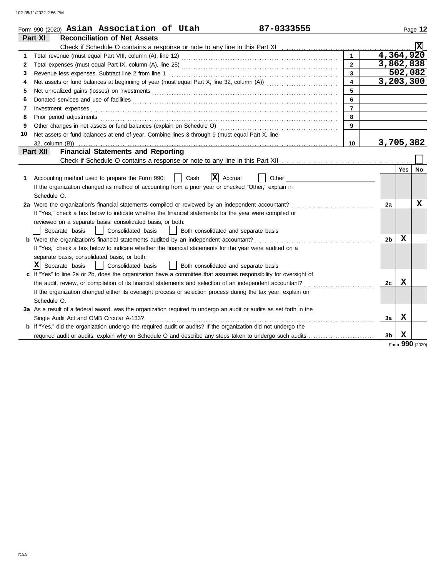|    | 87-0333555<br>Form 990 (2020) Asian Association of Utah                                                                                                                                                                             |                         |                |             | Page 12 |
|----|-------------------------------------------------------------------------------------------------------------------------------------------------------------------------------------------------------------------------------------|-------------------------|----------------|-------------|---------|
|    | Part XI<br><b>Reconciliation of Net Assets</b>                                                                                                                                                                                      |                         |                |             |         |
|    |                                                                                                                                                                                                                                     |                         |                |             |         |
| 1  |                                                                                                                                                                                                                                     | $\mathbf{1}$            | 4,364,920      |             |         |
| 2  |                                                                                                                                                                                                                                     | $\overline{2}$          | 3,862,838      |             |         |
| 3  | Revenue less expenses. Subtract line 2 from line 1                                                                                                                                                                                  | $\mathbf{3}$            |                | 502,082     |         |
| 4  |                                                                                                                                                                                                                                     | $\overline{\mathbf{4}}$ | 3,203,300      |             |         |
| 5  |                                                                                                                                                                                                                                     | 5                       |                |             |         |
| 6  | Donated services and use of facilities <b>constructs</b> and a service of the service of the service of the service of the service of the service of the service of the service of the service of the service of the service of the | 6                       |                |             |         |
| 7  | Investment expenses <b>contract and the expenses</b> contract the expenses of the expenses of the expenses of the expenses of the expenses of the expenses of the expenses of the expenses of the expenses of the expenses of the e | $\overline{7}$          |                |             |         |
| 8  | Prior period adjustments entertainments and a series of the series of the series of the series of the series of the series of the series of the series of the series of the series of the series of the series of the series o      | 8                       |                |             |         |
| 9  |                                                                                                                                                                                                                                     | 9                       |                |             |         |
| 10 | Net assets or fund balances at end of year. Combine lines 3 through 9 (must equal Part X, line                                                                                                                                      |                         |                |             |         |
|    |                                                                                                                                                                                                                                     | 10                      | 3,705,382      |             |         |
|    | <b>Financial Statements and Reporting</b><br>Part XII                                                                                                                                                                               |                         |                |             |         |
|    |                                                                                                                                                                                                                                     |                         |                |             |         |
|    |                                                                                                                                                                                                                                     |                         |                | <b>Yes</b>  | No      |
| 1  | X <br>Accounting method used to prepare the Form 990:<br>Cash<br>Accrual<br>Other                                                                                                                                                   |                         |                |             |         |
|    | If the organization changed its method of accounting from a prior year or checked "Other," explain in                                                                                                                               |                         |                |             |         |
|    | Schedule O.                                                                                                                                                                                                                         |                         |                |             |         |
|    | 2a Were the organization's financial statements compiled or reviewed by an independent accountant?                                                                                                                                  |                         | 2a             |             | x       |
|    | If "Yes," check a box below to indicate whether the financial statements for the year were compiled or                                                                                                                              |                         |                |             |         |
|    | reviewed on a separate basis, consolidated basis, or both:                                                                                                                                                                          |                         |                |             |         |
|    | Separate basis<br>Consolidated basis<br>  Both consolidated and separate basis                                                                                                                                                      |                         |                |             |         |
|    | <b>b</b> Were the organization's financial statements audited by an independent accountant?                                                                                                                                         |                         | 2 <sub>b</sub> | X           |         |
|    | If "Yes," check a box below to indicate whether the financial statements for the year were audited on a                                                                                                                             |                         |                |             |         |
|    | separate basis, consolidated basis, or both:                                                                                                                                                                                        |                         |                |             |         |
|    | Ixl<br>Separate basis<br>Consolidated basis<br>  Both consolidated and separate basis                                                                                                                                               |                         |                |             |         |
|    | If "Yes" to line 2a or 2b, does the organization have a committee that assumes responsibility for oversight of                                                                                                                      |                         |                |             |         |
|    | the audit, review, or compilation of its financial statements and selection of an independent accountant?                                                                                                                           |                         | 2c             | X           |         |
|    | If the organization changed either its oversight process or selection process during the tax year, explain on                                                                                                                       |                         |                |             |         |
|    | Schedule O.                                                                                                                                                                                                                         |                         |                |             |         |
|    | 3a As a result of a federal award, was the organization required to undergo an audit or audits as set forth in the                                                                                                                  |                         |                |             |         |
|    | Single Audit Act and OMB Circular A-133?                                                                                                                                                                                            |                         | За             | x           |         |
|    | <b>b</b> If "Yes," did the organization undergo the required audit or audits? If the organization did not undergo the                                                                                                               |                         |                |             |         |
|    | required audit or audits, explain why on Schedule O and describe any steps taken to undergo such audits                                                                                                                             |                         | 3 <sub>b</sub> | $\mathbf x$ |         |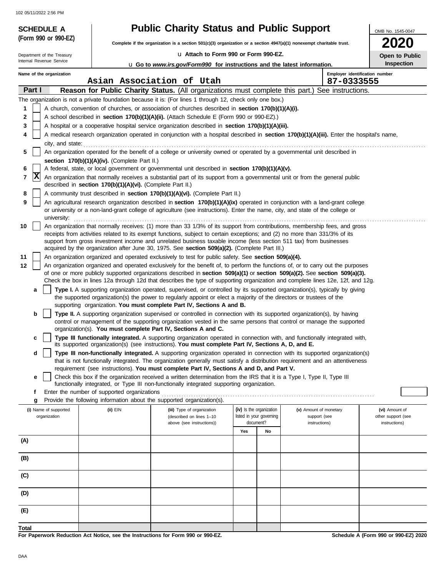| <b>SCHEDULE A</b>              |                                                                                  | <b>Public Charity Status and Public Support</b>                                                                                                                                                                                                                 |                                       |    |                               | OMB No. 1545-0047                    |
|--------------------------------|----------------------------------------------------------------------------------|-----------------------------------------------------------------------------------------------------------------------------------------------------------------------------------------------------------------------------------------------------------------|---------------------------------------|----|-------------------------------|--------------------------------------|
| (Form 990 or 990-EZ)           |                                                                                  | Complete if the organization is a section 501(c)(3) organization or a section 4947(a)(1) nonexempt charitable trust.                                                                                                                                            |                                       |    |                               |                                      |
| Department of the Treasury     |                                                                                  | u Attach to Form 990 or Form 990-EZ.                                                                                                                                                                                                                            |                                       |    |                               | Open to Public                       |
| Internal Revenue Service       |                                                                                  | <b>u</b> Go to www.irs.gov/Form990 for instructions and the latest information.                                                                                                                                                                                 |                                       |    |                               | Inspection                           |
| Name of the organization       |                                                                                  |                                                                                                                                                                                                                                                                 |                                       |    |                               | Employer identification number       |
|                                |                                                                                  | Asian Association of Utah                                                                                                                                                                                                                                       |                                       |    | 87-0333555                    |                                      |
| Part I                         |                                                                                  | Reason for Public Charity Status. (All organizations must complete this part.) See instructions.<br>The organization is not a private foundation because it is: (For lines 1 through 12, check only one box.)                                                   |                                       |    |                               |                                      |
| 1                              |                                                                                  | A church, convention of churches, or association of churches described in section 170(b)(1)(A)(i).                                                                                                                                                              |                                       |    |                               |                                      |
| 2                              |                                                                                  | A school described in section 170(b)(1)(A)(ii). (Attach Schedule E (Form 990 or 990-EZ).)                                                                                                                                                                       |                                       |    |                               |                                      |
| 3                              |                                                                                  | A hospital or a cooperative hospital service organization described in section 170(b)(1)(A)(iii).                                                                                                                                                               |                                       |    |                               |                                      |
| 4                              |                                                                                  | A medical research organization operated in conjunction with a hospital described in section 170(b)(1)(A)(iii). Enter the hospital's name,                                                                                                                      |                                       |    |                               |                                      |
|                                |                                                                                  | city, and state:                                                                                                                                                                                                                                                |                                       |    |                               |                                      |
| 5                              |                                                                                  | An organization operated for the benefit of a college or university owned or operated by a governmental unit described in                                                                                                                                       |                                       |    |                               |                                      |
| 6                              | section 170(b)(1)(A)(iv). (Complete Part II.)                                    | A federal, state, or local government or governmental unit described in section 170(b)(1)(A)(v).                                                                                                                                                                |                                       |    |                               |                                      |
| $ \overline{\mathbf{X}} $<br>7 |                                                                                  | An organization that normally receives a substantial part of its support from a governmental unit or from the general public                                                                                                                                    |                                       |    |                               |                                      |
|                                | described in section 170(b)(1)(A)(vi). (Complete Part II.)                       |                                                                                                                                                                                                                                                                 |                                       |    |                               |                                      |
| 8                              |                                                                                  | A community trust described in section 170(b)(1)(A)(vi). (Complete Part II.)                                                                                                                                                                                    |                                       |    |                               |                                      |
| 9<br>university:               |                                                                                  | An agricultural research organization described in section 170(b)(1)(A)(ix) operated in conjunction with a land-grant college<br>or university or a non-land-grant college of agriculture (see instructions). Enter the name, city, and state of the college or |                                       |    |                               |                                      |
| 10                             |                                                                                  | An organization that normally receives: (1) more than 33 1/3% of its support from contributions, membership fees, and gross                                                                                                                                     |                                       |    |                               |                                      |
|                                |                                                                                  | receipts from activities related to its exempt functions, subject to certain exceptions; and (2) no more than 331/3% of its                                                                                                                                     |                                       |    |                               |                                      |
|                                |                                                                                  | support from gross investment income and unrelated business taxable income (less section 511 tax) from businesses                                                                                                                                               |                                       |    |                               |                                      |
| 11                             |                                                                                  | acquired by the organization after June 30, 1975. See section 509(a)(2). (Complete Part III.)<br>An organization organized and operated exclusively to test for public safety. See section 509(a)(4).                                                           |                                       |    |                               |                                      |
| 12                             |                                                                                  | An organization organized and operated exclusively for the benefit of, to perform the functions of, or to carry out the purposes                                                                                                                                |                                       |    |                               |                                      |
|                                |                                                                                  | of one or more publicly supported organizations described in section 509(a)(1) or section 509(a)(2). See section 509(a)(3).                                                                                                                                     |                                       |    |                               |                                      |
|                                |                                                                                  | Check the box in lines 12a through 12d that describes the type of supporting organization and complete lines 12e, 12f, and 12g.                                                                                                                                 |                                       |    |                               |                                      |
| a                              |                                                                                  | Type I. A supporting organization operated, supervised, or controlled by its supported organization(s), typically by giving<br>the supported organization(s) the power to regularly appoint or elect a majority of the directors or trustees of the             |                                       |    |                               |                                      |
|                                |                                                                                  | supporting organization. You must complete Part IV, Sections A and B.                                                                                                                                                                                           |                                       |    |                               |                                      |
| b                              |                                                                                  | Type II. A supporting organization supervised or controlled in connection with its supported organization(s), by having                                                                                                                                         |                                       |    |                               |                                      |
|                                |                                                                                  | control or management of the supporting organization vested in the same persons that control or manage the supported<br>organization(s). You must complete Part IV, Sections A and C.                                                                           |                                       |    |                               |                                      |
| c                              |                                                                                  | Type III functionally integrated. A supporting organization operated in connection with, and functionally integrated with,<br>its supported organization(s) (see instructions). You must complete Part IV, Sections A, D, and E.                                |                                       |    |                               |                                      |
| d                              |                                                                                  | Type III non-functionally integrated. A supporting organization operated in connection with its supported organization(s)                                                                                                                                       |                                       |    |                               |                                      |
|                                |                                                                                  | that is not functionally integrated. The organization generally must satisfy a distribution requirement and an attentiveness                                                                                                                                    |                                       |    |                               |                                      |
|                                |                                                                                  | requirement (see instructions). You must complete Part IV, Sections A and D, and Part V.                                                                                                                                                                        |                                       |    |                               |                                      |
| е                              |                                                                                  | Check this box if the organization received a written determination from the IRS that it is a Type I, Type II, Type III<br>functionally integrated, or Type III non-functionally integrated supporting organization.                                            |                                       |    |                               |                                      |
| f                              | Enter the number of supported organizations                                      |                                                                                                                                                                                                                                                                 |                                       |    |                               |                                      |
| g                              |                                                                                  | Provide the following information about the supported organization(s).                                                                                                                                                                                          |                                       |    |                               |                                      |
| (i) Name of supported          | $(ii)$ EIN                                                                       | (iii) Type of organization                                                                                                                                                                                                                                      | (iv) Is the organization              |    | (v) Amount of monetary        | (vi) Amount of                       |
| organization                   |                                                                                  | (described on lines 1-10<br>above (see instructions))                                                                                                                                                                                                           | listed in your governing<br>document? |    | support (see<br>instructions) | other support (see<br>instructions)  |
|                                |                                                                                  |                                                                                                                                                                                                                                                                 | Yes                                   | No |                               |                                      |
| (A)                            |                                                                                  |                                                                                                                                                                                                                                                                 |                                       |    |                               |                                      |
| (B)                            |                                                                                  |                                                                                                                                                                                                                                                                 |                                       |    |                               |                                      |
|                                |                                                                                  |                                                                                                                                                                                                                                                                 |                                       |    |                               |                                      |
| (C)                            |                                                                                  |                                                                                                                                                                                                                                                                 |                                       |    |                               |                                      |
| (D)                            |                                                                                  |                                                                                                                                                                                                                                                                 |                                       |    |                               |                                      |
| (E)                            |                                                                                  |                                                                                                                                                                                                                                                                 |                                       |    |                               |                                      |
| Total                          |                                                                                  |                                                                                                                                                                                                                                                                 |                                       |    |                               |                                      |
|                                | For Panorwork Poduction. Act Notice, son the Instructions for Form 000 or 000-F7 |                                                                                                                                                                                                                                                                 |                                       |    |                               | Schodule A (Form 000 or 000-E7) 2020 |

**For Paperwork Reduction Act Notice, see the Instructions for Form 990 or 990-EZ.**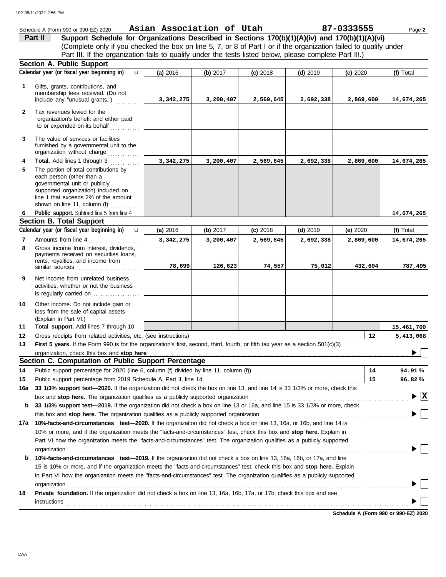|              | Schedule A (Form 990 or 990-EZ) 2020                                                                                                  |           | Asian Association of Utah |            |            | 87-0333555 | Page 2                             |  |
|--------------|---------------------------------------------------------------------------------------------------------------------------------------|-----------|---------------------------|------------|------------|------------|------------------------------------|--|
|              | Support Schedule for Organizations Described in Sections 170(b)(1)(A)(iv) and 170(b)(1)(A)(vi)<br>Part II                             |           |                           |            |            |            |                                    |  |
|              | (Complete only if you checked the box on line 5, 7, or 8 of Part I or if the organization failed to qualify under                     |           |                           |            |            |            |                                    |  |
|              | Part III. If the organization fails to qualify under the tests listed below, please complete Part III.)                               |           |                           |            |            |            |                                    |  |
|              | <b>Section A. Public Support</b>                                                                                                      |           |                           |            |            |            |                                    |  |
|              | Calendar year (or fiscal year beginning in)<br>$\mathbf{u}$                                                                           | (a) 2016  | (b) $2017$                | $(c)$ 2018 | $(d)$ 2019 | (e) 2020   | (f) Total                          |  |
| 1            | Gifts, grants, contributions, and                                                                                                     |           |                           |            |            |            |                                    |  |
|              | membership fees received. (Do not                                                                                                     |           |                           |            |            |            |                                    |  |
|              | include any "unusual grants.")                                                                                                        | 3,342,275 | 3,200,407                 | 2,569,645  | 2,692,338  | 2,869,600  | 14,674,265                         |  |
| $\mathbf{2}$ | Tax revenues levied for the                                                                                                           |           |                           |            |            |            |                                    |  |
|              | organization's benefit and either paid                                                                                                |           |                           |            |            |            |                                    |  |
|              | to or expended on its behalf                                                                                                          |           |                           |            |            |            |                                    |  |
|              |                                                                                                                                       |           |                           |            |            |            |                                    |  |
| 3            | The value of services or facilities<br>furnished by a governmental unit to the                                                        |           |                           |            |            |            |                                    |  |
|              | organization without charge<br>.                                                                                                      |           |                           |            |            |            |                                    |  |
| 4            | Total. Add lines 1 through 3                                                                                                          | 3,342,275 | 3,200,407                 | 2,569,645  | 2,692,338  | 2,869,600  | 14,674,265                         |  |
| 5            | The portion of total contributions by                                                                                                 |           |                           |            |            |            |                                    |  |
|              | each person (other than a                                                                                                             |           |                           |            |            |            |                                    |  |
|              | governmental unit or publicly                                                                                                         |           |                           |            |            |            |                                    |  |
|              | supported organization) included on                                                                                                   |           |                           |            |            |            |                                    |  |
|              | line 1 that exceeds 2% of the amount<br>shown on line 11, column (f)                                                                  |           |                           |            |            |            |                                    |  |
| 6            | Public support. Subtract line 5 from line 4.                                                                                          |           |                           |            |            |            |                                    |  |
|              | <b>Section B. Total Support</b>                                                                                                       |           |                           |            |            |            | 14,674,265                         |  |
|              | Calendar year (or fiscal year beginning in)<br>$\mathbf{u}$                                                                           | (a) 2016  | (b) $2017$                | $(c)$ 2018 | $(d)$ 2019 | (e) 2020   | (f) Total                          |  |
| 7            | Amounts from line 4                                                                                                                   | 3,342,275 | 3,200,407                 | 2,569,645  | 2,692,338  | 2,869,600  | 14,674,265                         |  |
| 8            | Gross income from interest, dividends,                                                                                                |           |                           |            |            |            |                                    |  |
|              | payments received on securities loans,                                                                                                |           |                           |            |            |            |                                    |  |
|              | rents, royalties, and income from                                                                                                     |           |                           |            |            |            |                                    |  |
|              | similar sources                                                                                                                       | 78,699    | 126,623                   | 74,557     | 75,012     | 432,604    | 787,495                            |  |
| 9            | Net income from unrelated business                                                                                                    |           |                           |            |            |            |                                    |  |
|              | activities, whether or not the business                                                                                               |           |                           |            |            |            |                                    |  |
|              | is regularly carried on $\ldots$ , $\ldots$ , $\ldots$                                                                                |           |                           |            |            |            |                                    |  |
| 10           | Other income. Do not include gain or                                                                                                  |           |                           |            |            |            |                                    |  |
|              | loss from the sale of capital assets                                                                                                  |           |                           |            |            |            |                                    |  |
|              | (Explain in Part VI.)                                                                                                                 |           |                           |            |            |            |                                    |  |
| 11           | Total support. Add lines 7 through 10                                                                                                 |           |                           |            |            |            | 15,461,760                         |  |
| 12           | Gross receipts from related activities, etc. (see instructions)                                                                       |           |                           |            |            | 12         | 5,413,068                          |  |
| 13           | First 5 years. If the Form 990 is for the organization's first, second, third, fourth, or fifth tax year as a section 501(c)(3)       |           |                           |            |            |            |                                    |  |
|              |                                                                                                                                       |           |                           |            |            |            |                                    |  |
|              | Section C. Computation of Public Support Percentage                                                                                   |           |                           |            |            |            |                                    |  |
| 14           | Public support percentage for 2020 (line 6, column (f) divided by line 11, column (f)) [[[[[[[[[[[[[[[[[[[[[[                         |           |                           |            |            | 14         | 94.91%                             |  |
| 15           |                                                                                                                                       |           |                           |            |            | 15         | 96.82%                             |  |
| 16a          | 33 1/3% support test-2020. If the organization did not check the box on line 13, and line 14 is 33 1/3% or more, check this           |           |                           |            |            |            |                                    |  |
|              | box and stop here. The organization qualifies as a publicly supported organization                                                    |           |                           |            |            |            | $\blacktriangleright \overline{X}$ |  |
| b            | 33 1/3% support test-2019. If the organization did not check a box on line 13 or 16a, and line 15 is 33 1/3% or more, check           |           |                           |            |            |            |                                    |  |
|              | this box and stop here. The organization qualifies as a publicly supported organization                                               |           |                           |            |            |            |                                    |  |
| 17a          | 10%-facts-and-circumstances test-2020. If the organization did not check a box on line 13, 16a, or 16b, and line 14 is                |           |                           |            |            |            |                                    |  |
|              | 10% or more, and if the organization meets the "facts-and-circumstances" test, check this box and stop here. Explain in               |           |                           |            |            |            |                                    |  |
|              | Part VI how the organization meets the "facts-and-circumstances" test. The organization qualifies as a publicly supported             |           |                           |            |            |            |                                    |  |
|              | organization                                                                                                                          |           |                           |            |            |            |                                    |  |
| b            | 10%-facts-and-circumstances test-2019. If the organization did not check a box on line 13, 16a, 16b, or 17a, and line                 |           |                           |            |            |            |                                    |  |
|              | 15 is 10% or more, and if the organization meets the "facts-and-circumstances" test, check this box and stop here. Explain            |           |                           |            |            |            |                                    |  |
|              | in Part VI how the organization meets the "facts-and-circumstances" test. The organization qualifies as a publicly supported          |           |                           |            |            |            |                                    |  |
|              |                                                                                                                                       |           |                           |            |            |            |                                    |  |
| 18           | organization<br>Private foundation. If the organization did not check a box on line 13, 16a, 16b, 17a, or 17b, check this box and see |           |                           |            |            |            |                                    |  |
|              |                                                                                                                                       |           |                           |            |            |            |                                    |  |
|              | instructions                                                                                                                          |           |                           |            |            |            |                                    |  |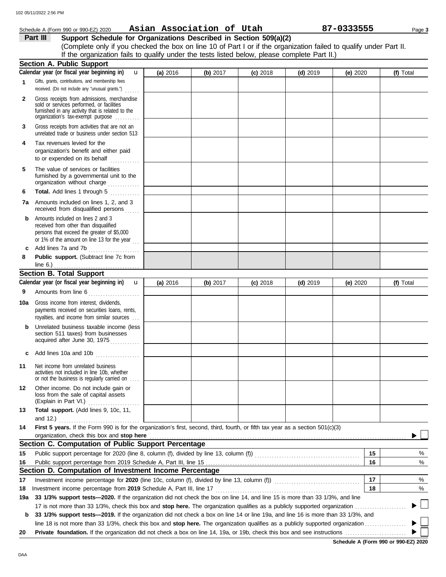### Schedule A (Form 990 or 990-EZ) 2020 Page **3 Asian Association of Utah 87-0333555**

**Part III** Support Schedule for Organizations Described in Section 509(a)(2) (Complete only if you checked the box on line 10 of Part I or if the organization failed to qualify under Part II. If the organization fails to qualify under the tests listed below, please complete Part II.)

|     | <b>Section A. Public Support</b>                                                                                                                                                  |          |            |            |            |            |                              |
|-----|-----------------------------------------------------------------------------------------------------------------------------------------------------------------------------------|----------|------------|------------|------------|------------|------------------------------|
|     | Calendar year (or fiscal year beginning in)<br>u                                                                                                                                  | (a) 2016 | (b) $2017$ | $(c)$ 2018 | $(d)$ 2019 | (e) $2020$ | (f) Total                    |
| 1   | Gifts, grants, contributions, and membership fees<br>received. (Do not include any "unusual grants.")<br>.                                                                        |          |            |            |            |            |                              |
| 2   | Gross receipts from admissions, merchandise<br>sold or services performed, or facilities<br>furnished in any activity that is related to the<br>organization's fax-exempt purpose |          |            |            |            |            |                              |
| 3   | Gross receipts from activities that are not an<br>unrelated trade or business under section 513                                                                                   |          |            |            |            |            |                              |
| 4   | Tax revenues levied for the<br>organization's benefit and either paid<br>to or expended on its behalf<br>. <b>.</b>                                                               |          |            |            |            |            |                              |
| 5   | The value of services or facilities<br>furnished by a governmental unit to the<br>organization without charge                                                                     |          |            |            |            |            |                              |
| 6   | Total. Add lines 1 through 5                                                                                                                                                      |          |            |            |            |            |                              |
|     | 7a Amounts included on lines 1, 2, and 3<br>received from disqualified persons                                                                                                    |          |            |            |            |            |                              |
| b   | Amounts included on lines 2 and 3<br>received from other than disqualified<br>persons that exceed the greater of \$5,000<br>or 1% of the amount on line 13 for the year $\ldots$  |          |            |            |            |            |                              |
| c   | Add lines 7a and 7b                                                                                                                                                               |          |            |            |            |            |                              |
| 8   | Public support. (Subtract line 7c from<br>line $6.$ )                                                                                                                             |          |            |            |            |            |                              |
|     | <b>Section B. Total Support</b>                                                                                                                                                   |          |            |            |            |            |                              |
|     | Calendar year (or fiscal year beginning in)<br>$\mathbf{u}$                                                                                                                       | (a) 2016 | (b) $2017$ | $(c)$ 2018 | $(d)$ 2019 | (e) $2020$ | (f) Total                    |
| 9   | Amounts from line 6                                                                                                                                                               |          |            |            |            |            |                              |
| 10a | Gross income from interest, dividends,<br>payments received on securities loans, rents,<br>royalties, and income from similar sources                                             |          |            |            |            |            |                              |
| b   | Unrelated business taxable income (less<br>section 511 taxes) from businesses<br>acquired after June 30, 1975                                                                     |          |            |            |            |            |                              |
|     | Add lines 10a and 10b                                                                                                                                                             |          |            |            |            |            |                              |
| 11  | Net income from unrelated business<br>activities not included in line 10b, whether<br>or not the business is regularly carried on                                                 |          |            |            |            |            |                              |
| 12  | Other income. Do not include gain or<br>loss from the sale of capital assets<br>(Explain in Part VI.)                                                                             |          |            |            |            |            |                              |
| 13  | Total support. (Add lines 9, 10c, 11,<br>and 12.) $\qquad \qquad$                                                                                                                 |          |            |            |            |            |                              |
| 14  | First 5 years. If the Form 990 is for the organization's first, second, third, fourth, or fifth tax year as a section 501(c)(3)                                                   |          |            |            |            |            |                              |
|     | organization, check this box and stop here                                                                                                                                        |          |            |            |            |            |                              |
|     | Section C. Computation of Public Support Percentage                                                                                                                               |          |            |            |            |            |                              |
| 15  |                                                                                                                                                                                   |          |            |            |            | 15         | %                            |
| 16  |                                                                                                                                                                                   |          |            |            |            | 16         | %                            |
|     | Section D. Computation of Investment Income Percentage                                                                                                                            |          |            |            |            |            |                              |
| 17  |                                                                                                                                                                                   |          |            |            |            | 17         | %                            |
| 18  |                                                                                                                                                                                   |          |            |            |            | 18         | %                            |
| 19a | 33 1/3% support tests-2020. If the organization did not check the box on line 14, and line 15 is more than 33 1/3%, and line                                                      |          |            |            |            |            |                              |
|     |                                                                                                                                                                                   |          |            |            |            |            | $\perp$                      |
| b   | 33 1/3% support tests-2019. If the organization did not check a box on line 14 or line 19a, and line 16 is more than 33 1/3%, and                                                 |          |            |            |            |            |                              |
|     |                                                                                                                                                                                   |          |            |            |            |            | $\blacktriangleright \sqcup$ |
| 20  |                                                                                                                                                                                   |          |            |            |            |            |                              |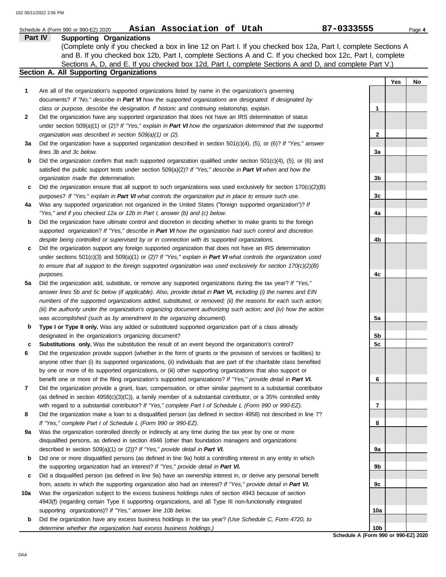|     | Asian Association of Utah<br>Schedule A (Form 990 or 990-EZ) 2020                                                        | 87-0333555   |     | Page 4 |
|-----|--------------------------------------------------------------------------------------------------------------------------|--------------|-----|--------|
|     | Part IV<br><b>Supporting Organizations</b>                                                                               |              |     |        |
|     | (Complete only if you checked a box in line 12 on Part I. If you checked box 12a, Part I, complete Sections A            |              |     |        |
|     | and B. If you checked box 12b, Part I, complete Sections A and C. If you checked box 12c, Part I, complete               |              |     |        |
|     | Sections A, D, and E. If you checked box 12d, Part I, complete Sections A and D, and complete Part V.)                   |              |     |        |
|     | Section A. All Supporting Organizations                                                                                  |              |     |        |
|     |                                                                                                                          |              | Yes | No     |
| 1   | Are all of the organization's supported organizations listed by name in the organization's governing                     |              |     |        |
|     | documents? If "No," describe in Part VI how the supported organizations are designated. If designated by                 |              |     |        |
|     | class or purpose, describe the designation. If historic and continuing relationship, explain.                            | $\mathbf{1}$ |     |        |
| 2   | Did the organization have any supported organization that does not have an IRS determination of status                   |              |     |        |
|     | under section 509(a)(1) or (2)? If "Yes," explain in Part VI how the organization determined that the supported          |              |     |        |
|     | organization was described in section 509(a)(1) or (2).                                                                  | 2            |     |        |
| За  | Did the organization have a supported organization described in section $501(c)(4)$ , (5), or (6)? If "Yes," answer      |              |     |        |
|     | lines 3b and 3c below.                                                                                                   | 3a           |     |        |
| b   | Did the organization confirm that each supported organization qualified under section $501(c)(4)$ , $(5)$ , or $(6)$ and |              |     |        |
|     | satisfied the public support tests under section 509(a)(2)? If "Yes," describe in Part VI when and how the               |              |     |        |
|     | organization made the determination.                                                                                     | 3b           |     |        |
| c   | Did the organization ensure that all support to such organizations was used exclusively for section $170(c)(2)(B)$       |              |     |        |
|     | purposes? If "Yes," explain in Part VI what controls the organization put in place to ensure such use.                   | 3c           |     |        |
| 4a  | Was any supported organization not organized in the United States ("foreign supported organization")? If                 |              |     |        |
|     | "Yes," and if you checked 12a or 12b in Part I, answer (b) and (c) below.                                                | 4a           |     |        |
| b   | Did the organization have ultimate control and discretion in deciding whether to make grants to the foreign              |              |     |        |
|     | supported organization? If "Yes," describe in Part VI how the organization had such control and discretion               |              |     |        |
|     | despite being controlled or supervised by or in connection with its supported organizations.                             | 4b           |     |        |
| c   | Did the organization support any foreign supported organization that does not have an IRS determination                  |              |     |        |
|     | under sections $501(c)(3)$ and $509(a)(1)$ or (2)? If "Yes," explain in Part VI what controls the organization used      |              |     |        |
|     | to ensure that all support to the foreign supported organization was used exclusively for section $170(c)(2)(B)$         |              |     |        |
|     | purposes.                                                                                                                | 4c           |     |        |
| 5a  | Did the organization add, substitute, or remove any supported organizations during the tax year? If "Yes,"               |              |     |        |
|     | answer lines 5b and 5c below (if applicable). Also, provide detail in Part VI, including (i) the names and EIN           |              |     |        |
|     | numbers of the supported organizations added, substituted, or removed; (ii) the reasons for each such action;            |              |     |        |
|     | (iii) the authority under the organization's organizing document authorizing such action; and (iv) how the action        |              |     |        |
|     | was accomplished (such as by amendment to the organizing document).                                                      | 5a           |     |        |
| b   | Type I or Type II only. Was any added or substituted supported organization part of a class already                      |              |     |        |
|     | designated in the organization's organizing document?                                                                    | 5b           |     |        |
|     | Substitutions only. Was the substitution the result of an event beyond the organization's control?                       | 5c           |     |        |
| 6   | Did the organization provide support (whether in the form of grants or the provision of services or facilities) to       |              |     |        |
|     | anyone other than (i) its supported organizations, (ii) individuals that are part of the charitable class benefited      |              |     |        |
|     | by one or more of its supported organizations, or (iii) other supporting organizations that also support or              |              |     |        |
|     | benefit one or more of the filing organization's supported organizations? If "Yes," provide detail in Part VI.           | 6            |     |        |
| 7   | Did the organization provide a grant, loan, compensation, or other similar payment to a substantial contributor          |              |     |        |
|     | (as defined in section $4958(c)(3)(C)$ ), a family member of a substantial contributor, or a 35% controlled entity       |              |     |        |
|     | with regard to a substantial contributor? If "Yes," complete Part I of Schedule L (Form 990 or 990-EZ).                  | 7            |     |        |
| 8   | Did the organization make a loan to a disqualified person (as defined in section 4958) not described in line 7?          |              |     |        |
|     | If "Yes," complete Part I of Schedule L (Form 990 or 990-EZ).                                                            | 8            |     |        |
| 9a  | Was the organization controlled directly or indirectly at any time during the tax year by one or more                    |              |     |        |
|     | disqualified persons, as defined in section 4946 (other than foundation managers and organizations                       |              |     |        |
|     | described in section 509(a)(1) or (2))? If "Yes," provide detail in Part VI.                                             | 9а           |     |        |
| b   | Did one or more disqualified persons (as defined in line 9a) hold a controlling interest in any entity in which          |              |     |        |
|     | the supporting organization had an interest? If "Yes," provide detail in Part VI.                                        | 9b           |     |        |
| c   | Did a disqualified person (as defined in line 9a) have an ownership interest in, or derive any personal benefit          |              |     |        |
|     | from, assets in which the supporting organization also had an interest? If "Yes," provide detail in Part VI.             | 9c           |     |        |
| 10a | Was the organization subject to the excess business holdings rules of section 4943 because of section                    |              |     |        |
|     | 4943(f) (regarding certain Type II supporting organizations, and all Type III non-functionally integrated                |              |     |        |
|     | supporting organizations)? If "Yes," answer line 10b below.                                                              | 10a          |     |        |
| b   | Did the organization have any excess business holdings in the tax year? (Use Schedule C, Form 4720, to                   |              |     |        |
|     | determine whether the organization had excess business holdings.)                                                        | 10b          |     |        |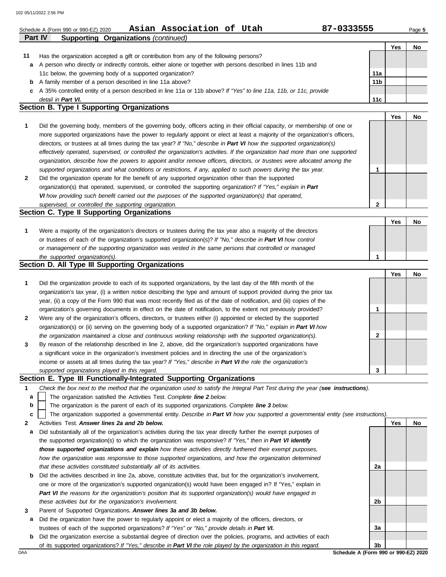| Asian Association of Utah<br>87-0333555<br>Schedule A (Form 990 or 990-EZ) 2020<br>Part IV<br><b>Supporting Organizations (continued)</b> |                 |     | Page 5 |
|-------------------------------------------------------------------------------------------------------------------------------------------|-----------------|-----|--------|
|                                                                                                                                           |                 | Yes | No     |
| Has the organization accepted a gift or contribution from any of the following persons?<br>11                                             |                 |     |        |
| A person who directly or indirectly controls, either alone or together with persons described in lines 11b and<br>а                       |                 |     |        |
| 11c below, the governing body of a supported organization?                                                                                | 11a             |     |        |
| A family member of a person described in line 11a above?<br>b                                                                             | 11 <sub>b</sub> |     |        |
| A 35% controlled entity of a person described in line 11a or 11b above? If "Yes" to line 11a, 11b, or 11c, provide<br>c                   |                 |     |        |
| detail in Part VI.                                                                                                                        | 11c             |     |        |
| <b>Section B. Type I Supporting Organizations</b>                                                                                         |                 |     |        |
|                                                                                                                                           |                 | Yes | No     |
| Did the governing body, members of the governing body, officers acting in their official capacity, or membership of one or<br>1           |                 |     |        |
| more supported organizations have the power to regularly appoint or elect at least a majority of the organization's officers,             |                 |     |        |
| directors, or trustees at all times during the tax year? If "No," describe in Part VI how the supported organization(s)                   |                 |     |        |
| effectively operated, supervised, or controlled the organization's activities. If the organization had more than one supported            |                 |     |        |
| organization, describe how the powers to appoint and/or remove officers, directors, or trustees were allocated among the                  |                 |     |        |
| supported organizations and what conditions or restrictions, if any, applied to such powers during the tax year.                          | 1               |     |        |
| Did the organization operate for the benefit of any supported organization other than the supported<br>$\mathbf{2}$                       |                 |     |        |
| organization(s) that operated, supervised, or controlled the supporting organization? If "Yes," explain in Part                           |                 |     |        |
| VI how providing such benefit carried out the purposes of the supported organization(s) that operated,                                    |                 |     |        |
| supervised, or controlled the supporting organization.                                                                                    | $\mathbf{2}$    |     |        |
| Section C. Type II Supporting Organizations                                                                                               |                 |     |        |
|                                                                                                                                           |                 | Yes | No     |
| Were a majority of the organization's directors or trustees during the tax year also a majority of the directors<br>1                     |                 |     |        |
| or trustees of each of the organization's supported organization(s)? If "No," describe in Part VI how control                             |                 |     |        |
| or management of the supporting organization was vested in the same persons that controlled or managed                                    |                 |     |        |
| the supported organization(s).<br>Section D. All Type III Supporting Organizations                                                        | 1               |     |        |
|                                                                                                                                           |                 | Yes | No     |
| Did the organization provide to each of its supported organizations, by the last day of the fifth month of the<br>1                       |                 |     |        |
| organization's tax year, (i) a written notice describing the type and amount of support provided during the prior tax                     |                 |     |        |
| year, (ii) a copy of the Form 990 that was most recently filed as of the date of notification, and (iii) copies of the                    |                 |     |        |
| organization's governing documents in effect on the date of notification, to the extent not previously provided?                          | 1               |     |        |
| 2<br>Were any of the organization's officers, directors, or trustees either (i) appointed or elected by the supported                     |                 |     |        |
| organization(s) or (ii) serving on the governing body of a supported organization? If "No," explain in Part VI how                        |                 |     |        |
| the organization maintained a close and continuous working relationship with the supported organization(s).                               | $\mathbf{z}$    |     |        |
| By reason of the relationship described in line 2, above, did the organization's supported organizations have<br>3                        |                 |     |        |
| a significant voice in the organization's investment policies and in directing the use of the organization's                              |                 |     |        |
| income or assets at all times during the tax year? If "Yes," describe in Part VI the role the organization's                              |                 |     |        |
| supported organizations played in this regard.                                                                                            | 3               |     |        |
| Section E. Type III Functionally-Integrated Supporting Organizations                                                                      |                 |     |        |
| Check the box next to the method that the organization used to satisfy the Integral Part Test during the year (see instructions).<br>1    |                 |     |        |
| The organization satisfied the Activities Test. Complete line 2 below.<br>a                                                               |                 |     |        |
| b<br>The organization is the parent of each of its supported organizations. Complete line 3 below.                                        |                 |     |        |
| The organization supported a governmental entity. Describe in Part VI how you supported a governmental entity (see instructions).<br>c    |                 |     |        |
| Activities Test. Answer lines 2a and 2b below.<br>2                                                                                       |                 | Yes | No     |
| Did substantially all of the organization's activities during the tax year directly further the exempt purposes of<br>а                   |                 |     |        |
| the supported organization(s) to which the organization was responsive? If "Yes," then in Part VI identify                                |                 |     |        |
| those supported organizations and explain how these activities directly furthered their exempt purposes,                                  |                 |     |        |
| how the organization was responsive to those supported organizations, and how the organization determined                                 |                 |     |        |
| that these activities constituted substantially all of its activities.                                                                    | 2a              |     |        |
| Did the activities described in line 2a, above, constitute activities that, but for the organization's involvement,<br>b                  |                 |     |        |
| one or more of the organization's supported organization(s) would have been engaged in? If "Yes," explain in                              |                 |     |        |
| Part VI the reasons for the organization's position that its supported organization(s) would have engaged in                              |                 |     |        |

- **3** *these activities but for the organization's involvement.* Parent of Supported Organizations. *Answer lines 3a and 3b below.*
- **a** Did the organization have the power to regularly appoint or elect a majority of the officers, directors, or trustees of each of the supported organizations? *If "Yes" or "No," provide details in Part VI.*
- **b** Did the organization exercise a substantial degree of direction over the policies, programs, and activities of each of its supported organizations? *If "Yes," describe in Part VI the role played by the organization in this regard.*

DAA **Schedule A (Form 990 or 990-EZ) 2020 3b**

**2b**

**3a**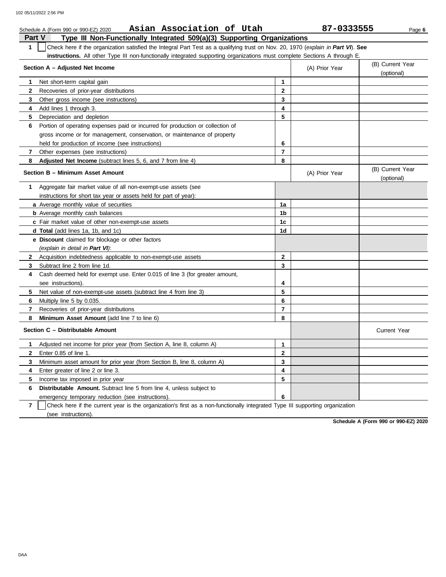| Asian Association of Utah<br>Schedule A (Form 990 or 990-EZ) 2020                                                                                |                | 87-0333555     | Page 6                         |
|--------------------------------------------------------------------------------------------------------------------------------------------------|----------------|----------------|--------------------------------|
| Type III Non-Functionally Integrated 509(a)(3) Supporting Organizations<br><b>Part V</b>                                                         |                |                |                                |
| Check here if the organization satisfied the Integral Part Test as a qualifying trust on Nov. 20, 1970 (explain in Part VI). See<br>$\mathbf{1}$ |                |                |                                |
| instructions. All other Type III non-functionally integrated supporting organizations must complete Sections A through E.                        |                |                |                                |
| Section A - Adjusted Net Income                                                                                                                  |                | (A) Prior Year | (B) Current Year<br>(optional) |
| Net short-term capital gain<br>1                                                                                                                 | $\mathbf{1}$   |                |                                |
| $\mathbf{2}$<br>Recoveries of prior-year distributions                                                                                           | $\mathbf{2}$   |                |                                |
| 3<br>Other gross income (see instructions)                                                                                                       | 3              |                |                                |
| Add lines 1 through 3.<br>4                                                                                                                      | 4              |                |                                |
| 5<br>Depreciation and depletion                                                                                                                  | 5              |                |                                |
| 6<br>Portion of operating expenses paid or incurred for production or collection of                                                              |                |                |                                |
| gross income or for management, conservation, or maintenance of property                                                                         |                |                |                                |
| held for production of income (see instructions)                                                                                                 | 6              |                |                                |
| 7<br>Other expenses (see instructions)                                                                                                           | $\overline{7}$ |                |                                |
| 8<br>Adjusted Net Income (subtract lines 5, 6, and 7 from line 4)                                                                                | 8              |                |                                |
| Section B - Minimum Asset Amount                                                                                                                 |                | (A) Prior Year | (B) Current Year<br>(optional) |
| Aggregate fair market value of all non-exempt-use assets (see<br>1.                                                                              |                |                |                                |
| instructions for short tax year or assets held for part of year):                                                                                |                |                |                                |
| a Average monthly value of securities                                                                                                            | 1a             |                |                                |
| <b>b</b> Average monthly cash balances                                                                                                           | 1b             |                |                                |
| c Fair market value of other non-exempt-use assets                                                                                               | 1c             |                |                                |
| <b>d Total</b> (add lines 1a, 1b, and 1c)                                                                                                        | 1d             |                |                                |
| e Discount claimed for blockage or other factors                                                                                                 |                |                |                                |
| (explain in detail in Part VI):                                                                                                                  |                |                |                                |
| Acquisition indebtedness applicable to non-exempt-use assets<br>$\mathbf{2}$                                                                     | $\mathbf{2}$   |                |                                |
| 3<br>Subtract line 2 from line 1d.                                                                                                               | 3              |                |                                |
| Cash deemed held for exempt use. Enter 0.015 of line 3 (for greater amount,<br>4                                                                 |                |                |                                |
| see instructions)                                                                                                                                | 4              |                |                                |
| 5<br>Net value of non-exempt-use assets (subtract line 4 from line 3)                                                                            | 5              |                |                                |
| 6<br>Multiply line 5 by 0.035.                                                                                                                   | 6              |                |                                |
| $\overline{\mathbf{r}}$<br>Recoveries of prior-year distributions                                                                                | $\overline{7}$ |                |                                |
| 8<br>Minimum Asset Amount (add line 7 to line 6)                                                                                                 | 8              |                |                                |
| Section C - Distributable Amount                                                                                                                 |                |                | <b>Current Year</b>            |
| Adjusted net income for prior year (from Section A, line 8, column A)<br>1                                                                       | $\mathbf{1}$   |                |                                |
| Enter 0.85 of line 1.<br>$\mathbf{2}$                                                                                                            | $\mathbf{2}$   |                |                                |
| 3<br>Minimum asset amount for prior year (from Section B, line 8, column A)                                                                      | 3              |                |                                |
| Enter greater of line 2 or line 3.<br>4                                                                                                          | 4              |                |                                |
| Income tax imposed in prior year<br>5                                                                                                            | 5              |                |                                |
| Distributable Amount. Subtract line 5 from line 4, unless subject to<br>6                                                                        |                |                |                                |
| emergency temporary reduction (see instructions).                                                                                                | 6              |                |                                |

emergency temporary reduction (see instructions).

**7** (see instructions). Check here if the current year is the organization's first as a non-functionally integrated Type III supporting organization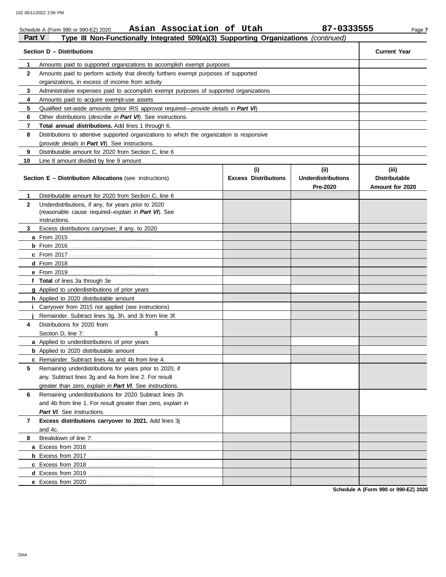|               | Asian Association of Utah<br>Schedule A (Form 990 or 990-EZ) 2020                               |                                    | 87-0333555                                     | Page 7                                           |
|---------------|-------------------------------------------------------------------------------------------------|------------------------------------|------------------------------------------------|--------------------------------------------------|
| <b>Part V</b> | Type III Non-Functionally Integrated 509(a)(3) Supporting Organizations (continued)             |                                    |                                                |                                                  |
|               | Section D - Distributions                                                                       |                                    |                                                | <b>Current Year</b>                              |
| 1             | Amounts paid to supported organizations to accomplish exempt purposes                           |                                    |                                                |                                                  |
| $\mathbf{2}$  |                                                                                                 |                                    |                                                |                                                  |
|               | organizations, in excess of income from activity                                                |                                    |                                                |                                                  |
| 3             | Administrative expenses paid to accomplish exempt purposes of supported organizations           |                                    |                                                |                                                  |
| 4             | Amounts paid to acquire exempt-use assets                                                       |                                    |                                                |                                                  |
| 5             | Qualified set-aside amounts (prior IRS approval required—provide details in Part VI)            |                                    |                                                |                                                  |
| 6             | Other distributions ( <i>describe in Part VI</i> ). See instructions.                           |                                    |                                                |                                                  |
| 7             | <b>Total annual distributions.</b> Add lines 1 through 6.                                       |                                    |                                                |                                                  |
| 8             | Distributions to attentive supported organizations to which the organization is responsive      |                                    |                                                |                                                  |
|               | (provide details in Part VI). See instructions.                                                 |                                    |                                                |                                                  |
| 9             | Distributable amount for 2020 from Section C, line 6                                            |                                    |                                                |                                                  |
| 10            | Line 8 amount divided by line 9 amount                                                          |                                    |                                                |                                                  |
|               | <b>Section E - Distribution Allocations (see instructions)</b>                                  | (i)<br><b>Excess Distributions</b> | (iii)<br><b>Underdistributions</b><br>Pre-2020 | (iii)<br><b>Distributable</b><br>Amount for 2020 |
| 1             | Distributable amount for 2020 from Section C, line 6                                            |                                    |                                                |                                                  |
| 2             | Underdistributions, if any, for years prior to 2020                                             |                                    |                                                |                                                  |
|               | (reasonable cause required-explain in Part VI). See                                             |                                    |                                                |                                                  |
|               | instructions.                                                                                   |                                    |                                                |                                                  |
| 3             | Excess distributions carryover, if any, to 2020                                                 |                                    |                                                |                                                  |
|               |                                                                                                 |                                    |                                                |                                                  |
|               |                                                                                                 |                                    |                                                |                                                  |
|               |                                                                                                 |                                    |                                                |                                                  |
|               |                                                                                                 |                                    |                                                |                                                  |
|               |                                                                                                 |                                    |                                                |                                                  |
|               | f Total of lines 3a through 3e                                                                  |                                    |                                                |                                                  |
|               | <b>g</b> Applied to underdistributions of prior years                                           |                                    |                                                |                                                  |
|               | h Applied to 2020 distributable amount                                                          |                                    |                                                |                                                  |
|               | Carryover from 2015 not applied (see instructions)                                              |                                    |                                                |                                                  |
|               | Remainder. Subtract lines 3q, 3h, and 3i from line 3f.                                          |                                    |                                                |                                                  |
| 4             | Distributions for 2020 from                                                                     |                                    |                                                |                                                  |
|               | Section D, line 7:<br>\$                                                                        |                                    |                                                |                                                  |
|               | a Applied to underdistributions of prior years<br><b>b</b> Applied to 2020 distributable amount |                                    |                                                |                                                  |
|               | c Remainder. Subtract lines 4a and 4b from line 4.                                              |                                    |                                                |                                                  |
| 5             | Remaining underdistributions for years prior to 2020, if                                        |                                    |                                                |                                                  |
|               | any. Subtract lines 3g and 4a from line 2. For result                                           |                                    |                                                |                                                  |
|               |                                                                                                 |                                    |                                                |                                                  |
|               | greater than zero, explain in Part VI. See instructions.                                        |                                    |                                                |                                                  |
| 6             | Remaining underdistributions for 2020 Subtract lines 3h                                         |                                    |                                                |                                                  |
|               | and 4b from line 1. For result greater than zero, explain in                                    |                                    |                                                |                                                  |
|               | Part VI. See instructions.                                                                      |                                    |                                                |                                                  |
| 7             | Excess distributions carryover to 2021. Add lines 3j                                            |                                    |                                                |                                                  |
| 8             | and 4c.<br>Breakdown of line 7:                                                                 |                                    |                                                |                                                  |
|               |                                                                                                 |                                    |                                                |                                                  |
|               | a Excess from 2016                                                                              |                                    |                                                |                                                  |
|               |                                                                                                 |                                    |                                                |                                                  |
|               | d Excess from 2019                                                                              |                                    |                                                |                                                  |
|               |                                                                                                 |                                    |                                                |                                                  |

**Schedule A (Form 990 or 990-EZ) 2020**

**e** Excess from 2020 . . . . . . . . . . . . . . . . . . . . . . . . . . .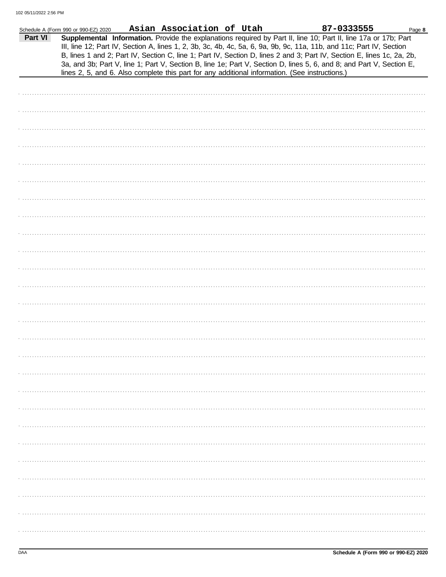|         | Schedule A (Form 990 or 990-EZ) 2020 | Asian Association of Utah | 87-0333555                                                                                                                                                                                                                                                                                                                                                                                                                                                                                                                                                                                  | Page 8 |
|---------|--------------------------------------|---------------------------|---------------------------------------------------------------------------------------------------------------------------------------------------------------------------------------------------------------------------------------------------------------------------------------------------------------------------------------------------------------------------------------------------------------------------------------------------------------------------------------------------------------------------------------------------------------------------------------------|--------|
| Part VI |                                      |                           | Supplemental Information. Provide the explanations required by Part II, line 10; Part II, line 17a or 17b; Part<br>III, line 12; Part IV, Section A, lines 1, 2, 3b, 3c, 4b, 4c, 5a, 6, 9a, 9b, 9c, 11a, 11b, and 11c; Part IV, Section<br>B, lines 1 and 2; Part IV, Section C, line 1; Part IV, Section D, lines 2 and 3; Part IV, Section E, lines 1c, 2a, 2b,<br>3a, and 3b; Part V, line 1; Part V, Section B, line 1e; Part V, Section D, lines 5, 6, and 8; and Part V, Section E,<br>lines 2, 5, and 6. Also complete this part for any additional information. (See instructions.) |        |
|         |                                      |                           |                                                                                                                                                                                                                                                                                                                                                                                                                                                                                                                                                                                             |        |
|         |                                      |                           |                                                                                                                                                                                                                                                                                                                                                                                                                                                                                                                                                                                             |        |
|         |                                      |                           |                                                                                                                                                                                                                                                                                                                                                                                                                                                                                                                                                                                             |        |
|         |                                      |                           |                                                                                                                                                                                                                                                                                                                                                                                                                                                                                                                                                                                             |        |
|         |                                      |                           |                                                                                                                                                                                                                                                                                                                                                                                                                                                                                                                                                                                             |        |
|         |                                      |                           |                                                                                                                                                                                                                                                                                                                                                                                                                                                                                                                                                                                             |        |
|         |                                      |                           |                                                                                                                                                                                                                                                                                                                                                                                                                                                                                                                                                                                             |        |
|         |                                      |                           |                                                                                                                                                                                                                                                                                                                                                                                                                                                                                                                                                                                             |        |
|         |                                      |                           |                                                                                                                                                                                                                                                                                                                                                                                                                                                                                                                                                                                             |        |
|         |                                      |                           |                                                                                                                                                                                                                                                                                                                                                                                                                                                                                                                                                                                             |        |
|         |                                      |                           |                                                                                                                                                                                                                                                                                                                                                                                                                                                                                                                                                                                             |        |
|         |                                      |                           |                                                                                                                                                                                                                                                                                                                                                                                                                                                                                                                                                                                             |        |
|         |                                      |                           |                                                                                                                                                                                                                                                                                                                                                                                                                                                                                                                                                                                             |        |
|         |                                      |                           |                                                                                                                                                                                                                                                                                                                                                                                                                                                                                                                                                                                             |        |
|         |                                      |                           |                                                                                                                                                                                                                                                                                                                                                                                                                                                                                                                                                                                             |        |
|         |                                      |                           |                                                                                                                                                                                                                                                                                                                                                                                                                                                                                                                                                                                             |        |
|         |                                      |                           |                                                                                                                                                                                                                                                                                                                                                                                                                                                                                                                                                                                             |        |
|         |                                      |                           |                                                                                                                                                                                                                                                                                                                                                                                                                                                                                                                                                                                             |        |
|         |                                      |                           |                                                                                                                                                                                                                                                                                                                                                                                                                                                                                                                                                                                             |        |
|         |                                      |                           |                                                                                                                                                                                                                                                                                                                                                                                                                                                                                                                                                                                             |        |
|         |                                      |                           |                                                                                                                                                                                                                                                                                                                                                                                                                                                                                                                                                                                             |        |
|         |                                      |                           |                                                                                                                                                                                                                                                                                                                                                                                                                                                                                                                                                                                             |        |
|         |                                      |                           |                                                                                                                                                                                                                                                                                                                                                                                                                                                                                                                                                                                             |        |
|         |                                      |                           |                                                                                                                                                                                                                                                                                                                                                                                                                                                                                                                                                                                             |        |
|         |                                      |                           |                                                                                                                                                                                                                                                                                                                                                                                                                                                                                                                                                                                             |        |
|         |                                      |                           |                                                                                                                                                                                                                                                                                                                                                                                                                                                                                                                                                                                             |        |
|         |                                      |                           |                                                                                                                                                                                                                                                                                                                                                                                                                                                                                                                                                                                             |        |
|         |                                      |                           |                                                                                                                                                                                                                                                                                                                                                                                                                                                                                                                                                                                             |        |
|         |                                      |                           |                                                                                                                                                                                                                                                                                                                                                                                                                                                                                                                                                                                             |        |
|         |                                      |                           |                                                                                                                                                                                                                                                                                                                                                                                                                                                                                                                                                                                             |        |
|         |                                      |                           |                                                                                                                                                                                                                                                                                                                                                                                                                                                                                                                                                                                             |        |
|         |                                      |                           |                                                                                                                                                                                                                                                                                                                                                                                                                                                                                                                                                                                             |        |
|         |                                      |                           |                                                                                                                                                                                                                                                                                                                                                                                                                                                                                                                                                                                             |        |
|         |                                      |                           |                                                                                                                                                                                                                                                                                                                                                                                                                                                                                                                                                                                             |        |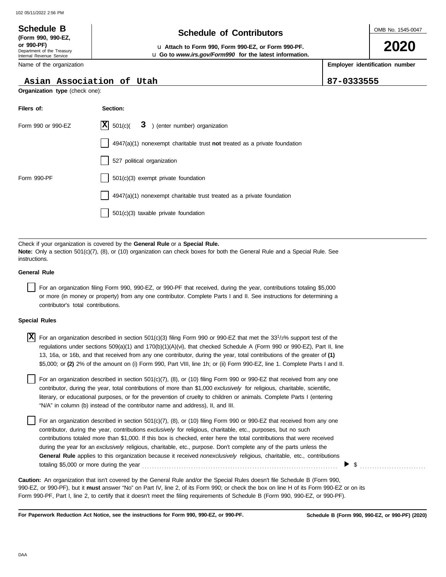Department of the Treasury Internal Revenue Service Name of the organization

**(Form 990, 990-EZ,**

# **Schedule B Schedule B Schedule B Schedule of Contributors**

**or 990-PF)** u **Attach to Form 990, Form 990-EZ, or Form 990-PF.** u **Go to** *www.irs.gov/Form990* **for the latest information.** OMB No. 1545-0047

**2020**

**Employer identification number**

| Asian Association of Utah          |                                                                                                                                                                                                                                                                                                                                                                                                                                                                                                                                                                                                                     | 87-0333555 |  |  |  |  |  |
|------------------------------------|---------------------------------------------------------------------------------------------------------------------------------------------------------------------------------------------------------------------------------------------------------------------------------------------------------------------------------------------------------------------------------------------------------------------------------------------------------------------------------------------------------------------------------------------------------------------------------------------------------------------|------------|--|--|--|--|--|
| Organization type (check one):     |                                                                                                                                                                                                                                                                                                                                                                                                                                                                                                                                                                                                                     |            |  |  |  |  |  |
| Filers of:                         | Section:                                                                                                                                                                                                                                                                                                                                                                                                                                                                                                                                                                                                            |            |  |  |  |  |  |
| Form 990 or 990-EZ                 | $ \mathbf{X} $ 501(c)(<br>3 ) (enter number) organization                                                                                                                                                                                                                                                                                                                                                                                                                                                                                                                                                           |            |  |  |  |  |  |
|                                    | $4947(a)(1)$ nonexempt charitable trust not treated as a private foundation                                                                                                                                                                                                                                                                                                                                                                                                                                                                                                                                         |            |  |  |  |  |  |
|                                    | 527 political organization                                                                                                                                                                                                                                                                                                                                                                                                                                                                                                                                                                                          |            |  |  |  |  |  |
| Form 990-PF                        | 501(c)(3) exempt private foundation                                                                                                                                                                                                                                                                                                                                                                                                                                                                                                                                                                                 |            |  |  |  |  |  |
|                                    | 4947(a)(1) nonexempt charitable trust treated as a private foundation                                                                                                                                                                                                                                                                                                                                                                                                                                                                                                                                               |            |  |  |  |  |  |
|                                    | 501(c)(3) taxable private foundation                                                                                                                                                                                                                                                                                                                                                                                                                                                                                                                                                                                |            |  |  |  |  |  |
|                                    |                                                                                                                                                                                                                                                                                                                                                                                                                                                                                                                                                                                                                     |            |  |  |  |  |  |
| instructions.                      | Check if your organization is covered by the General Rule or a Special Rule.<br>Note: Only a section 501(c)(7), (8), or (10) organization can check boxes for both the General Rule and a Special Rule. See                                                                                                                                                                                                                                                                                                                                                                                                         |            |  |  |  |  |  |
| <b>General Rule</b>                |                                                                                                                                                                                                                                                                                                                                                                                                                                                                                                                                                                                                                     |            |  |  |  |  |  |
| contributor's total contributions. | For an organization filing Form 990, 990-EZ, or 990-PF that received, during the year, contributions totaling \$5,000<br>or more (in money or property) from any one contributor. Complete Parts I and II. See instructions for determining a                                                                                                                                                                                                                                                                                                                                                                       |            |  |  |  |  |  |
| <b>Special Rules</b>               |                                                                                                                                                                                                                                                                                                                                                                                                                                                                                                                                                                                                                     |            |  |  |  |  |  |
| X                                  | For an organization described in section 501(c)(3) filing Form 990 or 990-EZ that met the 33 <sup>1</sup> /3% support test of the<br>regulations under sections 509(a)(1) and 170(b)(1)(A)(vi), that checked Schedule A (Form 990 or 990-EZ), Part II, line<br>13, 16a, or 16b, and that received from any one contributor, during the year, total contributions of the greater of (1)<br>\$5,000; or (2) 2% of the amount on (i) Form 990, Part VIII, line 1h; or (ii) Form 990-EZ, line 1. Complete Parts I and II.                                                                                               |            |  |  |  |  |  |
|                                    | For an organization described in section 501(c)(7), (8), or (10) filing Form 990 or 990-EZ that received from any one<br>contributor, during the year, total contributions of more than \$1,000 exclusively for religious, charitable, scientific,<br>literary, or educational purposes, or for the prevention of cruelty to children or animals. Complete Parts I (entering<br>"N/A" in column (b) instead of the contributor name and address), II, and III.                                                                                                                                                      |            |  |  |  |  |  |
|                                    | For an organization described in section 501(c)(7), (8), or (10) filing Form 990 or 990-EZ that received from any one<br>contributor, during the year, contributions exclusively for religious, charitable, etc., purposes, but no such<br>contributions totaled more than \$1,000. If this box is checked, enter here the total contributions that were received<br>during the year for an exclusively religious, charitable, etc., purpose. Don't complete any of the parts unless the<br>General Rule applies to this organization because it received nonexclusively religious, charitable, etc., contributions | \$         |  |  |  |  |  |
|                                    | <b>Caution:</b> An organization that isn't covered by the General Rule and/or the Special Rules doesn't file Schedule B (Form 990,<br>990-EZ, or 990-PF), but it <b>must</b> answer "No" on Part IV, line 2, of its Form 990; or check the box on line H of its Form 990-EZ or on its<br>Form 990-PF, Part I, line 2, to certify that it doesn't meet the filing requirements of Schedule B (Form 990, 990-EZ, or 990-PF).                                                                                                                                                                                          |            |  |  |  |  |  |

**For Paperwork Reduction Act Notice, see the instructions for Form 990, 990-EZ, or 990-PF.**

**Schedule B (Form 990, 990-EZ, or 990-PF) (2020)**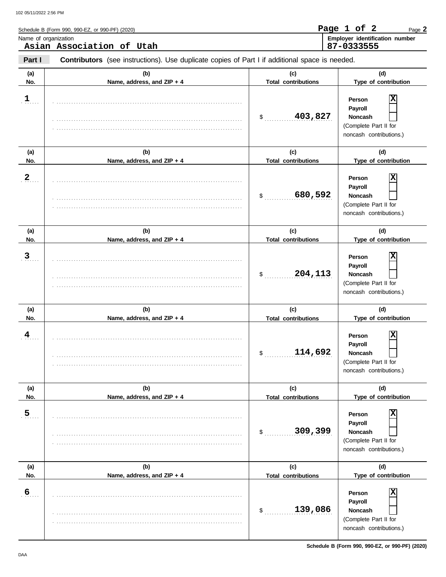|                       | Schedule B (Form 990, 990-EZ, or 990-PF) (2020)                                                |                                             | Page 1 of 2<br>Page 2                                                                                           |
|-----------------------|------------------------------------------------------------------------------------------------|---------------------------------------------|-----------------------------------------------------------------------------------------------------------------|
|                       | Name of organization<br>Asian Association of Utah                                              |                                             | Employer identification number<br>87-0333555                                                                    |
| Part I                | Contributors (see instructions). Use duplicate copies of Part I if additional space is needed. |                                             |                                                                                                                 |
| (a)<br>No.            | (b)<br>Name, address, and ZIP + 4                                                              | (c)<br><b>Total contributions</b>           | (d)<br>Type of contribution                                                                                     |
| $\frac{1}{n}$         |                                                                                                | 403,827<br>\$                               | Person<br>Payroll<br><b>Noncash</b><br>(Complete Part II for<br>noncash contributions.)                         |
| (a)<br>No.            | (b)<br>Name, address, and ZIP + 4                                                              | (c)<br><b>Total contributions</b>           | (d)<br>Type of contribution                                                                                     |
| $2_{\ldots}$          |                                                                                                | 680,592<br>\$                               | Person<br>Payroll<br><b>Noncash</b><br>(Complete Part II for<br>noncash contributions.)                         |
| (a)                   | (b)                                                                                            | (c)                                         | (d)<br>Type of contribution                                                                                     |
| No.<br>$\overline{3}$ | Name, address, and ZIP + 4                                                                     | <b>Total contributions</b><br>204,113<br>\$ | Person<br>Payroll<br><b>Noncash</b><br>(Complete Part II for<br>noncash contributions.)                         |
| (a)                   | (b)                                                                                            | (c)                                         | (d)                                                                                                             |
| No.<br>$\frac{4}{1}$  | Name, address, and ZIP + 4                                                                     | <b>Total contributions</b><br>114,692<br>\$ | Type of contribution<br>Person<br>Payroll<br><b>Noncash</b><br>(Complete Part II for<br>noncash contributions.) |
| (a)<br>No.            | (b)<br>Name, address, and ZIP + 4                                                              | (c)<br><b>Total contributions</b>           | (d)<br>Type of contribution                                                                                     |
| $\frac{5}{2}$         |                                                                                                | 309,399<br>\$                               | Person<br>Payroll<br>Noncash<br>(Complete Part II for<br>noncash contributions.)                                |
| (a)<br>No.            | (b)<br>Name, address, and ZIP + 4                                                              | (c)<br><b>Total contributions</b>           | (d)<br>Type of contribution                                                                                     |
| $\overline{6}$        |                                                                                                | 139,086<br>\$                               | Person<br>Payroll<br>Noncash<br>(Complete Part II for                                                           |

noncash contributions.)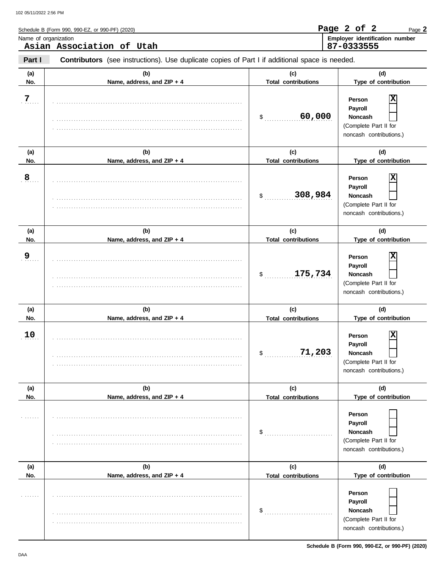|                      | Schedule B (Form 990, 990-EZ, or 990-PF) (2020)                                                |                                   | Page 2 of 2<br>Page 2                                                                        |
|----------------------|------------------------------------------------------------------------------------------------|-----------------------------------|----------------------------------------------------------------------------------------------|
| Name of organization | Asian Association of Utah                                                                      |                                   | Employer identification number<br>87-0333555                                                 |
| Part I               | Contributors (see instructions). Use duplicate copies of Part I if additional space is needed. |                                   |                                                                                              |
| (a)<br>No.           | (b)<br>Name, address, and ZIP + 4                                                              | (c)<br><b>Total contributions</b> | (d)<br>Type of contribution                                                                  |
| $\overline{z}$       |                                                                                                | 60,000<br>\$                      | х<br>Person<br>Payroll<br>Noncash<br>(Complete Part II for<br>noncash contributions.)        |
| (a)<br>No.           | (b)<br>Name, address, and ZIP + 4                                                              | (c)<br><b>Total contributions</b> | (d)<br>Type of contribution                                                                  |
| 8                    |                                                                                                | 308,984<br>\$                     | х<br>Person<br>Payroll<br><b>Noncash</b><br>(Complete Part II for<br>noncash contributions.) |
| (a)<br>No.           | (b)<br>Name, address, and ZIP + 4                                                              | (c)<br><b>Total contributions</b> | (d)<br>Type of contribution                                                                  |
| $\overline{9}$       |                                                                                                | 175,734<br>\$                     | х<br>Person<br>Payroll<br><b>Noncash</b><br>(Complete Part II for<br>noncash contributions.) |
| (a)<br>No.           | (b)<br>Name, address, and ZIP + 4                                                              | (c)<br><b>Total contributions</b> | (d)<br>Type of contribution                                                                  |
| 10                   |                                                                                                | 71,203<br>$\mathfrak{s}_{\perp}$  | X<br>Person<br>Payroll<br>Noncash<br>(Complete Part II for<br>noncash contributions.)        |
| (a)<br>No.           | (b)<br>Name, address, and ZIP + 4                                                              | (c)<br><b>Total contributions</b> | (d)<br>Type of contribution                                                                  |
|                      |                                                                                                | \$                                | Person<br>Payroll<br><b>Noncash</b><br>(Complete Part II for<br>noncash contributions.)      |
| (a)<br>No.           | (b)<br>Name, address, and ZIP + 4                                                              | (c)<br><b>Total contributions</b> | (d)<br>Type of contribution                                                                  |
|                      |                                                                                                | \$                                | Person<br>Payroll<br>Noncash<br>(Complete Part II for                                        |

noncash contributions.)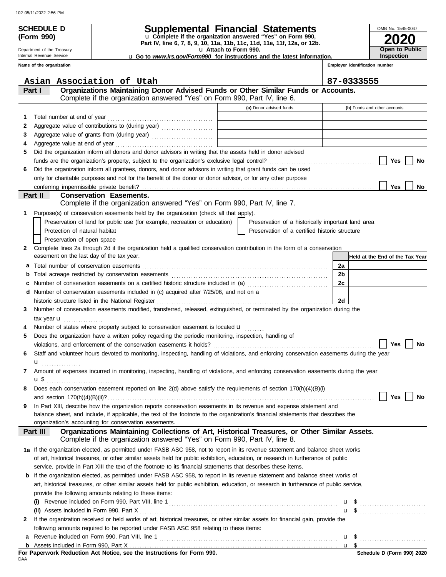|        | <b>SCHEDULE D</b><br>(Form 990)           |                                                                                                                                                                                                                                | <b>Supplemental Financial Statements</b><br>u Complete if the organization answered "Yes" on Form 990, |                                | OMB No. 1545-0047               |  |
|--------|-------------------------------------------|--------------------------------------------------------------------------------------------------------------------------------------------------------------------------------------------------------------------------------|--------------------------------------------------------------------------------------------------------|--------------------------------|---------------------------------|--|
|        | Department of the Treasury                |                                                                                                                                                                                                                                | Part IV, line 6, 7, 8, 9, 10, 11a, 11b, 11c, 11d, 11e, 11f, 12a, or 12b.<br>u Attach to Form 990.      |                                | Open to Public                  |  |
|        | Internal Revenue Service                  |                                                                                                                                                                                                                                | <b>u</b> Go to www.irs.gov/Form990 for instructions and the latest information.                        |                                | <b>Inspection</b>               |  |
|        | Name of the organization                  |                                                                                                                                                                                                                                |                                                                                                        | Employer identification number |                                 |  |
|        |                                           | Asian Association of Utah                                                                                                                                                                                                      |                                                                                                        | 87-0333555                     |                                 |  |
|        | Part I                                    | Organizations Maintaining Donor Advised Funds or Other Similar Funds or Accounts.                                                                                                                                              |                                                                                                        |                                |                                 |  |
|        |                                           | Complete if the organization answered "Yes" on Form 990, Part IV, line 6.                                                                                                                                                      |                                                                                                        |                                |                                 |  |
|        |                                           |                                                                                                                                                                                                                                | (a) Donor advised funds                                                                                |                                | (b) Funds and other accounts    |  |
| 1      |                                           |                                                                                                                                                                                                                                |                                                                                                        |                                |                                 |  |
| 2      |                                           |                                                                                                                                                                                                                                |                                                                                                        |                                |                                 |  |
| 3      |                                           | Aggregate value of grants from (during year) Material Material Material Material Material Material Material Material Material Material Material Material Material Material Material Material Material Material Material Materi |                                                                                                        |                                |                                 |  |
| 4      |                                           |                                                                                                                                                                                                                                |                                                                                                        |                                |                                 |  |
| 5      |                                           | Did the organization inform all donors and donor advisors in writing that the assets held in donor advised                                                                                                                     |                                                                                                        |                                |                                 |  |
|        |                                           |                                                                                                                                                                                                                                |                                                                                                        |                                | Yes<br>No                       |  |
| 6      |                                           | Did the organization inform all grantees, donors, and donor advisors in writing that grant funds can be used                                                                                                                   |                                                                                                        |                                |                                 |  |
|        |                                           | only for charitable purposes and not for the benefit of the donor or donor advisor, or for any other purpose                                                                                                                   |                                                                                                        |                                | <b>Yes</b><br>No                |  |
|        | Part II                                   | <b>Conservation Easements.</b>                                                                                                                                                                                                 |                                                                                                        |                                |                                 |  |
|        |                                           | Complete if the organization answered "Yes" on Form 990, Part IV, line 7.                                                                                                                                                      |                                                                                                        |                                |                                 |  |
| 1      |                                           | Purpose(s) of conservation easements held by the organization (check all that apply).                                                                                                                                          |                                                                                                        |                                |                                 |  |
|        |                                           | Preservation of land for public use (for example, recreation or education)                                                                                                                                                     | Preservation of a historically important land area                                                     |                                |                                 |  |
|        | Protection of natural habitat             |                                                                                                                                                                                                                                | Preservation of a certified historic structure                                                         |                                |                                 |  |
|        | Preservation of open space                |                                                                                                                                                                                                                                |                                                                                                        |                                |                                 |  |
| 2      |                                           | Complete lines 2a through 2d if the organization held a qualified conservation contribution in the form of a conservation                                                                                                      |                                                                                                        |                                |                                 |  |
|        | easement on the last day of the tax year. |                                                                                                                                                                                                                                |                                                                                                        |                                | Held at the End of the Tax Year |  |
| а      |                                           |                                                                                                                                                                                                                                |                                                                                                        | 2a                             |                                 |  |
| b      |                                           |                                                                                                                                                                                                                                |                                                                                                        | 2b                             |                                 |  |
| с<br>d |                                           | Number of conservation easements on a certified historic structure included in (a) [[[[[ [ [ ]]]<br>Number of conservation easements included in (c) acquired after 7/25/06, and not on a                                      |                                                                                                        | 2c                             |                                 |  |
|        |                                           | historic structure listed in the National Register                                                                                                                                                                             |                                                                                                        | 2d                             |                                 |  |
| 3      |                                           | Number of conservation easements modified, transferred, released, extinguished, or terminated by the organization during the                                                                                                   |                                                                                                        |                                |                                 |  |
|        | tax year $\mathbf u$                      |                                                                                                                                                                                                                                |                                                                                                        |                                |                                 |  |
| 4      |                                           | Number of states where property subject to conservation easement is located <b>u</b>                                                                                                                                           |                                                                                                        |                                |                                 |  |
| 5      |                                           | Does the organization have a written policy regarding the periodic monitoring, inspection, handling of                                                                                                                         |                                                                                                        |                                |                                 |  |
|        |                                           |                                                                                                                                                                                                                                |                                                                                                        |                                | Yes<br>No                       |  |
| 6      |                                           | Staff and volunteer hours devoted to monitoring, inspecting, handling of violations, and enforcing conservation easements during the year                                                                                      |                                                                                                        |                                |                                 |  |
|        | u <sub></sub> .                           |                                                                                                                                                                                                                                |                                                                                                        |                                |                                 |  |
| 7      |                                           | Amount of expenses incurred in monitoring, inspecting, handling of violations, and enforcing conservation easements during the year                                                                                            |                                                                                                        |                                |                                 |  |
|        | u\$                                       |                                                                                                                                                                                                                                |                                                                                                        |                                |                                 |  |
| 8      |                                           | Does each conservation easement reported on line 2(d) above satisfy the requirements of section 170(h)(4)(B)(i)                                                                                                                |                                                                                                        |                                | Yes                             |  |
|        |                                           | In Part XIII, describe how the organization reports conservation easements in its revenue and expense statement and                                                                                                            |                                                                                                        |                                | No                              |  |
| 9      |                                           | balance sheet, and include, if applicable, the text of the footnote to the organization's financial statements that describes the                                                                                              |                                                                                                        |                                |                                 |  |
|        |                                           | organization's accounting for conservation easements.                                                                                                                                                                          |                                                                                                        |                                |                                 |  |
|        | Part III                                  | Organizations Maintaining Collections of Art, Historical Treasures, or Other Similar Assets.                                                                                                                                   |                                                                                                        |                                |                                 |  |
|        |                                           | Complete if the organization answered "Yes" on Form 990, Part IV, line 8.                                                                                                                                                      |                                                                                                        |                                |                                 |  |
|        |                                           | 1a If the organization elected, as permitted under FASB ASC 958, not to report in its revenue statement and balance sheet works                                                                                                |                                                                                                        |                                |                                 |  |
|        |                                           | of art, historical treasures, or other similar assets held for public exhibition, education, or research in furtherance of public                                                                                              |                                                                                                        |                                |                                 |  |
|        |                                           | service, provide in Part XIII the text of the footnote to its financial statements that describes these items.                                                                                                                 |                                                                                                        |                                |                                 |  |
|        |                                           | <b>b</b> If the organization elected, as permitted under FASB ASC 958, to report in its revenue statement and balance sheet works of                                                                                           |                                                                                                        |                                |                                 |  |

| art, historical treasures, or other similar assets held for public exhibition, education, or research in furtherance of public service, |  |
|-----------------------------------------------------------------------------------------------------------------------------------------|--|
| provide the following amounts relating to these items:                                                                                  |  |

| provide the renorming diriodine relating to these normal                                                                           |     |  |
|------------------------------------------------------------------------------------------------------------------------------------|-----|--|
| (i) Revenue included on Form 990, Part VIII, line 1                                                                                | u t |  |
| (ii) Assets included in Form 990, Part X                                                                                           |     |  |
| 2 If the organization received or held works of art, historical treasures, or other similar assets for financial gain, provide the |     |  |
| following amounts required to be reported under FASB ASC 958 relating to these items:                                              |     |  |
| a Revenue included on Form 990, Part VIII, line 1                                                                                  | u t |  |
|                                                                                                                                    |     |  |

**For Paperwork Reduction Act Notice, see the Instructions for Form 990.**<br><sub>DAA</sub>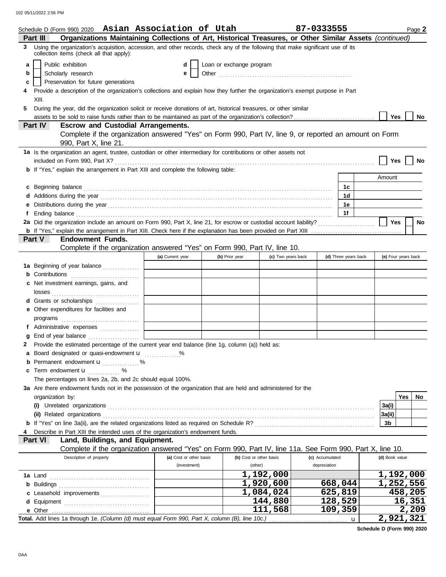|    | Schedule D (Form 990) 2020 Asian Association of Utah                                                                                                                                                                                 |                         |                          |                         | 87-0333555      |                      |                     | Page 2    |
|----|--------------------------------------------------------------------------------------------------------------------------------------------------------------------------------------------------------------------------------------|-------------------------|--------------------------|-------------------------|-----------------|----------------------|---------------------|-----------|
|    | Organizations Maintaining Collections of Art, Historical Treasures, or Other Similar Assets (continued)<br>Part III                                                                                                                  |                         |                          |                         |                 |                      |                     |           |
| 3  | Using the organization's acquisition, accession, and other records, check any of the following that make significant use of its<br>collection items (check all that apply):                                                          |                         |                          |                         |                 |                      |                     |           |
| a  | Public exhibition                                                                                                                                                                                                                    | d                       | Loan or exchange program |                         |                 |                      |                     |           |
| b  | Scholarly research                                                                                                                                                                                                                   | е                       |                          |                         |                 |                      |                     |           |
| c  | Preservation for future generations                                                                                                                                                                                                  |                         |                          |                         |                 |                      |                     |           |
|    | Provide a description of the organization's collections and explain how they further the organization's exempt purpose in Part                                                                                                       |                         |                          |                         |                 |                      |                     |           |
|    | XIII.                                                                                                                                                                                                                                |                         |                          |                         |                 |                      |                     |           |
| 5. | During the year, did the organization solicit or receive donations of art, historical treasures, or other similar                                                                                                                    |                         |                          |                         |                 |                      |                     |           |
|    | assets to be sold to raise funds rather than to be maintained as part of the organization's collection?                                                                                                                              |                         |                          |                         |                 |                      | Yes                 | No        |
|    | <b>Escrow and Custodial Arrangements.</b><br><b>Part IV</b>                                                                                                                                                                          |                         |                          |                         |                 |                      |                     |           |
|    | Complete if the organization answered "Yes" on Form 990, Part IV, line 9, or reported an amount on Form                                                                                                                              |                         |                          |                         |                 |                      |                     |           |
|    | 990, Part X, line 21.                                                                                                                                                                                                                |                         |                          |                         |                 |                      |                     |           |
|    | 1a Is the organization an agent, trustee, custodian or other intermediary for contributions or other assets not                                                                                                                      |                         |                          |                         |                 |                      |                     |           |
|    |                                                                                                                                                                                                                                      |                         |                          |                         |                 |                      | Yes                 | No        |
|    | <b>b</b> If "Yes," explain the arrangement in Part XIII and complete the following table:                                                                                                                                            |                         |                          |                         |                 |                      |                     |           |
|    |                                                                                                                                                                                                                                      |                         |                          |                         |                 |                      | Amount              |           |
|    | c Beginning balance <b>contract to the contract of the contract of the contract of the contract of the contract of the contract of the contract of the contract of the contract of the contract of the contract of the contract </b> |                         |                          |                         |                 | 1с                   |                     |           |
|    |                                                                                                                                                                                                                                      |                         |                          |                         |                 | 1d                   |                     |           |
| е  | Distributions during the year manufactured and contact the year manufactured and all the year manufactured and the vector of the state of the state of the state of the state of the state of the state of the state of the st       |                         |                          |                         |                 | 1e                   |                     |           |
| f  | Ending balance <i>communication</i> and the contract of the contract of the contract of the contract of the contract of the contract of the contract of the contract of the contract of the contract of the contract of the contrac  |                         |                          |                         |                 | 1f                   |                     |           |
|    | 2a Did the organization include an amount on Form 990, Part X, line 21, for escrow or custodial account liability?                                                                                                                   |                         |                          |                         |                 |                      | Yes                 | <b>No</b> |
|    |                                                                                                                                                                                                                                      |                         |                          |                         |                 |                      |                     |           |
|    | Part V<br><b>Endowment Funds.</b>                                                                                                                                                                                                    |                         |                          |                         |                 |                      |                     |           |
|    | Complete if the organization answered "Yes" on Form 990, Part IV, line 10.                                                                                                                                                           |                         |                          |                         |                 |                      |                     |           |
|    |                                                                                                                                                                                                                                      | (a) Current year        | (b) Prior year           | (c) Two years back      |                 | (d) Three years back | (e) Four years back |           |
|    | 1a Beginning of year balance                                                                                                                                                                                                         |                         |                          |                         |                 |                      |                     |           |
|    |                                                                                                                                                                                                                                      |                         |                          |                         |                 |                      |                     |           |
|    | c Net investment earnings, gains, and                                                                                                                                                                                                |                         |                          |                         |                 |                      |                     |           |
|    | d Grants or scholarships                                                                                                                                                                                                             |                         |                          |                         |                 |                      |                     |           |
|    | e Other expenditures for facilities and                                                                                                                                                                                              |                         |                          |                         |                 |                      |                     |           |
|    |                                                                                                                                                                                                                                      |                         |                          |                         |                 |                      |                     |           |
|    | f Administrative expenses                                                                                                                                                                                                            |                         |                          |                         |                 |                      |                     |           |
| g  | End of year balance                                                                                                                                                                                                                  |                         |                          |                         |                 |                      |                     |           |
| 2  | Provide the estimated percentage of the current year end balance (line 1g, column (a)) held as:                                                                                                                                      |                         |                          |                         |                 |                      |                     |           |
|    | a Board designated or quasi-endowment u                                                                                                                                                                                              |                         |                          |                         |                 |                      |                     |           |
|    | <b>b</b> Permanent endowment <b>u</b> %                                                                                                                                                                                              |                         |                          |                         |                 |                      |                     |           |
|    | c Term endowment <b>u</b> %                                                                                                                                                                                                          |                         |                          |                         |                 |                      |                     |           |
|    | The percentages on lines 2a, 2b, and 2c should equal 100%.                                                                                                                                                                           |                         |                          |                         |                 |                      |                     |           |
|    | 3a Are there endowment funds not in the possession of the organization that are held and administered for the                                                                                                                        |                         |                          |                         |                 |                      |                     |           |
|    | organization by:                                                                                                                                                                                                                     |                         |                          |                         |                 |                      |                     | Yes<br>No |
|    |                                                                                                                                                                                                                                      |                         |                          |                         |                 |                      | 3a(i)               |           |
|    |                                                                                                                                                                                                                                      |                         |                          |                         |                 |                      | 3a(ii)              |           |
|    |                                                                                                                                                                                                                                      |                         |                          |                         |                 |                      | 3b                  |           |
|    | Describe in Part XIII the intended uses of the organization's endowment funds.                                                                                                                                                       |                         |                          |                         |                 |                      |                     |           |
|    | Land, Buildings, and Equipment.<br>Part VI                                                                                                                                                                                           |                         |                          |                         |                 |                      |                     |           |
|    | Complete if the organization answered "Yes" on Form 990, Part IV, line 11a. See Form 990, Part X, line 10.                                                                                                                           |                         |                          |                         |                 |                      |                     |           |
|    | Description of property                                                                                                                                                                                                              | (a) Cost or other basis |                          | (b) Cost or other basis | (c) Accumulated |                      | (d) Book value      |           |
|    |                                                                                                                                                                                                                                      | (investment)            |                          | (other)                 | depreciation    |                      |                     |           |
|    |                                                                                                                                                                                                                                      |                         |                          | 1,192,000               |                 |                      | 1,192,000           |           |
|    |                                                                                                                                                                                                                                      |                         |                          | 1,920,600               |                 | 668,044              | 1,252,556           |           |
|    | c Leasehold improvements                                                                                                                                                                                                             |                         |                          | 1,084,024               |                 | 625,819              |                     | 458,205   |
|    |                                                                                                                                                                                                                                      |                         |                          | 144,880                 |                 | 128,529              |                     | 16,351    |
|    |                                                                                                                                                                                                                                      |                         |                          | 111,568                 |                 | 109,359              | 2,921,321           | 2,209     |
|    |                                                                                                                                                                                                                                      |                         |                          |                         |                 | u                    |                     |           |

**Schedule D (Form 990) 2020**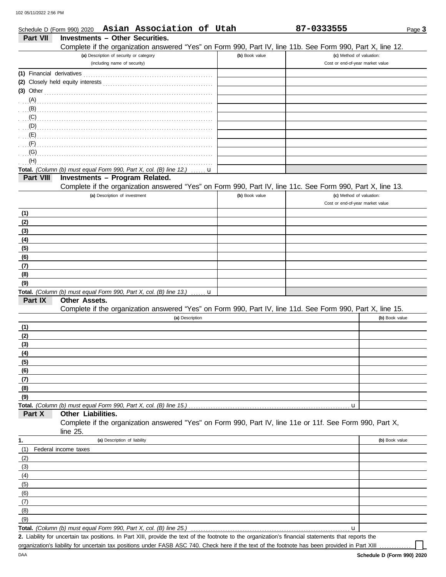|                           | Schedule D (Form 990) 2020 Asian Association of Utah                                                                                                 |                | 87-0333555                       | Page 3         |
|---------------------------|------------------------------------------------------------------------------------------------------------------------------------------------------|----------------|----------------------------------|----------------|
| Part VII                  | <b>Investments - Other Securities.</b>                                                                                                               |                |                                  |                |
|                           | Complete if the organization answered "Yes" on Form 990, Part IV, line 11b. See Form 990, Part X, line 12.                                           |                |                                  |                |
|                           | (a) Description of security or category                                                                                                              | (b) Book value | (c) Method of valuation:         |                |
|                           | (including name of security)                                                                                                                         |                | Cost or end-of-year market value |                |
| (1) Financial derivatives |                                                                                                                                                      |                |                                  |                |
|                           |                                                                                                                                                      |                |                                  |                |
|                           | $(3)$ Other                                                                                                                                          |                |                                  |                |
| (A)                       |                                                                                                                                                      |                |                                  |                |
| (B)                       |                                                                                                                                                      |                |                                  |                |
|                           | $(C)$ (C)                                                                                                                                            |                |                                  |                |
|                           |                                                                                                                                                      |                |                                  |                |
|                           |                                                                                                                                                      |                |                                  |                |
| $\cdot$ $\cdot$ (F)       |                                                                                                                                                      |                |                                  |                |
| (G)                       |                                                                                                                                                      |                |                                  |                |
| (H)                       |                                                                                                                                                      |                |                                  |                |
|                           | Total. (Column (b) must equal Form 990, Part X, col. (B) line 12.)<br>u                                                                              |                |                                  |                |
| Part VIII                 | Investments - Program Related.                                                                                                                       |                |                                  |                |
|                           | Complete if the organization answered "Yes" on Form 990, Part IV, line 11c. See Form 990, Part X, line 13.                                           |                |                                  |                |
|                           | (a) Description of investment                                                                                                                        | (b) Book value | (c) Method of valuation:         |                |
|                           |                                                                                                                                                      |                | Cost or end-of-year market value |                |
| <u>(1)</u>                |                                                                                                                                                      |                |                                  |                |
| (2)                       |                                                                                                                                                      |                |                                  |                |
| (3)                       |                                                                                                                                                      |                |                                  |                |
| (4)                       |                                                                                                                                                      |                |                                  |                |
| (5)                       |                                                                                                                                                      |                |                                  |                |
| (6)                       |                                                                                                                                                      |                |                                  |                |
| (7)                       |                                                                                                                                                      |                |                                  |                |
| (8)                       |                                                                                                                                                      |                |                                  |                |
| (9)                       |                                                                                                                                                      |                |                                  |                |
|                           | Total. (Column (b) must equal Form 990, Part X, col. (B) line 13.)<br>u                                                                              |                |                                  |                |
| Part IX                   | <b>Other Assets.</b>                                                                                                                                 |                |                                  |                |
|                           | Complete if the organization answered "Yes" on Form 990, Part IV, line 11d. See Form 990, Part X, line 15.                                           |                |                                  |                |
|                           | (a) Description                                                                                                                                      |                |                                  | (b) Book value |
| (1)                       |                                                                                                                                                      |                |                                  |                |
| (2)                       |                                                                                                                                                      |                |                                  |                |
| (3)                       |                                                                                                                                                      |                |                                  |                |
| (4)                       |                                                                                                                                                      |                |                                  |                |
| (5)                       |                                                                                                                                                      |                |                                  |                |
| (6)                       |                                                                                                                                                      |                |                                  |                |
| (7)                       |                                                                                                                                                      |                |                                  |                |
| (8)                       |                                                                                                                                                      |                |                                  |                |
| (9)                       |                                                                                                                                                      |                |                                  |                |
|                           | Total. (Column (b) must equal Form 990, Part X, col. (B) line 15.)                                                                                   |                | u                                |                |
| Part X                    | Other Liabilities.                                                                                                                                   |                |                                  |                |
|                           | Complete if the organization answered "Yes" on Form 990, Part IV, line 11e or 11f. See Form 990, Part X,<br>line 25.                                 |                |                                  |                |
| 1.                        | (a) Description of liability                                                                                                                         |                |                                  | (b) Book value |
| (1)                       | Federal income taxes                                                                                                                                 |                |                                  |                |
| (2)                       |                                                                                                                                                      |                |                                  |                |
| (3)                       |                                                                                                                                                      |                |                                  |                |
| (4)                       |                                                                                                                                                      |                |                                  |                |
| (5)                       |                                                                                                                                                      |                |                                  |                |
| (6)                       |                                                                                                                                                      |                |                                  |                |
| (7)                       |                                                                                                                                                      |                |                                  |                |
| (8)                       |                                                                                                                                                      |                |                                  |                |
| (9)                       |                                                                                                                                                      |                |                                  |                |
|                           | Total. (Column (b) must equal Form 990, Part X, col. (B) line 25.)                                                                                   |                | u                                |                |
|                           | 2. Liability for uncertain tax positions. In Part XIII, provide the text of the footnote to the organization's financial statements that reports the |                |                                  |                |

organization's liability for uncertain tax positions under FASB ASC 740. Check here if the text of the footnote has been provided in Part XIII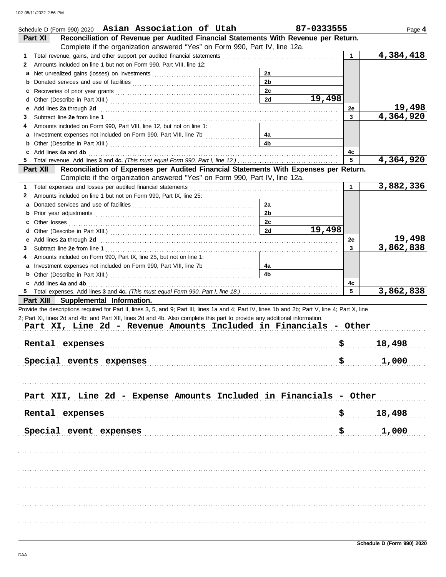|                                                                                                                                                                                                                                                                                  | Page 4    |
|----------------------------------------------------------------------------------------------------------------------------------------------------------------------------------------------------------------------------------------------------------------------------------|-----------|
| Reconciliation of Revenue per Audited Financial Statements With Revenue per Return.<br>Part XI                                                                                                                                                                                   |           |
| Complete if the organization answered "Yes" on Form 990, Part IV, line 12a.                                                                                                                                                                                                      |           |
| Total revenue, gains, and other support per audited financial statements<br>$\mathbf 1$<br>1                                                                                                                                                                                     | 4,384,418 |
| Amounts included on line 1 but not on Form 990, Part VIII, line 12:<br>2                                                                                                                                                                                                         |           |
| 2a<br>а                                                                                                                                                                                                                                                                          |           |
| 2 <sub>b</sub><br>b                                                                                                                                                                                                                                                              |           |
| 2c<br>c                                                                                                                                                                                                                                                                          |           |
| 19,498<br>2d<br>d                                                                                                                                                                                                                                                                |           |
| Add lines 2a through 2d [11] March 2014 [12] March 2014 [12] March 2014 [12] March 2014 [12] March 2014 [12] March 2015 [12] March 2014 [12] March 2014 [12] March 2014 [12] March 2014 [12] March 2014 [12] March 2014 [12] M<br>2e<br>е                                        | 19,498    |
| 3<br>З                                                                                                                                                                                                                                                                           | 4,364,920 |
| Amounts included on Form 990, Part VIII, line 12, but not on line 1:<br>4                                                                                                                                                                                                        |           |
| 4а<br>a                                                                                                                                                                                                                                                                          |           |
| 4b<br>b                                                                                                                                                                                                                                                                          |           |
| Add lines 4a and 4b<br>4с<br>c                                                                                                                                                                                                                                                   |           |
| 5<br>5.                                                                                                                                                                                                                                                                          | 4,364,920 |
| Reconciliation of Expenses per Audited Financial Statements With Expenses per Return.<br>Part XII                                                                                                                                                                                |           |
| Complete if the organization answered "Yes" on Form 990, Part IV, line 12a.                                                                                                                                                                                                      |           |
| Total expenses and losses per audited financial statements<br>$\mathbf{1}$                                                                                                                                                                                                       | 3,882,336 |
| 1                                                                                                                                                                                                                                                                                |           |
| Amounts included on line 1 but not on Form 990, Part IX, line 25:<br>2                                                                                                                                                                                                           |           |
| 2a<br>а                                                                                                                                                                                                                                                                          |           |
| 2 <sub>b</sub><br>b                                                                                                                                                                                                                                                              |           |
| 2c<br>c                                                                                                                                                                                                                                                                          |           |
| 19,498<br>2d<br>d                                                                                                                                                                                                                                                                |           |
| Add lines 2a through 2d [11] And The Contract of the Contract of the Contract of the Contract of the Contract of the Contract of the Contract of the Contract of the Contract of the Contract of the Contract of the Contract<br>2e<br>е                                         | 19,498    |
| 3<br>3                                                                                                                                                                                                                                                                           | 3,862,838 |
| Amounts included on Form 990, Part IX, line 25, but not on line 1:<br>4                                                                                                                                                                                                          |           |
| 4a                                                                                                                                                                                                                                                                               |           |
| 4 <sub>b</sub><br>b                                                                                                                                                                                                                                                              |           |
| c Add lines 4a and 4b<br>4c                                                                                                                                                                                                                                                      |           |
| 5                                                                                                                                                                                                                                                                                | 3,862,838 |
| Part XIII Supplemental Information.                                                                                                                                                                                                                                              |           |
| Provide the descriptions required for Part II, lines 3, 5, and 9; Part III, lines 1a and 4; Part IV, lines 1b and 2b; Part V, line 4; Part X, line<br>2; Part XI, lines 2d and 4b; and Part XII, lines 2d and 4b. Also complete this part to provide any additional information. |           |
| Part XI, Line 2d - Revenue Amounts Included in Financials - Other                                                                                                                                                                                                                |           |
| \$<br>Rental expenses                                                                                                                                                                                                                                                            | 18,498    |
|                                                                                                                                                                                                                                                                                  |           |
| Special events expenses<br>\$                                                                                                                                                                                                                                                    | 1,000     |
|                                                                                                                                                                                                                                                                                  |           |
| Part XII, Line 2d - Expense Amounts Included in Financials - Other                                                                                                                                                                                                               |           |
|                                                                                                                                                                                                                                                                                  |           |
| Rental expenses<br>\$                                                                                                                                                                                                                                                            | 18,498    |
| Special event expenses<br>\$                                                                                                                                                                                                                                                     | 1,000     |
|                                                                                                                                                                                                                                                                                  |           |
|                                                                                                                                                                                                                                                                                  |           |
|                                                                                                                                                                                                                                                                                  |           |
|                                                                                                                                                                                                                                                                                  |           |
|                                                                                                                                                                                                                                                                                  |           |
|                                                                                                                                                                                                                                                                                  |           |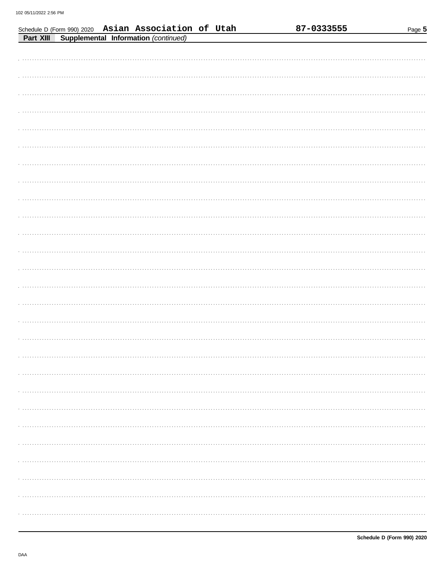|           |  | Schedule D (Form 990) 2020 Asian Association of Utah |  | 87-0333555 | Page 5 |
|-----------|--|------------------------------------------------------|--|------------|--------|
| Part XIII |  | <b>Supplemental Information (continued)</b>          |  |            |        |
|           |  |                                                      |  |            |        |
|           |  |                                                      |  |            |        |
|           |  |                                                      |  |            |        |
|           |  |                                                      |  |            |        |
|           |  |                                                      |  |            |        |
|           |  |                                                      |  |            |        |
|           |  |                                                      |  |            |        |
|           |  |                                                      |  |            |        |
|           |  |                                                      |  |            |        |
|           |  |                                                      |  |            |        |
|           |  |                                                      |  |            |        |
|           |  |                                                      |  |            |        |
|           |  |                                                      |  |            |        |
|           |  |                                                      |  |            |        |
|           |  |                                                      |  |            |        |
|           |  |                                                      |  |            |        |
|           |  |                                                      |  |            |        |
|           |  |                                                      |  |            |        |
|           |  |                                                      |  |            |        |
|           |  |                                                      |  |            |        |
|           |  |                                                      |  |            |        |
|           |  |                                                      |  |            |        |
|           |  |                                                      |  |            |        |
|           |  |                                                      |  |            |        |
|           |  |                                                      |  |            |        |
|           |  |                                                      |  |            |        |
|           |  |                                                      |  |            |        |
|           |  |                                                      |  |            |        |
|           |  |                                                      |  |            |        |
|           |  |                                                      |  |            |        |
|           |  |                                                      |  |            |        |
|           |  |                                                      |  |            |        |
|           |  |                                                      |  |            |        |
|           |  |                                                      |  |            |        |
|           |  |                                                      |  |            |        |
|           |  |                                                      |  |            |        |
|           |  |                                                      |  |            |        |
|           |  |                                                      |  |            |        |
|           |  |                                                      |  |            |        |
|           |  |                                                      |  |            |        |
|           |  |                                                      |  |            |        |
|           |  |                                                      |  |            |        |
|           |  |                                                      |  |            |        |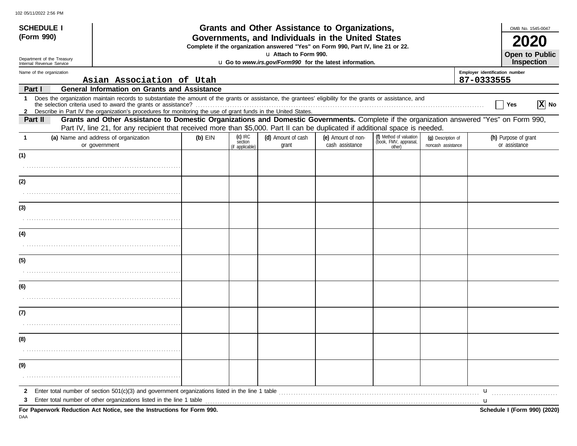| <b>SCHEDULE I</b>                                    |                                                                                                                                                                                                                                                                           |           |                                         | Grants and Other Assistance to Organizations,                                                                                         |                                       |                                                             |                                          |                                |                                       | OMB No. 1545-0047                   |
|------------------------------------------------------|---------------------------------------------------------------------------------------------------------------------------------------------------------------------------------------------------------------------------------------------------------------------------|-----------|-----------------------------------------|---------------------------------------------------------------------------------------------------------------------------------------|---------------------------------------|-------------------------------------------------------------|------------------------------------------|--------------------------------|---------------------------------------|-------------------------------------|
| (Form 990)                                           |                                                                                                                                                                                                                                                                           |           |                                         | Governments, and Individuals in the United States<br>Complete if the organization answered "Yes" on Form 990, Part IV, line 21 or 22. |                                       |                                                             |                                          |                                |                                       |                                     |
| Department of the Treasury                           |                                                                                                                                                                                                                                                                           |           |                                         | u Attach to Form 990.<br>u Go to www.irs.gov/Form990 for the latest information.                                                      |                                       |                                                             |                                          |                                |                                       | Open to Public<br><b>Inspection</b> |
| Internal Revenue Service<br>Name of the organization |                                                                                                                                                                                                                                                                           |           |                                         |                                                                                                                                       |                                       |                                                             |                                          | Employer identification number |                                       |                                     |
| Part I                                               | Asian Association of Utah<br><b>General Information on Grants and Assistance</b>                                                                                                                                                                                          |           |                                         |                                                                                                                                       |                                       |                                                             |                                          | 87-0333555                     |                                       |                                     |
| -1                                                   | Does the organization maintain records to substantiate the amount of the grants or assistance, the grantees' eligibility for the grants or assistance, and                                                                                                                |           |                                         |                                                                                                                                       |                                       |                                                             |                                          |                                | Yes                                   | $ \mathbf{X} $ No                   |
|                                                      | 2 Describe in Part IV the organization's procedures for monitoring the use of grant funds in the United States.                                                                                                                                                           |           |                                         |                                                                                                                                       |                                       |                                                             |                                          |                                |                                       |                                     |
| Part II                                              | Grants and Other Assistance to Domestic Organizations and Domestic Governments. Complete if the organization answered "Yes" on Form 990,<br>Part IV, line 21, for any recipient that received more than \$5,000. Part II can be duplicated if additional space is needed. |           |                                         |                                                                                                                                       |                                       |                                                             |                                          |                                |                                       |                                     |
|                                                      | (a) Name and address of organization<br>or government                                                                                                                                                                                                                     | $(b)$ EIN | $(c)$ IRC<br>section<br>(if applicable) | (d) Amount of cash<br>grant                                                                                                           | (e) Amount of non-<br>cash assistance | (f) Method of valuation<br>(book, FMV, appraisal,<br>other) | (q) Description of<br>noncash assistance |                                | (h) Purpose of grant<br>or assistance |                                     |
| (1)                                                  |                                                                                                                                                                                                                                                                           |           |                                         |                                                                                                                                       |                                       |                                                             |                                          |                                |                                       |                                     |
|                                                      |                                                                                                                                                                                                                                                                           |           |                                         |                                                                                                                                       |                                       |                                                             |                                          |                                |                                       |                                     |
| (2)                                                  |                                                                                                                                                                                                                                                                           |           |                                         |                                                                                                                                       |                                       |                                                             |                                          |                                |                                       |                                     |
|                                                      |                                                                                                                                                                                                                                                                           |           |                                         |                                                                                                                                       |                                       |                                                             |                                          |                                |                                       |                                     |
| (3)                                                  |                                                                                                                                                                                                                                                                           |           |                                         |                                                                                                                                       |                                       |                                                             |                                          |                                |                                       |                                     |
|                                                      |                                                                                                                                                                                                                                                                           |           |                                         |                                                                                                                                       |                                       |                                                             |                                          |                                |                                       |                                     |
| (4)                                                  |                                                                                                                                                                                                                                                                           |           |                                         |                                                                                                                                       |                                       |                                                             |                                          |                                |                                       |                                     |
|                                                      |                                                                                                                                                                                                                                                                           |           |                                         |                                                                                                                                       |                                       |                                                             |                                          |                                |                                       |                                     |
| (5)                                                  |                                                                                                                                                                                                                                                                           |           |                                         |                                                                                                                                       |                                       |                                                             |                                          |                                |                                       |                                     |
|                                                      |                                                                                                                                                                                                                                                                           |           |                                         |                                                                                                                                       |                                       |                                                             |                                          |                                |                                       |                                     |
| (6)                                                  |                                                                                                                                                                                                                                                                           |           |                                         |                                                                                                                                       |                                       |                                                             |                                          |                                |                                       |                                     |
|                                                      |                                                                                                                                                                                                                                                                           |           |                                         |                                                                                                                                       |                                       |                                                             |                                          |                                |                                       |                                     |
| (7)                                                  |                                                                                                                                                                                                                                                                           |           |                                         |                                                                                                                                       |                                       |                                                             |                                          |                                |                                       |                                     |
|                                                      |                                                                                                                                                                                                                                                                           |           |                                         |                                                                                                                                       |                                       |                                                             |                                          |                                |                                       |                                     |
| (8)                                                  |                                                                                                                                                                                                                                                                           |           |                                         |                                                                                                                                       |                                       |                                                             |                                          |                                |                                       |                                     |
|                                                      |                                                                                                                                                                                                                                                                           |           |                                         |                                                                                                                                       |                                       |                                                             |                                          |                                |                                       |                                     |
| (9)                                                  |                                                                                                                                                                                                                                                                           |           |                                         |                                                                                                                                       |                                       |                                                             |                                          |                                |                                       |                                     |
|                                                      |                                                                                                                                                                                                                                                                           |           |                                         |                                                                                                                                       |                                       |                                                             |                                          |                                |                                       |                                     |
| 2                                                    | Enter total number of section $501(c)(3)$ and government organizations listed in the line 1 table                                                                                                                                                                         |           |                                         |                                                                                                                                       |                                       |                                                             |                                          | u                              |                                       |                                     |
| 3                                                    | Enter total number of other organizations listed in the line 1 table                                                                                                                                                                                                      |           | .                                       |                                                                                                                                       |                                       |                                                             |                                          | u                              |                                       |                                     |
|                                                      | For Paperwork Reduction Act Notice, see the Instructions for Form 990.                                                                                                                                                                                                    |           |                                         |                                                                                                                                       |                                       |                                                             |                                          |                                |                                       | Schedule I (Form 990) (2020)        |

DAA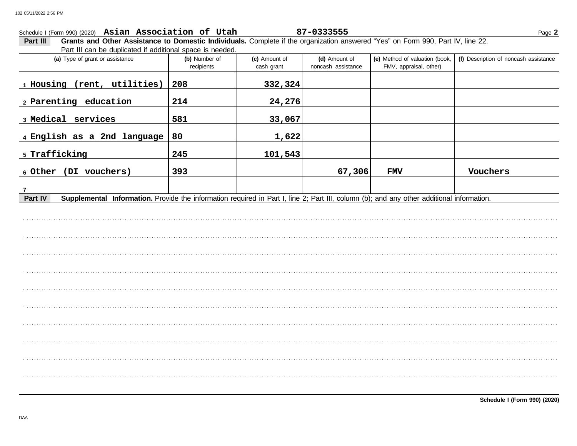| Schedule I (Form 990) (2020) Asian Association of Utah                                                                                               |                             |                             | 87-0333555                          |                                                          | Page 2                                |
|------------------------------------------------------------------------------------------------------------------------------------------------------|-----------------------------|-----------------------------|-------------------------------------|----------------------------------------------------------|---------------------------------------|
| Grants and Other Assistance to Domestic Individuals. Complete if the organization answered "Yes" on Form 990, Part IV, line 22.<br>Part III          |                             |                             |                                     |                                                          |                                       |
| Part III can be duplicated if additional space is needed.                                                                                            |                             |                             |                                     |                                                          |                                       |
| (a) Type of grant or assistance                                                                                                                      | (b) Number of<br>recipients | (c) Amount of<br>cash grant | (d) Amount of<br>noncash assistance | (e) Method of valuation (book,<br>FMV, appraisal, other) | (f) Description of noncash assistance |
| 1 Housing (rent, utilities)                                                                                                                          | 208                         | 332,324                     |                                     |                                                          |                                       |
| 2 Parenting education                                                                                                                                | 214                         | 24,276                      |                                     |                                                          |                                       |
| 3 Medical services                                                                                                                                   | 581                         | 33,067                      |                                     |                                                          |                                       |
| 4 English as a 2nd language                                                                                                                          | 80                          | 1,622                       |                                     |                                                          |                                       |
| 5 Trafficking                                                                                                                                        | 245                         | 101,543                     |                                     |                                                          |                                       |
| 6 Other (DI vouchers)                                                                                                                                | 393                         |                             | 67,306                              | <b>FMV</b>                                               | Vouchers                              |
| 7                                                                                                                                                    |                             |                             |                                     |                                                          |                                       |
| Supplemental Information. Provide the information required in Part I, line 2; Part III, column (b); and any other additional information.<br>Part IV |                             |                             |                                     |                                                          |                                       |
|                                                                                                                                                      |                             |                             |                                     |                                                          |                                       |
|                                                                                                                                                      |                             |                             |                                     |                                                          |                                       |
|                                                                                                                                                      |                             |                             |                                     |                                                          |                                       |
|                                                                                                                                                      |                             |                             |                                     |                                                          |                                       |
|                                                                                                                                                      |                             |                             |                                     |                                                          |                                       |
|                                                                                                                                                      |                             |                             |                                     |                                                          |                                       |
|                                                                                                                                                      |                             |                             |                                     |                                                          |                                       |
|                                                                                                                                                      |                             |                             |                                     |                                                          |                                       |
|                                                                                                                                                      |                             |                             |                                     |                                                          |                                       |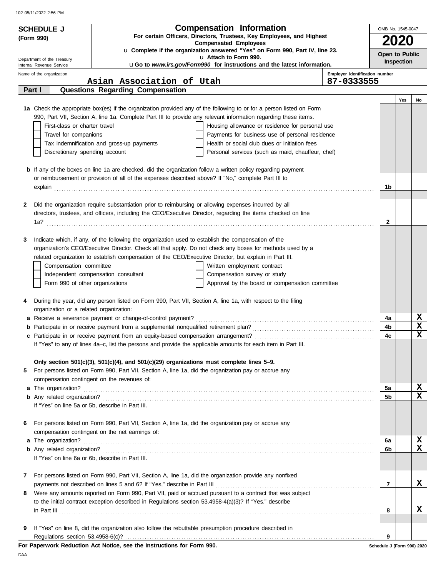| <b>SCHEDULE J</b>                       |                                                                                             | <b>Compensation Information</b>                                                                                                                                                                                                |                            | OMB No. 1545-0047            |                              |
|-----------------------------------------|---------------------------------------------------------------------------------------------|--------------------------------------------------------------------------------------------------------------------------------------------------------------------------------------------------------------------------------|----------------------------|------------------------------|------------------------------|
| (Form 990)                              |                                                                                             | For certain Officers, Directors, Trustees, Key Employees, and Highest                                                                                                                                                          |                            | <b>2020</b>                  |                              |
|                                         |                                                                                             | <b>Compensated Employees</b><br>u Complete if the organization answered "Yes" on Form 990, Part IV, line 23.                                                                                                                   |                            |                              |                              |
| Department of the Treasury              |                                                                                             | u Attach to Form 990.                                                                                                                                                                                                          |                            | Open to Public<br>Inspection |                              |
| Internal Revenue Service                |                                                                                             | uGo to www.irs.gov/Form990 for instructions and the latest information.                                                                                                                                                        |                            |                              |                              |
| Name of the organization                | Asian Association of Utah                                                                   | Employer identification number<br>87-0333555                                                                                                                                                                                   |                            |                              |                              |
| Part I                                  | Questions Regarding Compensation                                                            |                                                                                                                                                                                                                                |                            |                              |                              |
|                                         |                                                                                             |                                                                                                                                                                                                                                |                            | Yes                          | No                           |
|                                         |                                                                                             | 1a Check the appropriate box(es) if the organization provided any of the following to or for a person listed on Form                                                                                                           |                            |                              |                              |
|                                         |                                                                                             | 990, Part VII, Section A, line 1a. Complete Part III to provide any relevant information regarding these items.                                                                                                                |                            |                              |                              |
| First-class or charter travel           |                                                                                             | Housing allowance or residence for personal use                                                                                                                                                                                |                            |                              |                              |
| Travel for companions                   |                                                                                             | Payments for business use of personal residence                                                                                                                                                                                |                            |                              |                              |
|                                         | Tax indemnification and gross-up payments                                                   | Health or social club dues or initiation fees                                                                                                                                                                                  |                            |                              |                              |
| Discretionary spending account          |                                                                                             | Personal services (such as maid, chauffeur, chef)                                                                                                                                                                              |                            |                              |                              |
|                                         |                                                                                             |                                                                                                                                                                                                                                |                            |                              |                              |
|                                         |                                                                                             | <b>b</b> If any of the boxes on line 1a are checked, did the organization follow a written policy regarding payment<br>or reimbursement or provision of all of the expenses described above? If "No," complete Part III to     |                            |                              |                              |
|                                         |                                                                                             |                                                                                                                                                                                                                                |                            |                              |                              |
|                                         |                                                                                             | explain continuous contract and continuous contract and continuous contract and continuous contract and continuous contract and contract and continuous contract and continuous contract and contract and contract and contrac | 1b                         |                              |                              |
| 2                                       |                                                                                             | Did the organization require substantiation prior to reimbursing or allowing expenses incurred by all                                                                                                                          |                            |                              |                              |
|                                         |                                                                                             | directors, trustees, and officers, including the CEO/Executive Director, regarding the items checked on line                                                                                                                   |                            |                              |                              |
|                                         |                                                                                             |                                                                                                                                                                                                                                | 2                          |                              |                              |
|                                         |                                                                                             |                                                                                                                                                                                                                                |                            |                              |                              |
| 3                                       |                                                                                             | Indicate which, if any, of the following the organization used to establish the compensation of the                                                                                                                            |                            |                              |                              |
|                                         |                                                                                             | organization's CEO/Executive Director. Check all that apply. Do not check any boxes for methods used by a                                                                                                                      |                            |                              |                              |
|                                         |                                                                                             | related organization to establish compensation of the CEO/Executive Director, but explain in Part III.                                                                                                                         |                            |                              |                              |
| Compensation committee                  |                                                                                             | Written employment contract                                                                                                                                                                                                    |                            |                              |                              |
|                                         | Independent compensation consultant                                                         | Compensation survey or study                                                                                                                                                                                                   |                            |                              |                              |
| Form 990 of other organizations         |                                                                                             | Approval by the board or compensation committee                                                                                                                                                                                |                            |                              |                              |
|                                         |                                                                                             |                                                                                                                                                                                                                                |                            |                              |                              |
| 4                                       |                                                                                             | During the year, did any person listed on Form 990, Part VII, Section A, line 1a, with respect to the filing                                                                                                                   |                            |                              |                              |
| organization or a related organization: |                                                                                             |                                                                                                                                                                                                                                |                            |                              |                              |
|                                         | a Receive a severance payment or change-of-control payment?                                 |                                                                                                                                                                                                                                | 4a<br>4b                   |                              | х<br>$\mathbf x$             |
|                                         |                                                                                             |                                                                                                                                                                                                                                | 4c                         |                              | $\mathbf x$                  |
|                                         |                                                                                             | If "Yes" to any of lines 4a-c, list the persons and provide the applicable amounts for each item in Part III.                                                                                                                  |                            |                              |                              |
|                                         |                                                                                             |                                                                                                                                                                                                                                |                            |                              |                              |
|                                         | Only section 501(c)(3), 501(c)(4), and 501(c)(29) organizations must complete lines $5-9$ . |                                                                                                                                                                                                                                |                            |                              |                              |
| 5                                       |                                                                                             | For persons listed on Form 990, Part VII, Section A, line 1a, did the organization pay or accrue any                                                                                                                           |                            |                              |                              |
|                                         | compensation contingent on the revenues of:                                                 |                                                                                                                                                                                                                                |                            |                              |                              |
| a The organization?                     |                                                                                             |                                                                                                                                                                                                                                | 5a                         |                              | X<br>$\overline{\mathbf{x}}$ |
|                                         |                                                                                             |                                                                                                                                                                                                                                | 5b                         |                              |                              |
|                                         | If "Yes" on line 5a or 5b, describe in Part III.                                            |                                                                                                                                                                                                                                |                            |                              |                              |
| 6                                       |                                                                                             | For persons listed on Form 990, Part VII, Section A, line 1a, did the organization pay or accrue any                                                                                                                           |                            |                              |                              |
|                                         | compensation contingent on the net earnings of:                                             |                                                                                                                                                                                                                                |                            |                              |                              |
| a The organization?                     |                                                                                             |                                                                                                                                                                                                                                | 6a                         |                              | X                            |
|                                         |                                                                                             |                                                                                                                                                                                                                                | 6b                         |                              | $\overline{\mathbf{x}}$      |
|                                         | If "Yes" on line 6a or 6b, describe in Part III.                                            |                                                                                                                                                                                                                                |                            |                              |                              |
|                                         |                                                                                             |                                                                                                                                                                                                                                |                            |                              |                              |
| 7                                       |                                                                                             | For persons listed on Form 990, Part VII, Section A, line 1a, did the organization provide any nonfixed                                                                                                                        |                            |                              |                              |
|                                         | payments not described on lines 5 and 6? If "Yes," describe in Part III                     |                                                                                                                                                                                                                                | 7                          |                              | x                            |
| 8                                       |                                                                                             | Were any amounts reported on Form 990, Part VII, paid or accrued pursuant to a contract that was subject                                                                                                                       |                            |                              |                              |
|                                         |                                                                                             | to the initial contract exception described in Regulations section 53.4958-4(a)(3)? If "Yes," describe                                                                                                                         |                            |                              | x                            |
| in Part III                             |                                                                                             |                                                                                                                                                                                                                                | 8                          |                              |                              |
| 9                                       |                                                                                             | If "Yes" on line 8, did the organization also follow the rebuttable presumption procedure described in                                                                                                                         |                            |                              |                              |
|                                         |                                                                                             |                                                                                                                                                                                                                                | 9                          |                              |                              |
|                                         | For Paperwork Reduction Act Notice, see the Instructions for Form 990.                      |                                                                                                                                                                                                                                | Schedule J (Form 990) 2020 |                              |                              |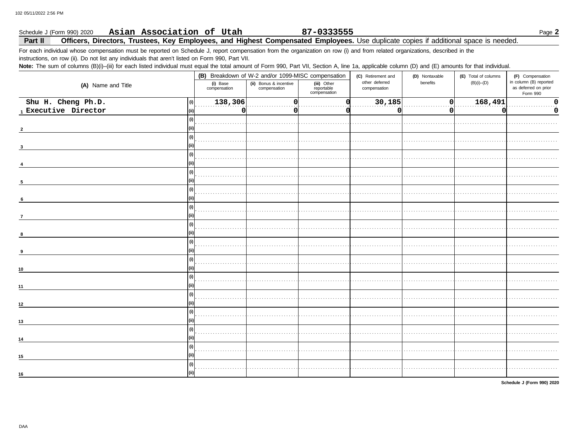#### Asian Association of Utah 87-0333555 Schedule J (Form 990) 2020

Officers, Directors, Trustees, Key Employees, and Highest Compensated Employees. Use duplicate copies if additional space is needed. Part II

For each individual whose compensation must be reported on Schedule J, report compensation from the organization on row (i) and from related organizations, described in the instructions, on row (ii). Do not list any individuals that aren't listed on Form 990, Part VII.

Note: The sum of columns (B)(i)-(iii) for each listed individual must equal the total amount of Form 990, Part VII, Section A, line 1a, applicable column (D) and (E) amounts for that individual.

|                      |                          | (B) Breakdown of W-2 and/or 1099-MISC compensation |                                           | (C) Retirement and             | (D) Nontaxable | (E) Total of columns | (F) Compensation                                           |
|----------------------|--------------------------|----------------------------------------------------|-------------------------------------------|--------------------------------|----------------|----------------------|------------------------------------------------------------|
| (A) Name and Title   | (i) Base<br>compensation | (ii) Bonus & incentive<br>compensation             | (iii) Other<br>reportable<br>compensation | other deferred<br>compensation | benefits       | $(B)(i)$ - $(D)$     | in column (B) reported<br>as deferred on prior<br>Form 990 |
| Shu H. Cheng Ph.D.   | 138,306<br>(i)           | $\Omega$                                           |                                           | 30,185                         | 0              | 168,491              | 0                                                          |
| 1 Executive Director | 0<br>(ii)                | ი                                                  |                                           | $\Omega$                       | 0              | 0                    | 0                                                          |
|                      | (i)                      |                                                    |                                           |                                |                |                      |                                                            |
|                      |                          |                                                    |                                           |                                |                |                      |                                                            |
|                      | (i)                      |                                                    |                                           |                                |                |                      |                                                            |
|                      | (i)                      |                                                    |                                           |                                |                |                      |                                                            |
|                      |                          |                                                    |                                           |                                |                |                      |                                                            |
|                      | (i)                      |                                                    |                                           |                                |                |                      |                                                            |
|                      | (i)                      |                                                    |                                           |                                |                |                      |                                                            |
| 6                    | (i)                      |                                                    |                                           |                                |                |                      |                                                            |
|                      |                          |                                                    |                                           |                                |                |                      |                                                            |
|                      | (i)                      |                                                    |                                           |                                |                |                      |                                                            |
| $\mathbf{Q}$         | (i)                      |                                                    |                                           |                                |                |                      |                                                            |
|                      | (i)                      |                                                    |                                           |                                |                |                      |                                                            |
| 10                   |                          |                                                    |                                           |                                |                |                      |                                                            |
| 11                   | (i)                      |                                                    |                                           |                                |                |                      |                                                            |
|                      | (i)                      |                                                    |                                           |                                |                |                      |                                                            |
| 12                   | (i)                      |                                                    |                                           |                                |                |                      |                                                            |
| 13                   |                          |                                                    |                                           |                                |                |                      |                                                            |
| 14                   | (i)                      |                                                    |                                           |                                |                |                      |                                                            |
| 15                   | (i)                      |                                                    |                                           |                                |                |                      |                                                            |
|                      | (i)                      |                                                    |                                           |                                |                |                      |                                                            |
| 16                   |                          |                                                    |                                           |                                |                |                      |                                                            |

Schedule J (Form 990) 2020

Page 2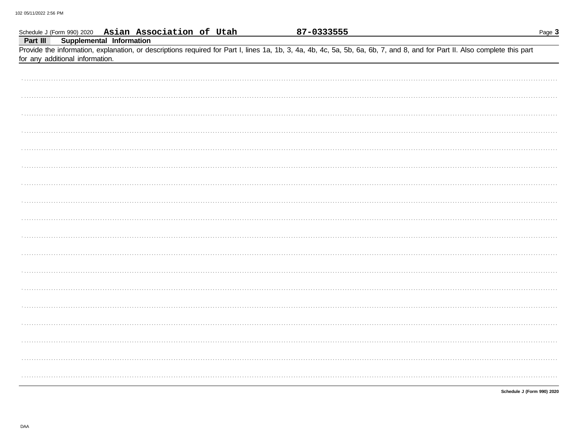|                                 | Schedule J (Form 990) 2020 Asian Association of Utah<br>Part III Supplemental Information | 87-0333555 |                                                                                                                                                                            | Page 3 |
|---------------------------------|-------------------------------------------------------------------------------------------|------------|----------------------------------------------------------------------------------------------------------------------------------------------------------------------------|--------|
| for any additional information. |                                                                                           |            | Provide the information, explanation, or descriptions required for Part I, lines 1a, 1b, 3, 4a, 4b, 4c, 5a, 5b, 6a, 6b, 7, and 8, and for Part II. Also complete this part |        |
|                                 |                                                                                           |            |                                                                                                                                                                            |        |
|                                 |                                                                                           |            |                                                                                                                                                                            |        |
|                                 |                                                                                           |            |                                                                                                                                                                            |        |
|                                 |                                                                                           |            |                                                                                                                                                                            |        |
|                                 |                                                                                           |            |                                                                                                                                                                            |        |
|                                 |                                                                                           |            |                                                                                                                                                                            |        |
|                                 |                                                                                           |            |                                                                                                                                                                            |        |
|                                 |                                                                                           |            |                                                                                                                                                                            |        |
|                                 |                                                                                           |            |                                                                                                                                                                            |        |
|                                 |                                                                                           |            |                                                                                                                                                                            |        |
|                                 |                                                                                           |            |                                                                                                                                                                            |        |
|                                 |                                                                                           |            |                                                                                                                                                                            |        |
|                                 |                                                                                           |            |                                                                                                                                                                            |        |
|                                 |                                                                                           |            |                                                                                                                                                                            |        |
|                                 |                                                                                           |            |                                                                                                                                                                            |        |
|                                 |                                                                                           |            |                                                                                                                                                                            |        |
|                                 |                                                                                           |            |                                                                                                                                                                            |        |
|                                 |                                                                                           |            |                                                                                                                                                                            |        |
|                                 |                                                                                           |            |                                                                                                                                                                            |        |
|                                 |                                                                                           |            |                                                                                                                                                                            |        |
|                                 |                                                                                           |            |                                                                                                                                                                            |        |
|                                 |                                                                                           |            |                                                                                                                                                                            |        |
|                                 |                                                                                           |            |                                                                                                                                                                            |        |
|                                 |                                                                                           |            | Schedule J (Form 990) 2020                                                                                                                                                 |        |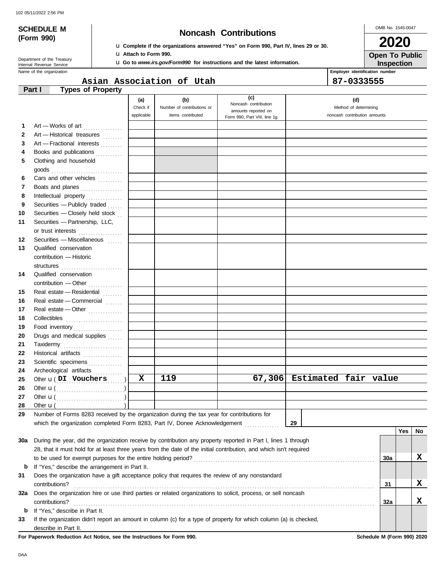# **SCHEDULE M Noncash Contributions**

OMB No. 1545-0047 **2020**

**Inspection Open To Public**

| (Form 990) |  |
|------------|--|
|------------|--|

### u **Complete if the organizations answered "Yes" on Form 990, Part IV, lines 29 or 30.** u **Attach to Form 990.**

u **Go to** *www.irs.gov/Form990* **for instructions and the latest information.**

Name of the organization **Employer identification number Employer identification number** 

Department of the Treasury<br>Internal Revenue Service

### **Asian Association of Utah 87-0333555**

|              | <b>Types of Property</b><br>Part I                                                                                 |            |                            |                                             |                              |     |     |     |
|--------------|--------------------------------------------------------------------------------------------------------------------|------------|----------------------------|---------------------------------------------|------------------------------|-----|-----|-----|
|              |                                                                                                                    | (a)        | (b)                        | (c)                                         | (d)                          |     |     |     |
|              |                                                                                                                    | Check if   | Number of contributions or | Noncash contribution<br>amounts reported on | Method of determining        |     |     |     |
|              |                                                                                                                    | applicable | items contributed          | Form 990, Part VIII, line 1g                | noncash contribution amounts |     |     |     |
| $\mathbf{1}$ | Art - Works of art                                                                                                 |            |                            |                                             |                              |     |     |     |
| $\mathbf{2}$ | Art - Historical treasures                                                                                         |            |                            |                                             |                              |     |     |     |
| 3            | Art - Fractional interests                                                                                         |            |                            |                                             |                              |     |     |     |
| 4            | Books and publications                                                                                             |            |                            |                                             |                              |     |     |     |
| 5            | Clothing and household                                                                                             |            |                            |                                             |                              |     |     |     |
|              | goods $\ldots \ldots \ldots \ldots \ldots \ldots \ldots \ldots$                                                    |            |                            |                                             |                              |     |     |     |
| 6            | Cars and other vehicles                                                                                            |            |                            |                                             |                              |     |     |     |
| 7            | Boats and planes                                                                                                   |            |                            |                                             |                              |     |     |     |
| 8            |                                                                                                                    |            |                            |                                             |                              |     |     |     |
| 9            | Securities - Publicly traded                                                                                       |            |                            |                                             |                              |     |     |     |
| 10           | Securities - Closely held stock                                                                                    |            |                            |                                             |                              |     |     |     |
| 11           | Securities - Partnership, LLC,                                                                                     |            |                            |                                             |                              |     |     |     |
|              | or trust interests                                                                                                 |            |                            |                                             |                              |     |     |     |
| 12           | Securities - Miscellaneous                                                                                         |            |                            |                                             |                              |     |     |     |
| 13           | Qualified conservation                                                                                             |            |                            |                                             |                              |     |     |     |
|              | contribution - Historic                                                                                            |            |                            |                                             |                              |     |     |     |
|              |                                                                                                                    |            |                            |                                             |                              |     |     |     |
| 14           | structures<br>Qualified conservation                                                                               |            |                            |                                             |                              |     |     |     |
|              | contribution - Other                                                                                               |            |                            |                                             |                              |     |     |     |
| 15           | Real estate - Residential                                                                                          |            |                            |                                             |                              |     |     |     |
| 16           | Real estate - Commercial                                                                                           |            |                            |                                             |                              |     |     |     |
| 17           | Real estate - Other                                                                                                |            |                            |                                             |                              |     |     |     |
| 18           |                                                                                                                    |            |                            |                                             |                              |     |     |     |
| 19           | Food inventory                                                                                                     |            |                            |                                             |                              |     |     |     |
| 20           | Drugs and medical supplies                                                                                         |            |                            |                                             |                              |     |     |     |
| 21           | Taxidermy                                                                                                          |            |                            |                                             |                              |     |     |     |
| 22           | Historical artifacts                                                                                               |            |                            |                                             |                              |     |     |     |
| 23           | Scientific specimens                                                                                               |            |                            |                                             |                              |     |     |     |
| 24           | Archeological artifacts                                                                                            |            |                            |                                             |                              |     |     |     |
| 25           | Other <b>u</b> (DI Vouchers                                                                                        | x          | 119                        | 67,306                                      | Estimated fair value         |     |     |     |
| 26           |                                                                                                                    |            |                            |                                             |                              |     |     |     |
| 27           |                                                                                                                    |            |                            |                                             |                              |     |     |     |
| 28           | Other $\mathbf{u}$ (                                                                                               |            |                            |                                             |                              |     |     |     |
| 29           | Number of Forms 8283 received by the organization during the tax year for contributions for                        |            |                            |                                             |                              |     |     |     |
|              | which the organization completed Form 8283, Part IV, Donee Acknowledgement                                         |            |                            |                                             | 29                           |     |     |     |
|              |                                                                                                                    |            |                            |                                             |                              |     | Yes | No. |
| 30a l        | During the year, did the organization receive by contribution any property reported in Part I, lines 1 through     |            |                            |                                             |                              |     |     |     |
|              | 28, that it must hold for at least three years from the date of the initial contribution, and which isn't required |            |                            |                                             |                              |     |     |     |
|              |                                                                                                                    |            |                            |                                             |                              | 30a |     | X   |
|              | <b>b</b> If "Yes," describe the arrangement in Part II.                                                            |            |                            |                                             |                              |     |     |     |
| 31           | Does the organization have a gift acceptance policy that requires the review of any nonstandard                    |            |                            |                                             |                              |     |     |     |
|              | contributions?                                                                                                     |            |                            |                                             |                              | 31  |     | X   |
| 32a          | Does the organization hire or use third parties or related organizations to solicit, process, or sell noncash      |            |                            |                                             |                              |     |     |     |
|              | contributions?                                                                                                     |            |                            |                                             |                              | 32a |     | x   |
|              | <b>b</b> If "Yes," describe in Part II.                                                                            |            |                            |                                             |                              |     |     |     |
| 33           | If the organization didn't report an amount in column (c) for a type of property for which column (a) is checked,  |            |                            |                                             |                              |     |     |     |
|              | describe in Part II.                                                                                               |            |                            |                                             |                              |     |     |     |
|              |                                                                                                                    |            |                            |                                             |                              |     |     |     |

**For Paperwork Reduction Act Notice, see the Instructions for Form 990. Schedule M (Form 990) 2020**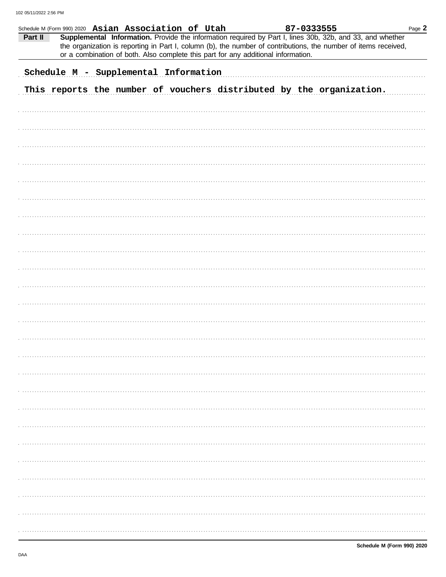| Schedule M (Form 990) 2020 Asian Association of Utah<br>87-0333555<br>Supplemental Information. Provide the information required by Part I, lines 30b, 32b, and 33, and whether<br>Part II           | Page 2 |
|------------------------------------------------------------------------------------------------------------------------------------------------------------------------------------------------------|--------|
| the organization is reporting in Part I, column (b), the number of contributions, the number of items received,<br>or a combination of both. Also complete this part for any additional information. |        |
| Schedule M - Supplemental Information                                                                                                                                                                |        |
| This reports the number of vouchers distributed by the organization.                                                                                                                                 |        |
|                                                                                                                                                                                                      |        |
|                                                                                                                                                                                                      |        |
|                                                                                                                                                                                                      |        |
|                                                                                                                                                                                                      |        |
|                                                                                                                                                                                                      |        |
|                                                                                                                                                                                                      |        |
|                                                                                                                                                                                                      |        |
|                                                                                                                                                                                                      |        |
|                                                                                                                                                                                                      |        |
|                                                                                                                                                                                                      |        |
|                                                                                                                                                                                                      |        |
|                                                                                                                                                                                                      |        |
|                                                                                                                                                                                                      |        |
|                                                                                                                                                                                                      |        |
|                                                                                                                                                                                                      |        |
|                                                                                                                                                                                                      |        |
|                                                                                                                                                                                                      |        |
|                                                                                                                                                                                                      |        |
|                                                                                                                                                                                                      |        |
|                                                                                                                                                                                                      |        |
|                                                                                                                                                                                                      |        |
|                                                                                                                                                                                                      |        |
|                                                                                                                                                                                                      |        |
|                                                                                                                                                                                                      |        |
|                                                                                                                                                                                                      |        |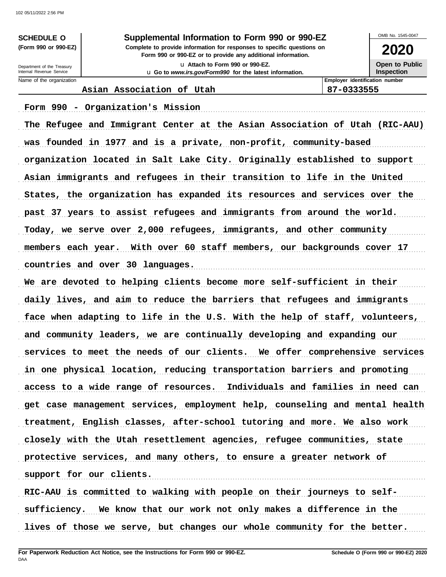### **SCHEDULE O Supplemental Information to Form 990 or 990-EZ**

**Form 990 or 990-EZ or to provide any additional information. (Form 990 or 990-EZ) Complete to provide information for responses to specific questions on** u **Attach to Form 990 or 990-EZ.**

u **Go to** *www.irs.gov/Form990* **for the latest information.**

OMB No. 1545-0047

**2020 Open to Public**

**Inspection**

Name of the organization **Employer identification number Employer identification number** Internal Revenue Service Department of the Treasury

### **Asian Association of Utah 87-0333555**

Form 990 - Organization's Mission (1998) (1999) and the Coronavista Coronavista Coronavista Coronavista Coronav The Refugee and Immigrant Center at the Asian Association of Utah (RIC-AAU) was founded in 1977 and is a private, non-profit, community-based organization located in Salt Lake City. Originally established to support Asian immigrants and refugees in their transition to life in the United States, the organization has expanded its resources and services over the past 37 years to assist refugees and immigrants from around the world. Today, we serve over 2,000 refugees, immigrants, and other community members each year. With over 60 staff members, our backgrounds cover 17 countries and over 30 languages. We are devoted to helping clients become more self-sufficient in their daily lives, and aim to reduce the barriers that refugees and immigrants face when adapting to life in the U.S. With the help of staff, volunteers, and community leaders, we are continually developing and expanding our services to meet the needs of our clients. We offer comprehensive services in one physical location, reducing transportation barriers and promoting access to a wide range of resources. Individuals and families in need can get case management services, employment help, counseling and mental health treatment, English classes, after-school tutoring and more. We also work closely with the Utah resettlement agencies, refugee communities, state protective services, and many others, to ensure a greater network of support for our clients. RIC-AAU is committed to walking with people on their journeys to self-

sufficiency. We know that our work not only makes a difference in the lives of those we serve, but changes our whole community for the better.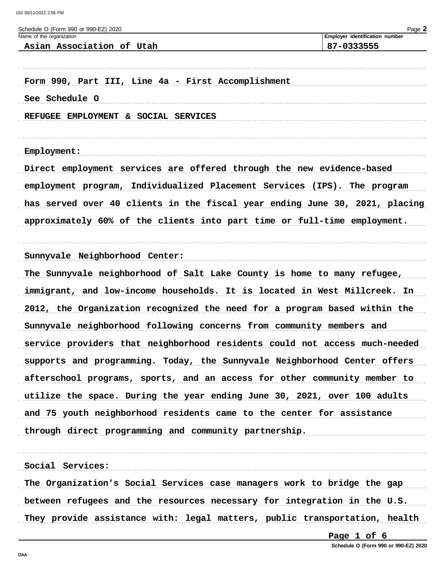| Schedule O (Form 990 or 990-EZ) 2020<br>Name of the organization            | Page 2<br>Employer identification number |
|-----------------------------------------------------------------------------|------------------------------------------|
| Asian Association of Utah                                                   | 87-0333555                               |
|                                                                             |                                          |
| Form 990, Part III, Line 4a - First Accomplishment                          |                                          |
| See Schedule O                                                              |                                          |
| REFUGEE EMPLOYMENT & SOCIAL SERVICES                                        |                                          |
|                                                                             |                                          |
|                                                                             |                                          |
| Employment:                                                                 |                                          |
| Direct employment services are offered through the new evidence-based       |                                          |
| employment program, Individualized Placement Services (IPS). The program    |                                          |
| has served over 40 clients in the fiscal year ending June 30, 2021, placing |                                          |
| approximately 60% of the clients into part time or full-time employment.    |                                          |
|                                                                             |                                          |
| Sunnyvale Neighborhood Center:                                              |                                          |
| The Sunnyvale neighborhood of Salt Lake County is home to many refugee,     |                                          |
| immigrant, and low-income households. It is located in West Millcreek. In   |                                          |
| 2012, the Organization recognized the need for a program based within the   |                                          |
| Sunnyvale neighborhood following concerns from community members and        |                                          |
| service providers that neighborhood residents could not access much-needed  |                                          |
| supports and programming. Today, the Sunnyvale Neighborhood Center offers   |                                          |
| afterschool programs, sports, and an access for other community member to   |                                          |
| utilize the space. During the year ending June 30, 2021, over 100 adults    |                                          |
| and 75 youth neighborhood residents came to the center for assistance       |                                          |
|                                                                             |                                          |
| through direct programming and community partnership.                       |                                          |
|                                                                             |                                          |
| Social Services:                                                            |                                          |
| The Organization's Social Services case managers work to bridge the gap     |                                          |
| between refugees and the resources necessary for integration in the U.S.    |                                          |

They provide assistance with: legal matters, public transportation, health

Page 1 of 6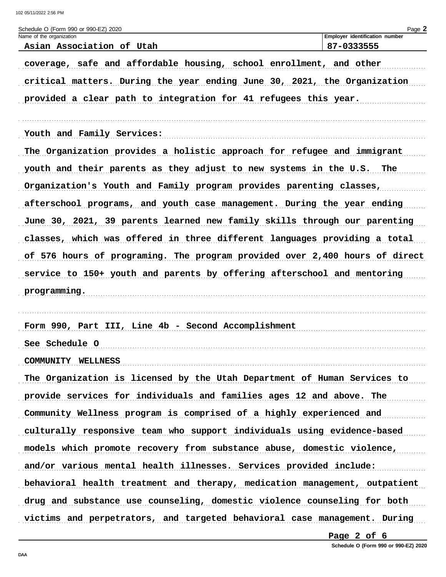| Schedule O (Form 990 or 990-EZ) 2020                                        | Page 2                                       |
|-----------------------------------------------------------------------------|----------------------------------------------|
| Name of the organization<br>Asian Association of Utah                       | Employer identification number<br>87-0333555 |
| coverage, safe and affordable housing, school enrollment, and other         |                                              |
| critical matters. During the year ending June 30, 2021, the Organization    |                                              |
| provided a clear path to integration for 41 refugees this year.             |                                              |
| Youth and Family Services:                                                  |                                              |
| The Organization provides a holistic approach for refugee and immigrant     |                                              |
| youth and their parents as they adjust to new systems in the U.S. The       |                                              |
| Organization's Youth and Family program provides parenting classes,         |                                              |
| afterschool programs, and youth case management. During the year ending     |                                              |
| June 30, 2021, 39 parents learned new family skills through our parenting   |                                              |
| classes, which was offered in three different languages providing a total   |                                              |
| of 576 hours of programing. The program provided over 2,400 hours of direct |                                              |
| service to 150+ youth and parents by offering afterschool and mentoring     |                                              |
| programming.                                                                |                                              |
| Form 990, Part III, Line 4b - Second Accomplishment                         |                                              |
| See Schedule O                                                              |                                              |
| COMMUNITY WELLNESS                                                          |                                              |
| The Organization is licensed by the Utah Department of Human Services to    |                                              |
| provide services for individuals and families ages 12 and above. The        |                                              |
| Community Wellness program is comprised of a highly experienced and         |                                              |
| culturally responsive team who support individuals using evidence-based     |                                              |
| models which promote recovery from substance abuse, domestic violence,      |                                              |
| and/or various mental health illnesses. Services provided include:          |                                              |
| behavioral health treatment and therapy, medication management, outpatient  |                                              |
| drug and substance use counseling, domestic violence counseling for both    |                                              |
| victims and perpetrators, and targeted behavioral case management. During   |                                              |
|                                                                             |                                              |

Page 2 of 6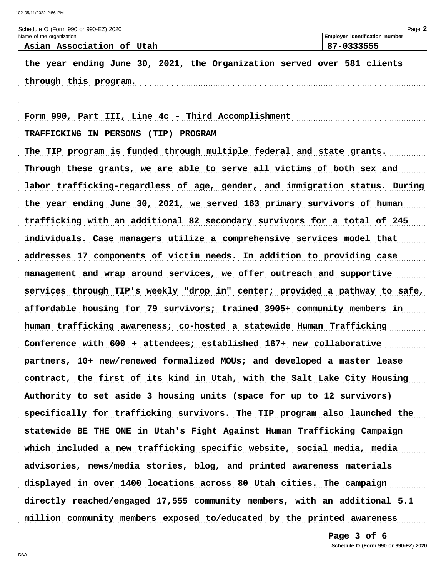| Schedule O (Form 990 or 990-EZ) 2020                                        | Page 2                                       |
|-----------------------------------------------------------------------------|----------------------------------------------|
| Name of the organization<br>Asian Association of Utah                       | Employer identification number<br>87-0333555 |
|                                                                             |                                              |
| the year ending June 30, 2021, the Organization served over 581 clients     |                                              |
| through this program.                                                       |                                              |
|                                                                             |                                              |
| Form 990, Part III, Line 4c - Third Accomplishment                          |                                              |
|                                                                             |                                              |
| TRAFFICKING IN PERSONS (TIP) PROGRAM                                        |                                              |
| The TIP program is funded through multiple federal and state grants.        |                                              |
| Through these grants, we are able to serve all victims of both sex and      |                                              |
| labor trafficking-regardless of age, gender, and immigration status. During |                                              |
| the year ending June 30, 2021, we served 163 primary survivors of human     |                                              |
| trafficking with an additional 82 secondary survivors for a total of 245    |                                              |
| individuals. Case managers utilize a comprehensive services model that      |                                              |
| addresses 17 components of victim needs. In addition to providing case      |                                              |
| management and wrap around services, we offer outreach and supportive       |                                              |
| services through TIP's weekly "drop in" center; provided a pathway to safe, |                                              |
| affordable housing for 79 survivors; trained 3905+ community members in     |                                              |
| human trafficking awareness; co-hosted a statewide Human Trafficking        |                                              |
| Conference with 600 + attendees; established 167+ new collaborative         |                                              |
| partners, 10+ new/renewed formalized MOUs; and developed a master lease     |                                              |
| contract, the first of its kind in Utah, with the Salt Lake City Housing    |                                              |
| Authority to set aside 3 housing units (space for up to 12 survivors)       |                                              |
| specifically for trafficking survivors. The TIP program also launched the   |                                              |
| statewide BE THE ONE in Utah's Fight Against Human Trafficking Campaign     |                                              |
| which included a new trafficking specific website, social media, media      |                                              |
| advisories, news/media stories, blog, and printed awareness materials       |                                              |
| displayed in over 1400 locations across 80 Utah cities. The campaign        |                                              |
| directly reached/engaged 17,555 community members, with an additional 5.1   |                                              |
| million community members exposed to/educated by the printed awareness      |                                              |

Page 3 of 6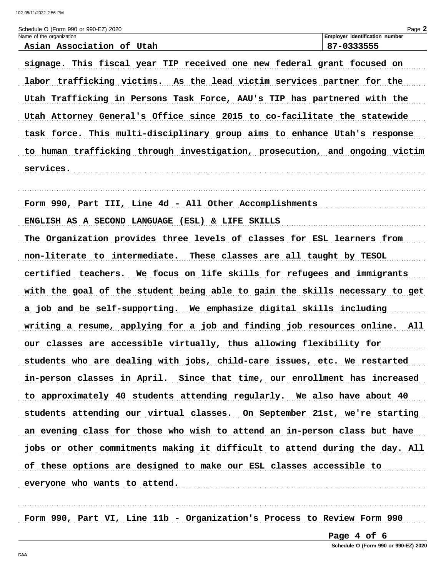| Schedule O (Form 990 or 990-EZ) 2020                                        | Page 2                                       |
|-----------------------------------------------------------------------------|----------------------------------------------|
| Name of the organization<br>Asian Association of Utah                       | Employer identification number<br>87-0333555 |
| signage. This fiscal year TIP received one new federal grant focused on     |                                              |
| labor trafficking victims.<br>As the lead victim services partner for the   |                                              |
| Utah Trafficking in Persons Task Force, AAU's TIP has partnered with the    |                                              |
| Utah Attorney General's Office since 2015 to co-facilitate the statewide    |                                              |
| task force. This multi-disciplinary group aims to enhance Utah's response   |                                              |
| to human trafficking through investigation, prosecution, and ongoing victim |                                              |
| services.                                                                   |                                              |
|                                                                             |                                              |
| Form 990, Part III, Line 4d - All Other Accomplishments                     |                                              |
| ENGLISH AS A SECOND LANGUAGE (ESL) & LIFE SKILLS                            |                                              |
| The Organization provides three levels of classes for ESL learners from     |                                              |
| non-literate to intermediate. These classes are all taught by TESOL         |                                              |
| certified teachers.<br>We focus on life skills for refugees and immigrants  |                                              |
| with the goal of the student being able to gain the skills necessary to get |                                              |
| a job and be self-supporting. We emphasize digital skills including         |                                              |
| writing a resume, applying for a job and finding job resources online.      | All                                          |
| our classes are accessible virtually, thus allowing flexibility for         |                                              |
| students who are dealing with jobs, child-care issues, etc. We restarted    |                                              |
| in-person classes in April. Since that time, our enrollment has increased   |                                              |
| to approximately 40 students attending regularly. We also have about 40     |                                              |
| students attending our virtual classes. On September 21st, we're starting   |                                              |
| an evening class for those who wish to attend an in-person class but have   |                                              |
| jobs or other commitments making it difficult to attend during the day. All |                                              |
| of these options are designed to make our ESL classes accessible to         |                                              |
| everyone who wants to attend.                                               |                                              |
|                                                                             |                                              |

Form 990, Part VI, Line 11b - Organization's Process to Review Form 990

Page 4 of 6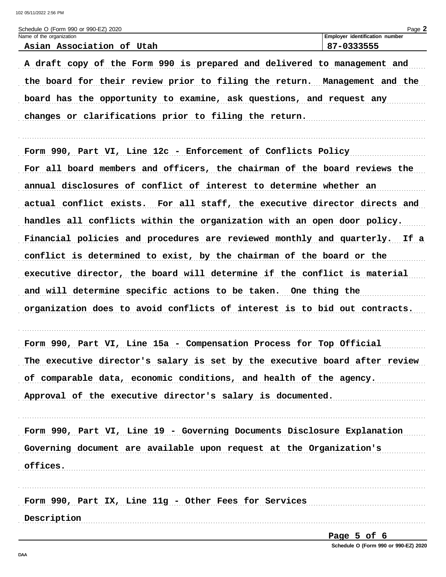| Schedule O (Form 990 or 990-EZ) 2020                                       | Page 2                                       |
|----------------------------------------------------------------------------|----------------------------------------------|
| Name of the organization<br>Asian Association of Utah                      | Employer identification number<br>87-0333555 |
| A draft copy of the Form 990 is prepared and delivered to management and   |                                              |
| the board for their review prior to filing the return. Management and the  |                                              |
| board has the opportunity to examine, ask questions, and request any       |                                              |
| changes or clarifications prior to filing the return.                      |                                              |
|                                                                            |                                              |
| Form 990, Part VI, Line 12c - Enforcement of Conflicts Policy              |                                              |
| For all board members and officers, the chairman of the board reviews the  |                                              |
| annual disclosures of conflict of interest to determine whether an         |                                              |
| actual conflict exists. For all staff, the executive director directs and  |                                              |
| handles all conflicts within the organization with an open door policy.    |                                              |
| Financial policies and procedures are reviewed monthly and quarterly. If a |                                              |
| conflict is determined to exist, by the chairman of the board or the       |                                              |
| executive director, the board will determine if the conflict is material   |                                              |
| and will determine specific actions to be taken. One thing the             |                                              |
| organization does to avoid conflicts of interest is to bid out contracts.  |                                              |
|                                                                            |                                              |
| Form 990, Part VI, Line 15a - Compensation Process for Top Official        |                                              |
| The executive director's salary is set by the executive board after review |                                              |
| of comparable data, economic conditions, and health of the agency.         |                                              |
| Approval of the executive director's salary is documented.                 |                                              |
|                                                                            |                                              |
| Form 990, Part VI, Line 19 - Governing Documents Disclosure Explanation    |                                              |
| Governing document are available upon request at the Organization's        |                                              |
| offices.                                                                   |                                              |
|                                                                            |                                              |
| Form 990, Part IX, Line 11g - Other Fees for Services                      |                                              |
| Description                                                                |                                              |

Page 5 of 6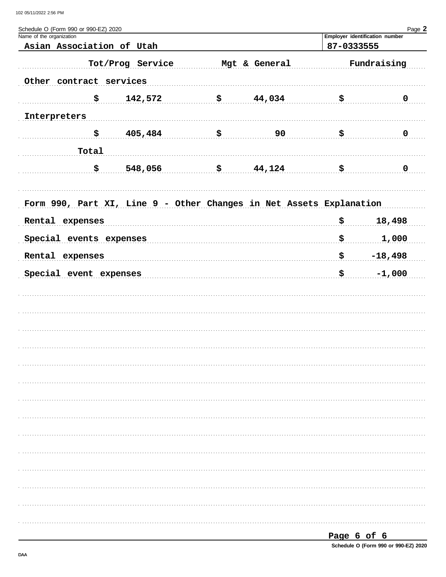Name of the organization

Schedule O (Form 990 or 990-EZ) 2020

| Asian Association of Utah                                           |                  |           |               | 87-0333555 |                         |
|---------------------------------------------------------------------|------------------|-----------|---------------|------------|-------------------------|
|                                                                     | Tot/Prog Service |           | Mgt & General |            | Fundraising             |
| Other contract services                                             |                  |           |               |            |                         |
| \$                                                                  | 142,572          | <b>\$</b> | 44,034        |            | $\overline{\mathbf{0}}$ |
| Interpreters                                                        |                  |           |               |            |                         |
| \$                                                                  | 405,484          | ़ \$ …    | 90            | . \$       | $\mathbf 0$             |
| Total                                                               |                  |           |               |            |                         |
| \$                                                                  | 548,056          | . \$      | 44,124        | - \$       | $\mathbf 0$             |
|                                                                     |                  |           |               |            |                         |
| Form 990, Part XI, Line 9 - Other Changes in Net Assets Explanation |                  |           |               |            |                         |
| Rental expenses                                                     |                  |           |               | \$         | 18,498                  |
| Special events expenses                                             |                  |           |               | \$         | 1,000                   |
| Rental expenses                                                     |                  |           |               | \$         | $-18,498$               |
| Special event expenses                                              |                  |           |               | \$         | $-1,000$                |
|                                                                     |                  |           |               |            |                         |
|                                                                     |                  |           |               |            |                         |
|                                                                     |                  |           |               |            |                         |
|                                                                     |                  |           |               |            |                         |
|                                                                     |                  |           |               |            |                         |
|                                                                     |                  |           |               |            |                         |
|                                                                     |                  |           |               |            |                         |
|                                                                     |                  |           |               |            |                         |
|                                                                     |                  |           |               |            |                         |
|                                                                     |                  |           |               |            |                         |
|                                                                     |                  |           |               |            |                         |
|                                                                     |                  |           |               |            |                         |
|                                                                     |                  |           |               |            |                         |
|                                                                     |                  |           |               |            |                         |

Employer identification number

87-0333555